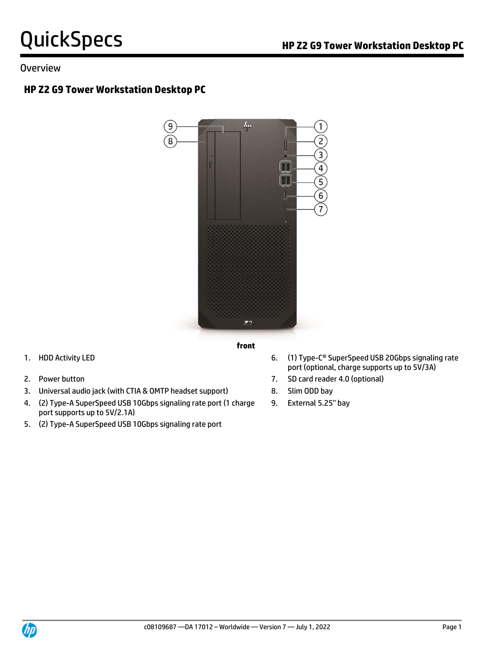### Overview

# **HP Z2 G9 Tower Workstation Desktop PC**



- 
- 3. Universal audio jack (with CTIA & OMTP headset support) 8. Slim ODD bay
- 4. (2) Type-A SuperSpeed USB 10Gbps signaling rate port (1 charge port supports up to 5V/2.1A)
- 5. (2) Type-A SuperSpeed USB 10Gbps signaling rate port
- 1. HDD Activity LED **6.** (1) Type-C<sup>®</sup> SuperSpeed USB 20Gbps signaling rate port (optional, charge supports up to 5V/3A)
- 2. Power button 7. SD card reader 4.0 (optional)
	-
	- 9. External 5.25'' bay

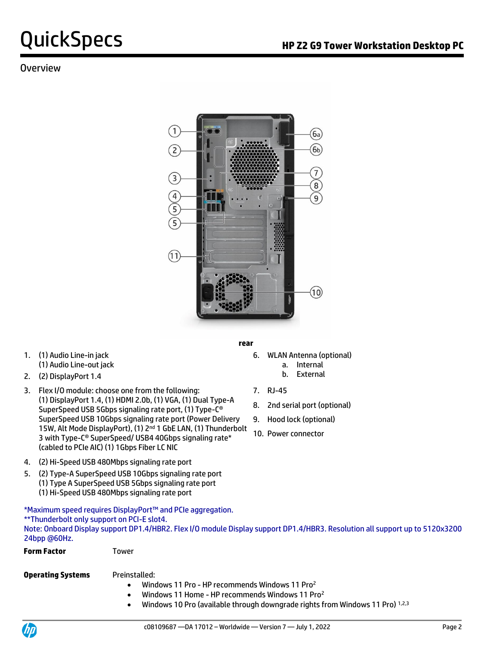## **Overview**



- 1. (1) Audio Line-in jack (1) Audio Line-out jack
- b. External 2. (2) DisplayPort 1.4
- 3. Flex I/O module: choose one from the following: (1) DisplayPort 1.4, (1) HDMI 2.0b, (1) VGA, (1) Dual Type-A SuperSpeed USB 5Gbps signaling rate port, (1) Type-C® SuperSpeed USB 10Gbps signaling rate port (Power Delivery 15W, Alt Mode DisplayPort), (1) 2<sup>nd</sup> 1 GbE LAN, (1) Thunderbolt 3 with Type-C® SuperSpeed/ USB4 40Gbps signaling rate\* (cabled to PCIe AIC) (1) 1Gbps Fiber LC NIC
- **rear**
	- 6. WLAN Antenna (optional) a. Internal
		-
	- 7. RJ-45
	- 8. 2nd serial port (optional)
	- 9. Hood lock (optional)
	- 10. Power connector
- 4. (2) Hi-Speed USB 480Mbps signaling rate port
- 5. (2) Type-A SuperSpeed USB 10Gbps signaling rate port (1) Type A SuperSpeed USB 5Gbps signaling rate port (1) Hi-Speed USB 480Mbps signaling rate port

\*Maximum speed requires DisplayPort™ and PCIe aggregation. \*\*Thunderbolt only support on PCI-E slot4. Note: Onboard Display support DP1.4/HBR2. Flex I/O module Display support DP1.4/HBR3. Resolution all support up to 5120x3200 24bpp @60Hz.

| <b>Form Factor</b>       | Tower              |
|--------------------------|--------------------|
| <b>Operating Systems</b> | Preinstalled:      |
|                          | Windows 11 Pro - H |
|                          | Windows 11 Home    |

- **IP recommends Windows 11 Pro2** Windows 11 Home - HP recommends Windows 11 Pro<sup>2</sup>
- 
- Windows 10 Pro (available through downgrade rights from Windows 11 Pro) 1,2,3

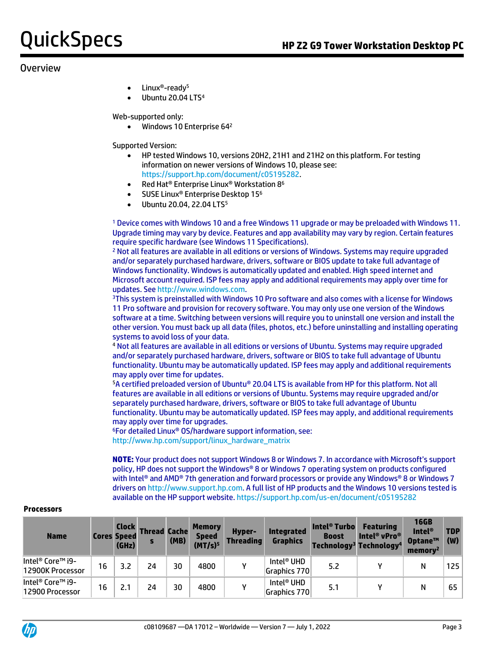### Overview

- Linux®-ready<sup>5</sup>
- Ubuntu 20.04 LTS<sup>4</sup>

Web-supported only:

• Windows 10 Enterprise 64<sup>2</sup>

Supported Version:

- HP tested Windows 10, versions 20H2, 21H1 and 21H2 on this platform. For testing information on newer versions of Windows 10, please see: [https://support.hp.com/document/c05195282.](https://support.hp.com/document/c05195282)
- Red Hat® Enterprise Linux® Workstation 8<sup>6</sup>
- SUSE Linux® Enterprise Desktop 15<sup>6</sup>
- Ubuntu 20.04, 22.04 LTS<sup>5</sup>

<sup>1</sup> Device comes with Windows 10 and a free Windows 11 upgrade or may be preloaded with Windows 11. Upgrade timing may vary by device. Features and app availability may vary by region. Certain features require specific hardware (see Windows 11 Specifications).

<sup>2</sup> Not all features are available in all editions or versions of Windows. Systems may require upgraded and/or separately purchased hardware, drivers, software or BIOS update to take full advantage of Windows functionality. Windows is automatically updated and enabled. High speed internet and Microsoft account required. ISP fees may apply and additional requirements may apply over time for updates. Se[e http://www.windows.com.](http://www.windows.com/)

<sup>3</sup>This system is preinstalled with Windows 10 Pro software and also comes with a license for Windows 11 Pro software and provision for recovery software. You may only use one version of the Windows software at a time. Switching between versions will require you to uninstall one version and install the other version. You must back up all data (files, photos, etc.) before uninstalling and installing operating systems to avoid loss of your data.

<sup>4</sup> Not all features are available in all editions or versions of Ubuntu. Systems may require upgraded and/or separately purchased hardware, drivers, software or BIOS to take full advantage of Ubuntu functionality. Ubuntu may be automatically updated. ISP fees may apply and additional requirements may apply over time for updates.

<sup>5</sup>A certified preloaded version of Ubuntu® 20.04 LTS is available from HP for this platform. Not all features are available in all editions or versions of Ubuntu. Systems may require upgraded and/or separately purchased hardware, drivers, software or BIOS to take full advantage of Ubuntu functionality. Ubuntu may be automatically updated. ISP fees may apply, and additional requirements may apply over time for upgrades.

<sup>6</sup>For detailed Linux® OS/hardware support information, see: [http://www.hp.com/support/linux\\_hardware\\_matrix](http://www.hp.com/support/linux_hardware_matrix)

**NOTE:** Your product does not support Windows 8 or Windows 7. In accordance with Microsoft's support policy, HP does not support the Windows® 8 or Windows 7 operating system on products configured with Intel® and AMD® 7th generation and forward processors or provide any Windows® 8 or Windows 7 drivers o[n http://www.support.hp.com.](http://www.support.hp.com/) A full list of HP products and the Windows 10 versions tested is available on the HP support website[. https://support.hp.com/us-en/document/c05195282](https://support.hp.com/us-en/document/c05195282)

| <b>Name</b>                          |    | <b>Clock</b><br><b>Cores Speed</b><br>(GHz) | <b>Thread Cache</b> | (MB) | <b>Memory</b><br><b>Speed</b><br>(MT/s) <sup>5</sup> | <b>Hyper-</b><br><b>Threading</b> | <b>Integrated</b><br><b>Graphics</b>   | <b>Intel<sup>®</sup> Turbo</b><br><b>Boost</b><br>Technology <sup>3</sup> Technology <sup>4</sup> | <b>Featuring</b><br>Intel <sup>®</sup> vPro <sup>®</sup> | <b>16GB</b><br>Intel®<br>Optane™<br>memory | <b>TDP</b><br>(W) |
|--------------------------------------|----|---------------------------------------------|---------------------|------|------------------------------------------------------|-----------------------------------|----------------------------------------|---------------------------------------------------------------------------------------------------|----------------------------------------------------------|--------------------------------------------|-------------------|
| Intel® Core™ i9-<br>12900K Processor | 16 | 3.2                                         | 24                  | 30   | 4800                                                 |                                   | Intel <sup>®</sup> UHD<br>Graphics 770 | 5.2                                                                                               |                                                          | N                                          | 125               |
| Intel® Core™ i9-<br>12900 Processor  | 16 | 2.1                                         | 24                  | 30   | 4800                                                 |                                   | Intel® UHD<br>Graphics 770             | 5.1                                                                                               |                                                          | N                                          | 65                |

#### **Processors**

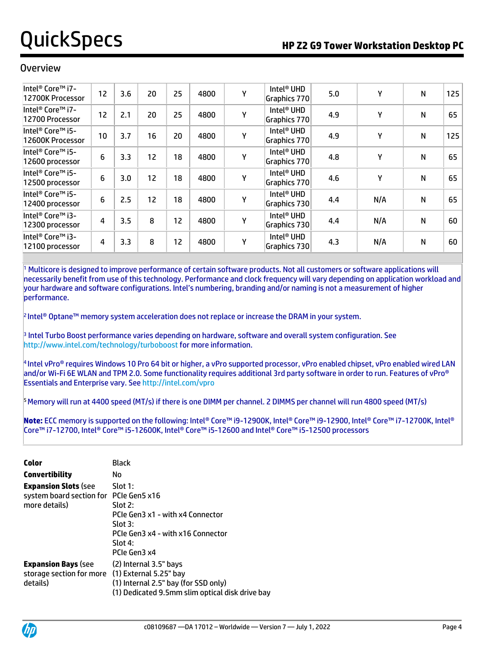### **Overview**

| Intel <sup>®</sup> Core™ i7-<br>12700K Processor            | 12 | 3.6 | 20 | 25 | 4800 | Υ | Intel <sup>®</sup> UHD<br>Graphics 770 | 5.0 | Υ   | N | 125 |
|-------------------------------------------------------------|----|-----|----|----|------|---|----------------------------------------|-----|-----|---|-----|
| Intel <sup>®</sup> Core <sup>™</sup> i7-<br>12700 Processor | 12 | 2.1 | 20 | 25 | 4800 | Y | Intel <sup>®</sup> UHD<br>Graphics 770 | 4.9 | γ   | N | 65  |
| Intel® Core™ i5-<br>12600K Processor                        | 10 | 3.7 | 16 | 20 | 4800 | Υ | Intel <sup>®</sup> UHD<br>Graphics 770 | 4.9 | Υ   | N | 125 |
| Intel <sup>®</sup> Core <sup>™</sup> i5-<br>12600 processor | 6  | 3.3 | 12 | 18 | 4800 | Y | Intel <sup>®</sup> UHD<br>Graphics 770 | 4.8 | γ   | Ν | 65  |
| Intel <sup>®</sup> Core <sup>™</sup> i5-<br>12500 processor | 6  | 3.0 | 12 | 18 | 4800 | Υ | Intel® UHD<br>Graphics 770             | 4.6 | γ   | N | 65  |
| Intel <sup>®</sup> Core <sup>™</sup> i5-<br>12400 processor | 6  | 2.5 | 12 | 18 | 4800 | Υ | Intel <sup>®</sup> UHD<br>Graphics 730 | 4.4 | N/A | Ν | 65  |
| Intel® Core™ i3-<br>12300 processor                         | 4  | 3.5 | 8  | 12 | 4800 | Y | Intel <sup>®</sup> UHD<br>Graphics 730 | 4.4 | N/A | Ν | 60  |
| Intel® Core™ i3-<br>12100 processor                         | 4  | 3.3 | 8  | 12 | 4800 | Y | Intel <sup>®</sup> UHD<br>Graphics 730 | 4.3 | N/A | N | 60  |

<sup>1</sup> Multicore is designed to improve performance of certain software products. Not all customers or software applications will necessarily benefit from use of this technology. Performance and clock frequency will vary depending on application workload and your hardware and software configurations. Intel's numbering, branding and/or naming is not a measurement of higher performance.

2 Intel® Optane™ memory system acceleration does not replace or increase the DRAM in your system.

3 Intel Turbo Boost performance varies depending on hardware, software and overall system configuration. See <http://www.intel.com/technology/turboboost> for more information.

4 Intel vPro® requires Windows 10 Pro 64 bit or higher, a vPro supported processor, vPro enabled chipset, vPro enabled wired LAN and/or Wi-Fi 6E WLAN and TPM 2.0. Some functionality requires additional 3rd party software in order to run. Features of vPro® Essentials and Enterprise vary. See<http://intel.com/vpro>

<sup>5</sup>Memory will run at 4400 speed (MT/s) if there is one DIMM per channel. 2 DIMMS per channel will run 4800 speed (MT/s)

**Note:** ECC memory is supported on the following: Intel® Core™ i9-12900K, Intel® Core™ i9-12900, Intel® Core™ i7-12700K, Intel® Core™ i7-12700, Intel® Core™ i5-12600K, Intel® Core™ i5-12600 and Intel® Core™ i5-12500 processors

| Color                                                                                     | <b>Black</b>                                                                                                                        |
|-------------------------------------------------------------------------------------------|-------------------------------------------------------------------------------------------------------------------------------------|
| <b>Convertibility</b>                                                                     | No                                                                                                                                  |
| <b>Expansion Slots (see</b><br>system board section for PCIe Gen5 x16<br>more details)    | Slot 1:<br>$Slot$ 2:<br>PCIe Gen3 x1 - with x4 Connector<br>Slot 3:<br>PCIe Gen3 x4 - with x16 Connector<br>Slot 4:<br>PCIe Gen3 x4 |
| <b>Expansion Bays (see</b><br>storage section for more (1) External 5.25" bay<br>details) | (2) Internal 3.5" bays<br>(1) Internal 2.5" bay (for SSD only)<br>(1) Dedicated 9.5mm slim optical disk drive bay                   |

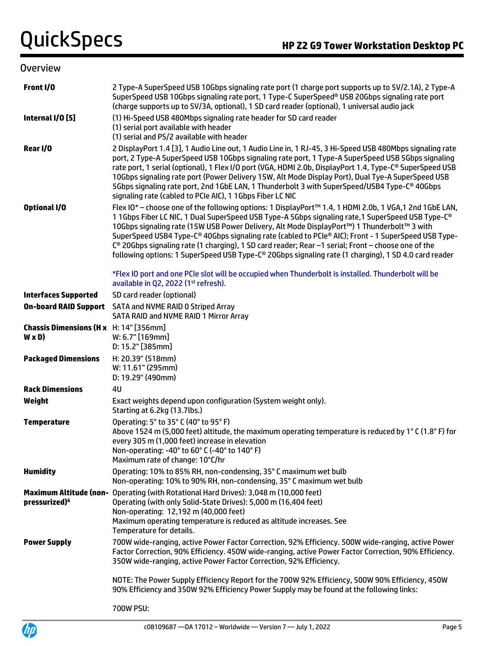| <b>Overview</b>                                               |                                                                                                                                                                                                                                                                                                                                                                                                                                                                                                                                                                                                                                             |
|---------------------------------------------------------------|---------------------------------------------------------------------------------------------------------------------------------------------------------------------------------------------------------------------------------------------------------------------------------------------------------------------------------------------------------------------------------------------------------------------------------------------------------------------------------------------------------------------------------------------------------------------------------------------------------------------------------------------|
| Front I/O                                                     | 2 Type-A SuperSpeed USB 10Gbps signaling rate port (1 charge port supports up to 5V/2.1A), 2 Type-A<br>SuperSpeed USB 10Gbps signaling rate port, 1 Type-C SuperSpeed® USB 20Gbps signaling rate port<br>(charge supports up to 5V/3A, optional), 1 SD card reader (optional), 1 universal audio jack                                                                                                                                                                                                                                                                                                                                       |
| Internal I/O [5]                                              | (1) Hi-Speed USB 480Mbps signaling rate header for SD card reader<br>(1) serial port available with header<br>(1) serial and PS/2 available with header                                                                                                                                                                                                                                                                                                                                                                                                                                                                                     |
| Rear I/O                                                      | 2 DisplayPort 1.4 [3], 1 Audio Line out, 1 Audio Line in, 1 RJ-45, 3 Hi-Speed USB 480Mbps signaling rate<br>port, 2 Type-A SuperSpeed USB 10Gbps signaling rate port, 1 Type-A SuperSpeed USB 5Gbps signaling<br>rate port, 1 serial (optional), 1 Flex I/O port (VGA, HDMI 2.0b, DisplayPort 1.4, Type-C® SuperSpeed USB<br>10Gbps signaling rate port (Power Delivery 15W, Alt Mode Display Port), Dual Tye-A SuperSpeed USB<br>5Gbps signaling rate port, 2nd 1GbE LAN, 1 Thunderbolt 3 with SuperSpeed/USB4 Type-C® 40Gbps<br>signaling rate (cabled to PCIe AIC), 1 1Gbps Fiber LC NIC                                                 |
| Optional I/O                                                  | Flex IO* - choose one of the following options: 1 DisplayPort™ 1.4, 1 HDMI 2.0b, 1 VGA, 1 2nd 1GbE LAN,<br>11Gbps Fiber LC NIC, 1 Dual SuperSpeed USB Type-A 5Gbps signaling rate, 1 SuperSpeed USB Type-C®<br>10Gbps signaling rate (15W USB Power Delivery, Alt Mode DisplayPort™) 1 Thunderbolt™ 3 with<br>SuperSpeed USB4 Type-C® 40Gbps signaling rate (cabled to PCIe® AIC); Front - 1 SuperSpeed USB Type-<br>C <sup>®</sup> 20Gbps signaling rate (1 charging), 1 SD card reader; Rear -1 serial; Front - choose one of the<br>following options: 1 SuperSpeed USB Type-C® 20Gbps signaling rate (1 charging), 1 SD 4.0 card reader |
|                                                               | *Flex IO port and one PCIe slot will be occupied when Thunderbolt is installed. Thunderbolt will be<br>available in Q2, 2022 (1st refresh).                                                                                                                                                                                                                                                                                                                                                                                                                                                                                                 |
| <b>Interfaces Supported</b>                                   | SD card reader (optional)                                                                                                                                                                                                                                                                                                                                                                                                                                                                                                                                                                                                                   |
| <b>On-board RAID Support</b>                                  | SATA and NVME RAID 0 Striped Array<br>SATA RAID and NVME RAID 1 Mirror Array                                                                                                                                                                                                                                                                                                                                                                                                                                                                                                                                                                |
| <b>Chassis Dimensions (H x</b> H: 14" [356mm]<br>$W \times D$ | W: 6.7" [169mm]<br>D: 15.2" [385mm]                                                                                                                                                                                                                                                                                                                                                                                                                                                                                                                                                                                                         |
| <b>Packaged Dimensions</b>                                    | H: 20.39" (518mm)<br>W: 11.61" (295mm)<br>D: 19.29" (490mm)                                                                                                                                                                                                                                                                                                                                                                                                                                                                                                                                                                                 |
| <b>Rack Dimensions</b>                                        | 4U                                                                                                                                                                                                                                                                                                                                                                                                                                                                                                                                                                                                                                          |
| Weight                                                        | Exact weights depend upon configuration (System weight only).<br>Starting at 6.2kg (13.7lbs.)                                                                                                                                                                                                                                                                                                                                                                                                                                                                                                                                               |
| <b>Temperature</b>                                            | Operating: 5° to 35° C (40° to 95° F)<br>Above 1524 m (5,000 feet) altitude, the maximum operating temperature is reduced by 1°C (1.8°F) for<br>every 305 m (1,000 feet) increase in elevation<br>Non-operating: -40° to 60° C (-40° to 140° F)<br>Maximum rate of change: 10°C/hr                                                                                                                                                                                                                                                                                                                                                          |
| <b>Humidity</b>                                               | Operating: 10% to 85% RH, non-condensing, 35° C maximum wet bulb<br>Non-operating: 10% to 90% RH, non-condensing, 35° C maximum wet bulb                                                                                                                                                                                                                                                                                                                                                                                                                                                                                                    |
| pressurized) <sup>6</sup>                                     | Maximum Altitude (non- Operating (with Rotational Hard Drives): 3,048 m (10,000 feet)<br>Operating (with only Solid-State Drives): 5,000 m (16,404 feet)<br>Non-operating: 12,192 m (40,000 feet)<br>Maximum operating temperature is reduced as altitude increases. See<br>Temperature for details.                                                                                                                                                                                                                                                                                                                                        |
| <b>Power Supply</b>                                           | 700W wide-ranging, active Power Factor Correction, 92% Efficiency. 500W wide-ranging, active Power<br>Factor Correction, 90% Efficiency. 450W wide-ranging, active Power Factor Correction, 90% Efficiency.<br>350W wide-ranging, active Power Factor Correction, 92% Efficiency.                                                                                                                                                                                                                                                                                                                                                           |
|                                                               | NOTE: The Power Supply Efficiency Report for the 700W 92% Efficiency, 500W 90% Efficiency, 450W<br>90% Efficiency and 350W 92% Efficiency Power Supply may be found at the following links:                                                                                                                                                                                                                                                                                                                                                                                                                                                 |
|                                                               | 700W PSU:                                                                                                                                                                                                                                                                                                                                                                                                                                                                                                                                                                                                                                   |

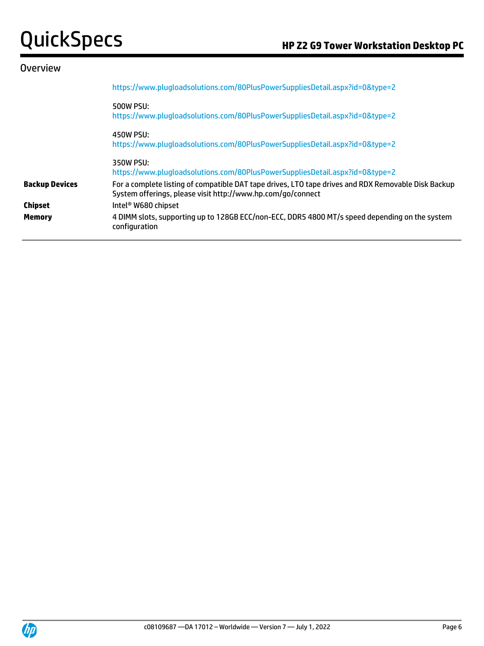| <b>Overview</b>       |                                                                                                                                                                    |
|-----------------------|--------------------------------------------------------------------------------------------------------------------------------------------------------------------|
|                       | https://www.plugloadsolutions.com/80PlusPowerSuppliesDetail.aspx?id=0&type=2                                                                                       |
|                       | 500W PSU:<br>https://www.plugloadsolutions.com/80PlusPowerSuppliesDetail.aspx?id=0&type=2                                                                          |
|                       | 450W PSU:<br>https://www.plugloadsolutions.com/80PlusPowerSuppliesDetail.aspx?id=0&type=2                                                                          |
|                       | 350W PSU:<br>https://www.plugloadsolutions.com/80PlusPowerSuppliesDetail.aspx?id=0&type=2                                                                          |
| <b>Backup Devices</b> | For a complete listing of compatible DAT tape drives, LTO tape drives and RDX Removable Disk Backup<br>System offerings, please visit http://www.hp.com/go/connect |
| <b>Chipset</b>        | Intel <sup>®</sup> W680 chipset                                                                                                                                    |
| <b>Memory</b>         | 4 DIMM slots, supporting up to 128GB ECC/non-ECC, DDR5 4800 MT/s speed depending on the system<br>configuration                                                    |
|                       |                                                                                                                                                                    |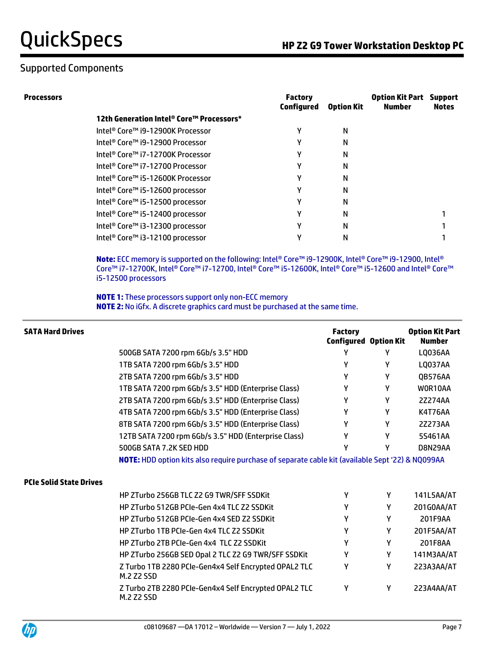**Processors Factory** 

|                                          | <b>Factory</b><br>Configured | <b>Option Kit</b> | <b>Option Kit Part</b><br>Number | <b>Support</b><br><b>Notes</b> |
|------------------------------------------|------------------------------|-------------------|----------------------------------|--------------------------------|
| 12th Generation Intel® Core™ Processors* |                              |                   |                                  |                                |
| Intel® Core™ i9-12900K Processor         | γ                            | N                 |                                  |                                |
| Intel® Core™ i9-12900 Processor          | γ                            | N                 |                                  |                                |
| Intel® Core™ i7-12700K Processor         | Υ                            | N                 |                                  |                                |
| Intel® Core™ i7-12700 Processor          | γ                            | N                 |                                  |                                |
| Intel® Core™ i5-12600K Processor         | γ                            | N                 |                                  |                                |
| Intel® Core™ i5-12600 processor          | γ                            | N                 |                                  |                                |
| Intel® Core™ i5-12500 processor          | Υ                            | N                 |                                  |                                |
| Intel® Core™ i5-12400 processor          | γ                            | N                 |                                  |                                |
| Intel® Core™ i3-12300 processor          |                              | N                 |                                  |                                |
| Intel® Core™ i3-12100 processor          | ν                            | N                 |                                  |                                |
|                                          |                              |                   |                                  |                                |

**Note:** ECC memory is supported on the following: Intel® Core™ i9-12900K, Intel® Core™ i9-12900, Intel® Core™ i7-12700K, Intel® Core™ i7-12700, Intel® Core™ i5-12600K, Intel® Core™ i5-12600 and Intel® Core™ i5-12500 processors

**NOTE 1:** These processors support only non-ECC memory **NOTE 2:** No iGfx. A discrete graphics card must be purchased at the same time.

| <b>SATA Hard Drives</b>        |                                                                                                  | <b>Factory</b><br><b>Configured Option Kit</b> |   | <b>Option Kit Part</b><br><b>Number</b> |
|--------------------------------|--------------------------------------------------------------------------------------------------|------------------------------------------------|---|-----------------------------------------|
|                                | 500GB SATA 7200 rpm 6Gb/s 3.5" HDD                                                               | γ                                              | γ | LQ036AA                                 |
|                                | 1TB SATA 7200 rpm 6Gb/s 3.5" HDD                                                                 | γ                                              | γ | <b>LQ037AA</b>                          |
|                                | 2TB SATA 7200 rpm 6Gb/s 3.5" HDD                                                                 | Υ                                              | Υ | QB576AA                                 |
|                                | 1TB SATA 7200 rpm 6Gb/s 3.5" HDD (Enterprise Class)                                              | Υ                                              | Υ | WOR10AA                                 |
|                                | 2TB SATA 7200 rpm 6Gb/s 3.5" HDD (Enterprise Class)                                              | Y                                              | Υ | 2Z274AA                                 |
|                                | 4TB SATA 7200 rpm 6Gb/s 3.5" HDD (Enterprise Class)                                              | γ                                              | Υ | K4T76AA                                 |
|                                | 8TB SATA 7200 rpm 6Gb/s 3.5" HDD (Enterprise Class)                                              | γ                                              | γ | 2Z273AA                                 |
|                                | 12TB SATA 7200 rpm 6Gb/s 3.5" HDD (Enterprise Class)                                             | γ                                              | Υ | 5S461AA                                 |
|                                | 500GB SATA 7.2K SED HDD                                                                          | γ                                              | γ | D8N29AA                                 |
|                                | NOTE: HDD option kits also require purchase of separate cable kit (available Sept '22) & NQ099AA |                                                |   |                                         |
| <b>PCIe Solid State Drives</b> |                                                                                                  |                                                |   |                                         |
|                                | <b>HP ZTurbo 256GB TLC Z2 G9 TWR/SFF SSDKit</b>                                                  | γ                                              | Υ | 141L5AA/AT                              |
|                                | HP ZTurbo 512GB PCIe-Gen 4x4 TLC Z2 SSDKit                                                       | γ                                              | Υ | 201G0AA/AT                              |
|                                | HP ZTurbo 512GB PCIe-Gen 4x4 SED Z2 SSDKit                                                       | γ                                              | Y | 201F9AA                                 |
|                                | HP ZTurbo 1TB PCIe-Gen 4x4 TLC Z2 SSDKit                                                         | Υ                                              | Y | 201F5AA/AT                              |
|                                | HP ZTurbo 2TB PCIe-Gen 4x4 TLC Z2 SSDKit                                                         | γ                                              | γ | 201F8AA                                 |
|                                | HP ZTurbo 256GB SED Opal 2 TLC Z2 G9 TWR/SFF SSDKit                                              | γ                                              | γ | 141M3AA/AT                              |
|                                | Z Turbo 1TB 2280 PCIe-Gen4x4 Self Encrypted OPAL2 TLC<br><b>M.2 Z2 SSD</b>                       | γ                                              | γ | 223A3AA/AT                              |
|                                | Z Turbo 2TB 2280 PCIe-Gen4x4 Self Encrypted OPAL2 TLC<br><b>M.2 Z2 SSD</b>                       | γ                                              | Υ | 223A4AA/AT                              |

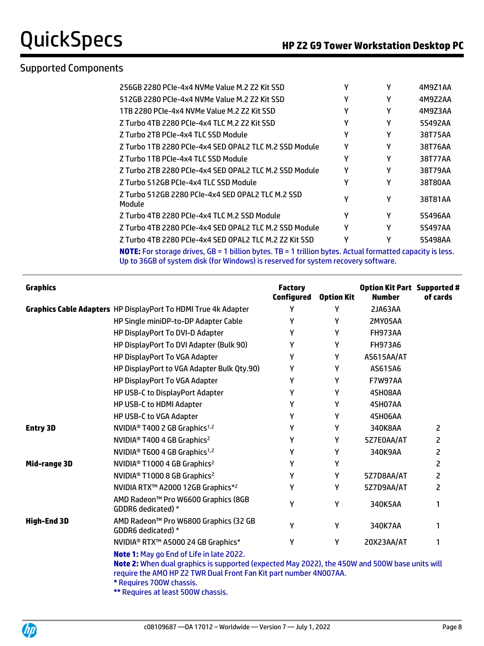| 256GB 2280 PCIe-4x4 NVMe Value M.2 Z2 Kit SSD                                                           |   | γ | 4M9Z1AA |
|---------------------------------------------------------------------------------------------------------|---|---|---------|
| 512GB 2280 PCIe-4x4 NVMe Value M.2 Z2 Kit SSD                                                           | γ | γ | 4M9Z2AA |
| 1TB 2280 PCIe-4x4 NVMe Value M.2 Z2 Kit SSD                                                             | γ | γ | 4M9Z3AA |
| Z Turbo 4TB 2280 PCIe-4x4 TLC M.2 Z2 Kit SSD                                                            | γ | γ | 5S492AA |
| Z Turbo 2TB PCIe-4x4 TLC SSD Module                                                                     | γ | γ | 38T75AA |
| Z Turbo 1TB 2280 PCIe-4x4 SED OPAL2 TLC M.2 SSD Module                                                  | γ | γ | 38T76AA |
| Z Turbo 1TB PCIe-4x4 TLC SSD Module                                                                     | γ | γ | 38T77AA |
| Z Turbo 2TB 2280 PCIe-4x4 SED OPAL2 TLC M.2 SSD Module                                                  | γ | γ | 38T79AA |
| Z Turbo 512GB PCIe-4x4 TLC SSD Module                                                                   | γ | γ | 38T80AA |
| Z Turbo 512GB 2280 PCIe-4x4 SED OPAL2 TLC M.2 SSD<br>Module                                             | γ | γ | 38T81AA |
| Z Turbo 4TB 2280 PCIe-4x4 TLC M.2 SSD Module                                                            | γ | γ | 5S496AA |
| Z Turbo 4TB 2280 PCIe-4x4 SED OPAL2 TLC M.2 SSD Module                                                  | γ | γ | 5S497AA |
| Z Turbo 4TB 2280 PCIe-4x4 SED OPAL2 TLC M.2 Z2 Kit SSD                                                  | ٧ | γ | 5S498AA |
| MATE. For starses drives, CD = 1 billion butgs, TD = 1 trillion butgs, Astual formatted sapasituis less |   |   |         |

**NOTE:** For storage drives, GB = 1 billion bytes. TB = 1 trillion bytes. Actual formatted capacity is less. Up to 36GB of system disk (for Windows) is reserved for system recovery software.

| <b>Graphics</b>    |                                                                                                                                                                                                                                                                                                 | <b>Factory</b><br>Configured | <b>Option Kit</b> | <b>Option Kit Part Supported #</b><br><b>Number</b> | of cards |
|--------------------|-------------------------------------------------------------------------------------------------------------------------------------------------------------------------------------------------------------------------------------------------------------------------------------------------|------------------------------|-------------------|-----------------------------------------------------|----------|
|                    | Graphics Cable Adapters HP DisplayPort To HDMI True 4k Adapter                                                                                                                                                                                                                                  | Y                            | Y                 | <b>2JA63AA</b>                                      |          |
|                    | HP Single miniDP-to-DP Adapter Cable                                                                                                                                                                                                                                                            | Υ                            | γ                 | 2MY05AA                                             |          |
|                    | HP DisplayPort To DVI-D Adapter                                                                                                                                                                                                                                                                 | γ                            | Υ                 | <b>FH973AA</b>                                      |          |
|                    | HP DisplayPort To DVI Adapter (Bulk 90)                                                                                                                                                                                                                                                         | Υ                            | Υ                 | <b>FH973A6</b>                                      |          |
|                    | HP DisplayPort To VGA Adapter                                                                                                                                                                                                                                                                   | Υ                            | Y                 | AS615AA/AT                                          |          |
|                    | HP DisplayPort to VGA Adapter Bulk Qty.90)                                                                                                                                                                                                                                                      | Υ                            | γ                 | AS615A6                                             |          |
|                    | HP DisplayPort To VGA Adapter                                                                                                                                                                                                                                                                   | Υ                            | Y                 | <b>F7W97AA</b>                                      |          |
|                    | HP USB-C to DisplayPort Adapter                                                                                                                                                                                                                                                                 | Y                            | Y                 | 4SH08AA                                             |          |
|                    | HP USB-C to HDMI Adapter                                                                                                                                                                                                                                                                        | Υ                            | Υ                 | 4SH07AA                                             |          |
|                    | HP USB-C to VGA Adapter                                                                                                                                                                                                                                                                         | γ                            | Υ                 | 4SH06AA                                             |          |
| <b>Entry 3D</b>    | NVIDIA <sup>®</sup> T400 2 GB Graphics <sup>1,2</sup>                                                                                                                                                                                                                                           | γ                            | γ                 | 340K8AA                                             | 2        |
|                    | NVIDIA <sup>®</sup> T400 4 GB Graphics <sup>2</sup>                                                                                                                                                                                                                                             | Υ                            | γ                 | 5Z7E0AA/AT                                          | 2        |
|                    | NVIDIA <sup>®</sup> T600 4 GB Graphics <sup>1,2</sup>                                                                                                                                                                                                                                           | Y                            | Υ                 | 340K9AA                                             | 2        |
| Mid-range 3D       | NVIDIA <sup>®</sup> T1000 4 GB Graphics <sup>2</sup>                                                                                                                                                                                                                                            | Υ                            | Υ                 |                                                     | 2        |
|                    | NVIDIA <sup>®</sup> T1000 8 GB Graphics <sup>2</sup>                                                                                                                                                                                                                                            | Υ                            | Υ                 | 5Z7D8AA/AT                                          | 2        |
|                    | NVIDIA RTX™ A2000 12GB Graphics* <sup>2</sup>                                                                                                                                                                                                                                                   | Υ                            | Υ                 | 5Z7D9AA/AT                                          | 2        |
|                    | AMD Radeon™ Pro W6600 Graphics (8GB<br>GDDR6 dedicated) *                                                                                                                                                                                                                                       | Υ                            | Υ                 | 340K5AA                                             | 1        |
| <b>High-End 3D</b> | AMD Radeon™ Pro W6800 Graphics (32 GB<br>GDDR6 dedicated) *                                                                                                                                                                                                                                     | Y                            | Y                 | 340K7AA                                             | 1        |
|                    | NVIDIA® RTX™ A5000 24 GB Graphics*                                                                                                                                                                                                                                                              | Υ                            | Υ                 | 20X23AA/AT                                          | 1        |
|                    | <b>Note 1: May go End of Life in late 2022.</b><br>Note 2: When dual graphics is supported (expected May 2022), the 450W and 500W base units will<br>require the AMO HP Z2 TWR Dual Front Fan Kit part number 4N007AA.<br>* Requires 700W chassis.<br><b>** Requires at least 500W chassis.</b> |                              |                   |                                                     |          |

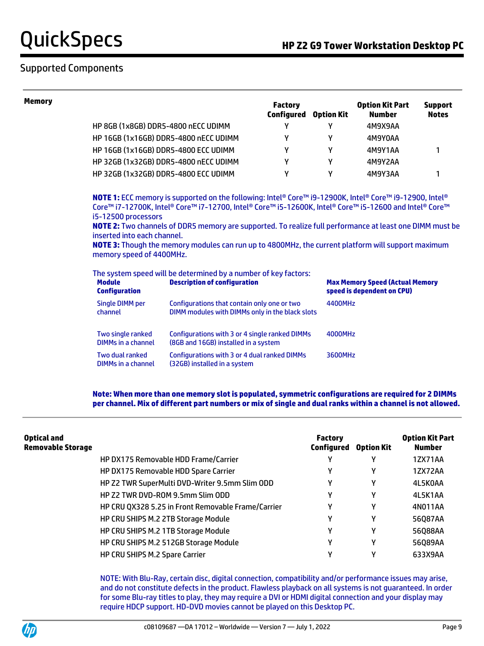| <b>Memory</b> |                                                                                                                                                 |                                                                                                                                                                                                                                                                                                                                                                                                                                     | <b>Factory</b><br>Configured | <b>Option Kit</b> | <b>Option Kit Part</b><br><b>Number</b>                              | <b>Support</b><br><b>Notes</b> |  |
|---------------|-------------------------------------------------------------------------------------------------------------------------------------------------|-------------------------------------------------------------------------------------------------------------------------------------------------------------------------------------------------------------------------------------------------------------------------------------------------------------------------------------------------------------------------------------------------------------------------------------|------------------------------|-------------------|----------------------------------------------------------------------|--------------------------------|--|
|               | HP 8GB (1x8GB) DDR5-4800 nECC UDIMM                                                                                                             |                                                                                                                                                                                                                                                                                                                                                                                                                                     | γ                            | Υ                 | 4M9X9AA                                                              |                                |  |
|               |                                                                                                                                                 | HP 16GB (1x16GB) DDR5-4800 nECC UDIMM                                                                                                                                                                                                                                                                                                                                                                                               | γ                            | Υ                 | 4M9Y0AA                                                              |                                |  |
|               | <b>HP 16GB (1x16GB) DDR5-4800 ECC UDIMM</b>                                                                                                     |                                                                                                                                                                                                                                                                                                                                                                                                                                     | γ                            | γ                 | 4M9Y1AA                                                              | 1                              |  |
|               |                                                                                                                                                 | HP 32GB (1x32GB) DDR5-4800 nECC UDIMM                                                                                                                                                                                                                                                                                                                                                                                               | Υ                            | Y                 | 4M9Y2AA                                                              |                                |  |
|               | HP 32GB (1x32GB) DDR5-4800 ECC UDIMM                                                                                                            |                                                                                                                                                                                                                                                                                                                                                                                                                                     | Υ                            | γ                 | 4M9Y3AA                                                              | 1                              |  |
|               | i5-12500 processors<br>inserted into each channel.<br>memory speed of 4400MHz.                                                                  | NOTE 1: ECC memory is supported on the following: Intel® Core™ i9-12900K, Intel® Core™ i9-12900, Intel®<br>Core™ i7-12700K, Intel® Core™ i7-12700, Intel® Core™ i5-12600K, Intel® Core™ i5-12600 and Intel® Core™<br>NOTE 2: Two channels of DDR5 memory are supported. To realize full performance at least one DIMM must be<br>NOTE 3: Though the memory modules can run up to 4800MHz, the current platform will support maximum |                              |                   |                                                                      |                                |  |
|               | The system speed will be determined by a number of key factors:<br><b>Module</b><br><b>Description of configuration</b><br><b>Configuration</b> |                                                                                                                                                                                                                                                                                                                                                                                                                                     |                              |                   | <b>Max Memory Speed (Actual Memory</b><br>speed is dependent on CPU) |                                |  |
|               | <b>Single DIMM per</b><br>channel                                                                                                               | Configurations that contain only one or two<br>DIMM modules with DIMMs only in the black slots                                                                                                                                                                                                                                                                                                                                      |                              | 4400MHz           |                                                                      |                                |  |
|               | Two single ranked<br><b>DIMMs in a channel</b>                                                                                                  | Configurations with 3 or 4 single ranked DIMMs<br>(8GB and 16GB) installed in a system                                                                                                                                                                                                                                                                                                                                              |                              | 4000MHz           |                                                                      |                                |  |
|               | Two dual ranked<br>DIMMs in a channel                                                                                                           | Configurations with 3 or 4 dual ranked DIMMs<br>(32GB) installed in a system                                                                                                                                                                                                                                                                                                                                                        |                              | 3600MHz           |                                                                      |                                |  |
|               |                                                                                                                                                 |                                                                                                                                                                                                                                                                                                                                                                                                                                     |                              |                   |                                                                      |                                |  |

**Note: When more than one memory slot is populated, symmetric configurations are required for 2 DIMMs per channel. Mix of different part numbers or mix of single and dual ranks within a channel is not allowed.**

| <b>Optical and</b><br><b>Removable Storage</b> |                                                    | <b>Factory</b><br>Configured | <b>Option Kit</b> | <b>Option Kit Part</b><br><b>Number</b> |
|------------------------------------------------|----------------------------------------------------|------------------------------|-------------------|-----------------------------------------|
|                                                | HP DX175 Removable HDD Frame/Carrier               |                              |                   | 1ZX71AA                                 |
|                                                | HP DX175 Removable HDD Spare Carrier               | v                            | v                 | 1ZX72AA                                 |
|                                                | HP Z2 TWR SuperMulti DVD-Writer 9.5mm Slim ODD     | v                            | Υ                 | 4L5K0AA                                 |
|                                                | HP Z2 TWR DVD-ROM 9.5mm Slim ODD                   | v                            | γ                 | 4L5K1AA                                 |
|                                                | HP CRU QX328 5.25 in Front Removable Frame/Carrier | ν                            | ν                 | 4N011AA                                 |
|                                                | HP CRU SHIPS M.2 2TB Storage Module                | ν                            | Υ                 | 56087AA                                 |
|                                                | HP CRU SHIPS M.2 1TB Storage Module                | v                            | γ                 | 56Q88AA                                 |
|                                                | HP CRU SHIPS M.2 512GB Storage Module              | ν                            | Υ                 | 56Q89AA                                 |
|                                                | HP CRU SHIPS M.2 Spare Carrier                     | ν                            | γ                 | 633X9AA                                 |

NOTE: With Blu-Ray, certain disc, digital connection, compatibility and/or performance issues may arise, and do not constitute defects in the product. Flawless playback on all systems is not guaranteed. In order for some Blu-ray titles to play, they may require a DVI or HDMI digital connection and your display may require HDCP support. HD-DVD movies cannot be played on this Desktop PC.

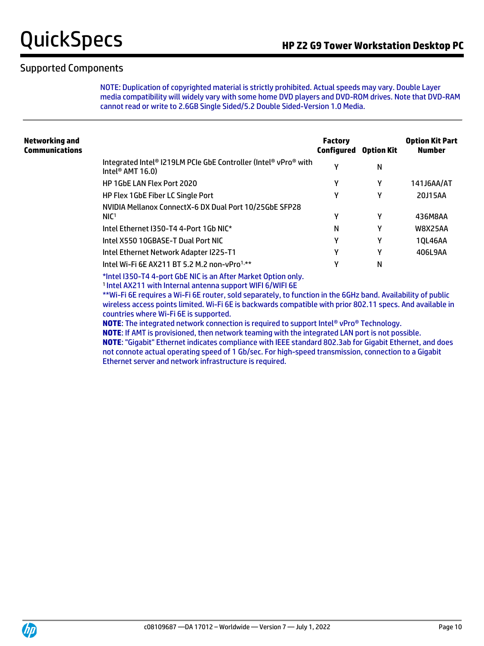NOTE: Duplication of copyrighted material is strictly prohibited. Actual speeds may vary. Double Layer media compatibility will widely vary with some home DVD players and DVD-ROM drives. Note that DVD-RAM cannot read or write to 2.6GB Single Sided/5.2 Double Sided-Version 1.0 Media.

| Networking and<br>Communications |                                                                                                 | <b>Factory</b><br>Configured | <b>Option Kit</b> | <b>Option Kit Part</b><br><b>Number</b> |
|----------------------------------|-------------------------------------------------------------------------------------------------|------------------------------|-------------------|-----------------------------------------|
|                                  | Integrated Intel® I219LM PCIe GbE Controller (Intel® vPro® with<br>Intel <sup>®</sup> AMT 16.0) | γ                            | N                 |                                         |
|                                  | HP 1GbE LAN Flex Port 2020                                                                      | γ                            | γ                 | 141J6AA/AT                              |
|                                  | <b>HP Flex 1GbE Fiber LC Single Port</b>                                                        | γ                            | γ                 | 20J15AA                                 |
|                                  | NVIDIA Mellanox ConnectX-6 DX Dual Port 10/25GbE SFP28<br>NIC <sup>1</sup>                      | γ                            | γ                 | 436M8AA                                 |
|                                  | Intel Ethernet I350-T4 4-Port 1Gb NIC*                                                          | N                            | γ                 | <b>W8X25AA</b>                          |
|                                  | Intel X550 10GBASE-T Dual Port NIC                                                              | γ                            | γ                 | 10L46AA                                 |
|                                  | Intel Ethernet Network Adapter I225-T1                                                          | Υ                            | γ                 | 406L9AA                                 |
|                                  | Intel Wi-Fi 6E AX211 BT 5.2 M.2 non-vPro <sup>1,**</sup>                                        | γ                            | N                 |                                         |
|                                  | *Intel I350-T4 4-port GbE NIC is an After Market Option only.                                   |                              |                   |                                         |

1 Intel AX211 with Internal antenna support WIFI 6/WIFI 6E

\*\*Wi-Fi 6E requires a Wi-Fi 6E router, sold separately, to function in the 6GHz band. Availability of public wireless access points limited. Wi-Fi 6E is backwards compatible with prior 802.11 specs. And available in countries where Wi-Fi 6E is supported.

**NOTE**: The integrated network connection is required to support Intel® vPro® Technology.

**NOTE**: If AMT is provisioned, then network teaming with the integrated LAN port is not possible. **NOTE**: "Gigabit" Ethernet indicates compliance with IEEE standard 802.3ab for Gigabit Ethernet, and does not connote actual operating speed of 1 Gb/sec. For high-speed transmission, connection to a Gigabit Ethernet server and network infrastructure is required.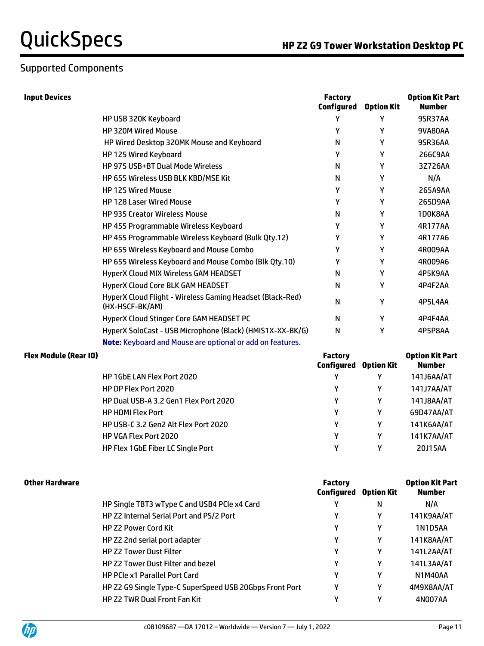# Supported Components

| <b>Input Devices</b> |                                                                              | <b>Factory</b><br><b>Configured</b> | <b>Option Kit</b> | <b>Option Kit Part</b><br><b>Number</b> |
|----------------------|------------------------------------------------------------------------------|-------------------------------------|-------------------|-----------------------------------------|
|                      | HP USB 320K Keyboard                                                         |                                     |                   | 9SR37AA                                 |
|                      | HP 320M Wired Mouse                                                          | γ                                   | γ                 | 9VA80AA                                 |
|                      | HP Wired Desktop 320MK Mouse and Keyboard                                    | N                                   | γ                 | 9SR36AA                                 |
|                      | HP 125 Wired Keyboard                                                        | γ                                   | γ                 | 266C9AA                                 |
|                      | HP 975 USB+BT Dual Mode Wireless                                             | N                                   | γ                 | 3Z726AA                                 |
|                      | HP 655 Wireless USB BLK KBD/MSE Kit                                          | N                                   | γ                 | N/A                                     |
|                      | <b>HP 125 Wired Mouse</b>                                                    | γ                                   | γ                 | 265A9AA                                 |
|                      | <b>HP 128 Laser Wired Mouse</b>                                              | Υ                                   | γ                 | 265D9AA                                 |
|                      | <b>HP 935 Creator Wireless Mouse</b>                                         | N                                   | γ                 | 1D0K8AA                                 |
|                      | HP 455 Programmable Wireless Keyboard                                        | γ                                   | γ                 | 4R177AA                                 |
|                      | HP 455 Programmable Wireless Keyboard (Bulk Qty.12)                          | γ                                   | γ                 | 4R177A6                                 |
|                      | HP 655 Wireless Keyboard and Mouse Combo                                     | γ                                   | γ                 | 4R009AA                                 |
|                      | HP 655 Wireless Keyboard and Mouse Combo (Blk Qty.10)                        | γ                                   | γ                 | 4R009A6                                 |
|                      | HyperX Cloud MIX Wireless GAM HEADSET                                        | N                                   | γ                 | 4P5K9AA                                 |
|                      | HyperX Cloud Core BLK GAM HEADSET                                            | N                                   | γ                 | 4P4F2AA                                 |
|                      | HyperX Cloud Flight - Wireless Gaming Headset (Black-Red)<br>(HX-HSCF-BK/AM) | N                                   | γ                 | 4P5L4AA                                 |
|                      | HyperX Cloud Stinger Core GAM HEADSET PC                                     | N                                   | γ                 | 4P4F4AA                                 |
|                      | HyperX SoloCast - USB Microphone (Black) (HMIS1X-XX-BK/G)                    | N                                   | γ                 | 4P5P8AA                                 |
|                      | Note: Keyboard and Mouse are optional or add on features.                    |                                     |                   |                                         |

| Flex Module (Rear IO) |                                       | <b>Factory</b><br><b>Configured Option Kit</b> |   | <b>Option Kit Part</b><br><b>Number</b> |
|-----------------------|---------------------------------------|------------------------------------------------|---|-----------------------------------------|
|                       | <b>HP 1GbE LAN Flex Port 2020</b>     | γ                                              |   | 141J6AA/AT                              |
|                       | HP DP Flex Port 2020                  | γ                                              |   | 141J7AA/AT                              |
|                       | HP Dual USB-A 3.2 Gen1 Flex Port 2020 | γ                                              | γ | 141J8AA/AT                              |
|                       | <b>HP HDMI Flex Port</b>              | γ                                              |   | 69D47AA/AT                              |
|                       | HP USB-C 3.2 Gen2 Alt Flex Port 2020  | γ                                              | γ | 141K6AA/AT                              |
|                       | <b>HP VGA Flex Port 2020</b>          | v                                              | γ | 141K7AA/AT                              |
|                       | HP Flex 1GbE Fiber LC Single Port     | v                                              | v | 20J15AA                                 |
|                       |                                       |                                                |   |                                         |

| <b>Other Hardware</b> |                                                         | <b>Factory</b> | <b>Option Kit Part</b><br><b>Configured Option Kit</b> |                |
|-----------------------|---------------------------------------------------------|----------------|--------------------------------------------------------|----------------|
|                       | HP Single TBT3 wType C and USB4 PCIe x4 Card            |                | N                                                      | N/A            |
|                       | HP Z2 Internal Serial Port and PS/2 Port                | γ              | γ                                                      | 141K9AA/AT     |
|                       | <b>HP Z2 Power Cord Kit</b>                             | γ              | γ                                                      | 1N1D5AA        |
|                       | HP Z2 2nd serial port adapter                           | γ              | γ                                                      | 141K8AA/AT     |
|                       | <b>HP Z2 Tower Dust Filter</b>                          | γ              | γ                                                      | 141L2AA/AT     |
|                       | <b>HP Z2 Tower Dust Filter and bezel</b>                | γ              | γ                                                      | 141L3AA/AT     |
|                       | <b>HP PCIe x1 Parallel Port Card</b>                    | γ              | γ                                                      | <b>N1M40AA</b> |
|                       | HP Z2 G9 Single Type-C SuperSpeed USB 20Gbps Front Port | γ              | γ                                                      | 4M9X8AA/AT     |
|                       | <b>HP Z2 TWR Dual Front Fan Kit</b>                     | v              | γ                                                      | 4N007AA        |

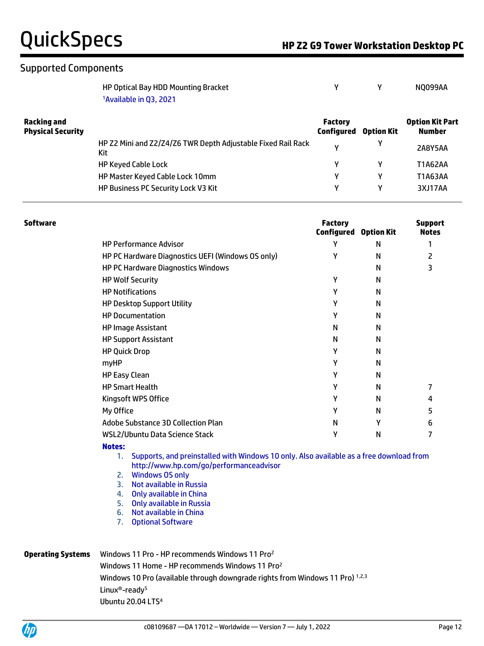| HP Optical Bay HDD Mounting Bracket |  | <b>NO099AA</b> |
|-------------------------------------|--|----------------|
| <sup>1</sup> Available in Q3, 2021  |  |                |

| <b>Racking and</b><br><b>Physical Security</b> |                                                                     | <b>Factory</b><br>Configured | <b>Option Kit Part</b><br>Number |                |
|------------------------------------------------|---------------------------------------------------------------------|------------------------------|----------------------------------|----------------|
|                                                | HP Z2 Mini and Z2/Z4/Z6 TWR Depth Adjustable Fixed Rail Rack<br>Kit | ν                            |                                  | <b>2A8Y5AA</b> |
|                                                | <b>HP Keyed Cable Lock</b>                                          |                              |                                  | T1A62AA        |
|                                                | HP Master Keyed Cable Lock 10mm                                     | v                            |                                  | T1A63AA        |
|                                                | HP Business PC Security Lock V3 Kit                                 | v                            |                                  | 3XJ17AA        |

| Software |                                                   | <b>Factory</b><br>Configured | <b>Option Kit</b> | <b>Support</b><br><b>Notes</b> |
|----------|---------------------------------------------------|------------------------------|-------------------|--------------------------------|
|          | <b>HP Performance Advisor</b>                     | Υ                            | N                 |                                |
|          | HP PC Hardware Diagnostics UEFI (Windows OS only) | Υ                            | N                 | 2                              |
|          | <b>HP PC Hardware Diagnostics Windows</b>         |                              | N                 | 3                              |
|          | <b>HP Wolf Security</b>                           | Υ                            | N                 |                                |
|          | <b>HP Notifications</b>                           | Y                            | N                 |                                |
|          | <b>HP Desktop Support Utility</b>                 | γ                            | N                 |                                |
|          | <b>HP Documentation</b>                           | Υ                            | N                 |                                |
|          | <b>HP Image Assistant</b>                         | N                            | N                 |                                |
|          | <b>HP Support Assistant</b>                       | N                            | N                 |                                |
|          | <b>HP Quick Drop</b>                              | Y                            | N                 |                                |
|          | myHP                                              | γ                            | N                 |                                |
|          | <b>HP Easy Clean</b>                              | Y                            | N                 |                                |
|          | <b>HP Smart Health</b>                            | γ                            | N                 |                                |
|          | Kingsoft WPS Office                               | Υ                            | N                 | 4                              |
|          | My Office                                         | Υ                            | N                 | 5                              |
|          | Adobe Substance 3D Collection Plan                | N                            | Υ                 | 6                              |
|          | WSL2/Ubuntu Data Science Stack                    | Υ                            | N                 |                                |
|          | <b>Notes:</b>                                     |                              |                   |                                |

- 1. Supports, and preinstalled with Windows 10 only. Also available as a free download from http://www.hp.com/go/performanceadvisor
- 2. Windows OS only
- 3. Not available in Russia
- 4. Only available in China
- 5. Only available in Russia
- 6. Not available in China
- 7. Optional Software

### **Operating Systems** Windows 11 Pro - HP recommends Windows 11 Pro<sup>2</sup> Windows 11 Home - HP recommends Windows 11 Pro<sup>2</sup> Windows 10 Pro (available through downgrade rights from Windows 11 Pro) 1,2,3 Linux®-ready<sup>5</sup> Ubuntu 20.04 LTS4

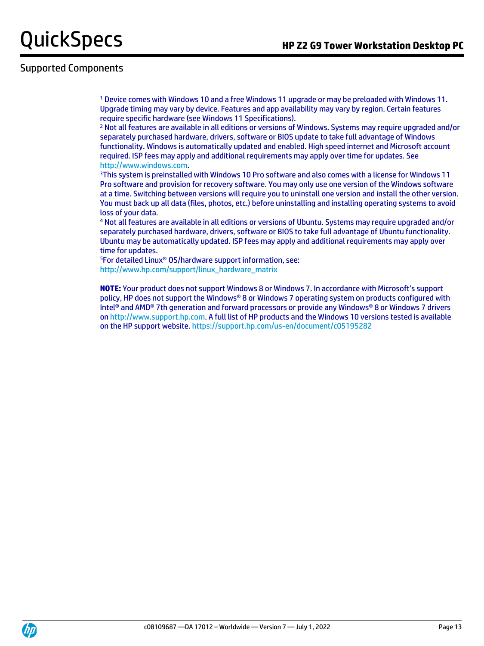# Supported Components

<sup>1</sup> Device comes with Windows 10 and a free Windows 11 upgrade or may be preloaded with Windows 11. Upgrade timing may vary by device. Features and app availability may vary by region. Certain features require specific hardware (see Windows 11 Specifications).

<sup>2</sup> Not all features are available in all editions or versions of Windows. Systems may require upgraded and/or separately purchased hardware, drivers, software or BIOS update to take full advantage of Windows functionality. Windows is automatically updated and enabled. High speed internet and Microsoft account required. ISP fees may apply and additional requirements may apply over time for updates. See [http://www.windows.com.](http://www.windows.com/)

<sup>3</sup>This system is preinstalled with Windows 10 Pro software and also comes with a license for Windows 11 Pro software and provision for recovery software. You may only use one version of the Windows software at a time. Switching between versions will require you to uninstall one version and install the other version. You must back up all data (files, photos, etc.) before uninstalling and installing operating systems to avoid loss of your data.

<sup>4</sup> Not all features are available in all editions or versions of Ubuntu. Systems may require upgraded and/or separately purchased hardware, drivers, software or BIOS to take full advantage of Ubuntu functionality. Ubuntu may be automatically updated. ISP fees may apply and additional requirements may apply over time for updates.

<sup>5</sup>For detailed Linux® OS/hardware support information, see: [http://www.hp.com/support/linux\\_hardware\\_matrix](http://www.hp.com/support/linux_hardware_matrix)

**NOTE:** Your product does not support Windows 8 or Windows 7. In accordance with Microsoft's support policy, HP does not support the Windows® 8 or Windows 7 operating system on products configured with Intel® and AMD® 7th generation and forward processors or provide any Windows® 8 or Windows 7 drivers o[n http://www.support.hp.com.](http://www.support.hp.com/) A full list of HP products and the Windows 10 versions tested is available on the HP support website.<https://support.hp.com/us-en/document/c05195282>

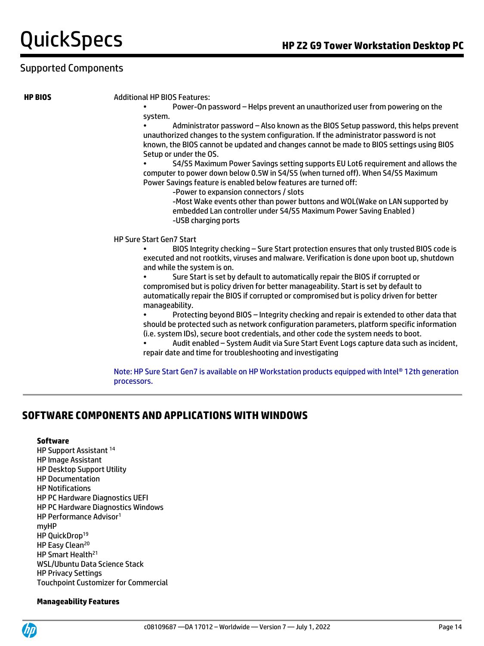#### **HP BIOS** Additional HP BIOS Features:

• Power-On password – Helps prevent an unauthorized user from powering on the system.

• Administrator password – Also known as the BIOS Setup password, this helps prevent unauthorized changes to the system configuration. If the administrator password is not known, the BIOS cannot be updated and changes cannot be made to BIOS settings using BIOS Setup or under the OS.

• S4/S5 Maximum Power Savings setting supports EU Lot6 requirement and allows the computer to power down below 0.5W in S4/S5 (when turned off). When S4/S5 Maximum Power Savings feature is enabled below features are turned off:

-Power to expansion connectors / slots

-Most Wake events other than power buttons and WOL(Wake on LAN supported by embedded Lan controller under S4/S5 Maximum Power Saving Enabled ) -USB charging ports

#### HP Sure Start Gen7 Start

• BIOS Integrity checking – Sure Start protection ensures that only trusted BIOS code is executed and not rootkits, viruses and malware. Verification is done upon boot up, shutdown and while the system is on.

• Sure Start is set by default to automatically repair the BIOS if corrupted or compromised but is policy driven for better manageability. Start is set by default to automatically repair the BIOS if corrupted or compromised but is policy driven for better manageability.

• Protecting beyond BIOS – Integrity checking and repair is extended to other data that should be protected such as network configuration parameters, platform specific information (i.e. system IDs), secure boot credentials, and other code the system needs to boot.

• Audit enabled – System Audit via Sure Start Event Logs capture data such as incident, repair date and time for troubleshooting and investigating

Note: HP Sure Start Gen7 is available on HP Workstation products equipped with Intel® 12th generation processors.

## **SOFTWARE COMPONENTS AND APPLICATIONS WITH WINDOWS**

#### **Software**

HP Support Assistant <sup>14</sup> HP Image Assistant HP Desktop Support Utility HP Documentation HP Notifications HP PC Hardware Diagnostics UEFI HP PC Hardware Diagnostics Windows HP Performance Advisor<sup>1</sup> myHP HP QuickDrop<sup>19</sup> HP Easy Clean<sup>20</sup> HP Smart Health<sup>21</sup> WSL/Ubuntu Data Science Stack HP Privacy Settings Touchpoint Customizer for Commercial

#### **Manageability Features**

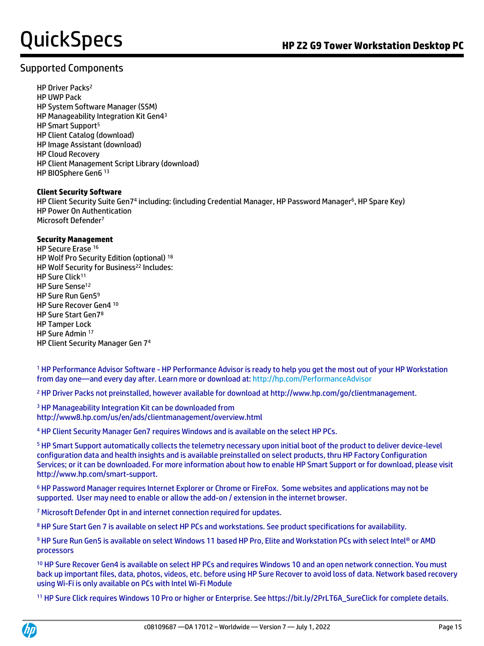# Supported Components

HP Driver Packs<sup>2</sup> HP UWP Pack HP System Software Manager (SSM) HP Manageability Integration Kit Gen4<sup>3</sup> HP Smart Support<sup>5</sup> HP Client Catalog (download) HP Image Assistant (download) HP Cloud Recovery HP Client Management Script Library (download) HP BIOSphere Gen6 <sup>13</sup>

### **Client Security Software**

HP Client Security Suite Gen74 including: (including Credential Manager, HP Password Manager<sup>6</sup>, HP Spare Key) HP Power On Authentication Microsoft Defender<sup>7</sup>

### **Security Management**

HP Secure Erase <sup>16</sup> HP Wolf Pro Security Edition (optional) <sup>18</sup> HP Wolf Security for Business<sup>22</sup> Includes: HP Sure Click<sup>11</sup> HP Sure Sense<sup>12</sup> HP Sure Run Gen5<sup>9</sup> HP Sure Recover Gen4 <sup>10</sup> HP Sure Start Gen7<sup>8</sup> HP Tamper Lock HP Sure Admin <sup>17</sup> HP Client Security Manager Gen 7<sup>4</sup>

<sup>1</sup> HP Performance Advisor Software - HP Performance Advisor is ready to help you get the most out of your HP Workstation from day one—and every day after. Learn more or download at[: http://hp.com/PerformanceAdvisor](http://hp.com/PerformanceAdvisor)

<sup>2</sup> HP Driver Packs not preinstalled, however available for download at http://www.hp.com/go/clientmanagement.

<sup>3</sup> HP Manageability Integration Kit can be downloaded from http://www8.hp.com/us/en/ads/clientmanagement/overview.html

<sup>4</sup> HP Client Security Manager Gen7 requires Windows and is available on the select HP PCs.

<sup>5</sup> HP Smart Support automatically collects the telemetry necessary upon initial boot of the product to deliver device-level configuration data and health insights and is available preinstalled on select products, thru HP Factory Configuration Services; or it can be downloaded. For more information about how to enable HP Smart Support or for download, please visit http://www.hp.com/smart-support.

<sup>6</sup> HP Password Manager requires Internet Explorer or Chrome or FireFox. Some websites and applications may not be supported. User may need to enable or allow the add-on / extension in the internet browser.

<sup>7</sup> Microsoft Defender Opt in and internet connection required for updates.

<sup>8</sup> HP Sure Start Gen 7 is available on select HP PCs and workstations. See product specifications for availability.

9 HP Sure Run Gen5 is available on select Windows 11 based HP Pro, Elite and Workstation PCs with select Intel® or AMD processors

<sup>10</sup> HP Sure Recover Gen4 is available on select HP PCs and requires Windows 10 and an open network connection. You must back up important files, data, photos, videos, etc. before using HP Sure Recover to avoid loss of data. Network based recovery using Wi-Fi is only available on PCs with Intel Wi-Fi Module

<sup>11</sup> HP Sure Click requires Windows 10 Pro or higher or Enterprise. See https://bit.ly/2PrLT6A\_SureClick for complete details.

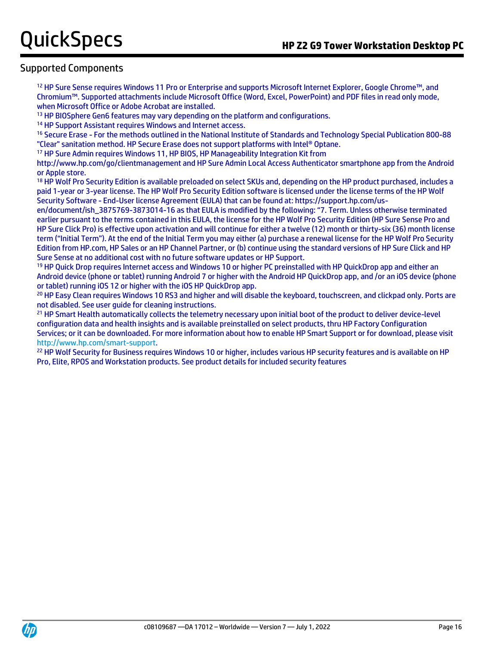<sup>12</sup> HP Sure Sense requires Windows 11 Pro or Enterprise and supports Microsoft Internet Explorer, Google Chrome™, and Chromium™. Supported attachments include Microsoft Office (Word, Excel, PowerPoint) and PDF files in read only mode, when Microsoft Office or Adobe Acrobat are installed.

<sup>13</sup> HP BIOSphere Gen6 features may vary depending on the platform and configurations.

<sup>14</sup> HP Support Assistant requires Windows and Internet access.

<sup>16</sup> Secure Erase - For the methods outlined in the National Institute of Standards and Technology Special Publication 800-88 "Clear" sanitation method. HP Secure Erase does not support platforms with Intel® Optane.

<sup>17</sup> HP Sure Admin requires Windows 11, HP BIOS, HP Manageability Integration Kit from

http://www.hp.com/go/clientmanagement and HP Sure Admin Local Access Authenticator smartphone app from the Android or Apple store.

<sup>18</sup> HP Wolf Pro Security Edition is available preloaded on select SKUs and, depending on the HP product purchased, includes a paid 1-year or 3-year license. The HP Wolf Pro Security Edition software is licensed under the license terms of the HP Wolf Security Software - End-User license Agreement (EULA) that can be found at: https://support.hp.com/us-

en/document/ish\_3875769-3873014-16 as that EULA is modified by the following: "7. Term. Unless otherwise terminated earlier pursuant to the terms contained in this EULA, the license for the HP Wolf Pro Security Edition (HP Sure Sense Pro and HP Sure Click Pro) is effective upon activation and will continue for either a twelve (12) month or thirty-six (36) month license term ("Initial Term"). At the end of the Initial Term you may either (a) purchase a renewal license for the HP Wolf Pro Security Edition from HP.com, HP Sales or an HP Channel Partner, or (b) continue using the standard versions of HP Sure Click and HP Sure Sense at no additional cost with no future software updates or HP Support.

<sup>19</sup> HP Quick Drop requires Internet access and Windows 10 or higher PC preinstalled with HP QuickDrop app and either an Android device (phone or tablet) running Android 7 or higher with the Android HP QuickDrop app, and /or an iOS device (phone or tablet) running iOS 12 or higher with the iOS HP QuickDrop app.

<sup>20</sup> HP Easy Clean requires Windows 10 RS3 and higher and will disable the keyboard, touchscreen, and clickpad only. Ports are not disabled. See user guide for cleaning instructions.

<sup>21</sup> HP Smart Health automatically collects the telemetry necessary upon initial boot of the product to deliver device-level configuration data and health insights and is available preinstalled on select products, thru HP Factory Configuration Services; or it can be downloaded. For more information about how to enable HP Smart Support or for download, please visit [http://www.hp.com/smart-support.](http://www.hp.com/smart-support)

<sup>22</sup> HP Wolf Security for Business requires Windows 10 or higher, includes various HP security features and is available on HP Pro, Elite, RPOS and Workstation products. See product details for included security features

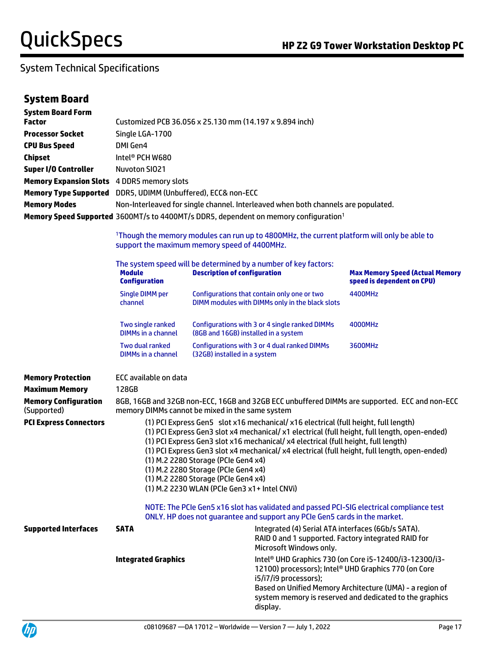| <b>System Board Form</b><br><b>Factor</b>                    |                                                                                                                                                         | Customized PCB 36.056 x 25.130 mm (14.197 x 9.894 inch)                                                                                                                                                                                                                                                                                                                                                                                                                                                                                          |                                                                                                                                                                                                                                                   |  |  |
|--------------------------------------------------------------|---------------------------------------------------------------------------------------------------------------------------------------------------------|--------------------------------------------------------------------------------------------------------------------------------------------------------------------------------------------------------------------------------------------------------------------------------------------------------------------------------------------------------------------------------------------------------------------------------------------------------------------------------------------------------------------------------------------------|---------------------------------------------------------------------------------------------------------------------------------------------------------------------------------------------------------------------------------------------------|--|--|
| <b>Processor Socket</b>                                      | Single LGA-1700                                                                                                                                         |                                                                                                                                                                                                                                                                                                                                                                                                                                                                                                                                                  |                                                                                                                                                                                                                                                   |  |  |
| <b>CPU Bus Speed</b>                                         | DMI Gen4                                                                                                                                                |                                                                                                                                                                                                                                                                                                                                                                                                                                                                                                                                                  |                                                                                                                                                                                                                                                   |  |  |
| <b>Chipset</b>                                               | Intel <sup>®</sup> PCH W680                                                                                                                             |                                                                                                                                                                                                                                                                                                                                                                                                                                                                                                                                                  |                                                                                                                                                                                                                                                   |  |  |
| <b>Super I/O Controller</b>                                  | <b>Nuvoton SIO21</b>                                                                                                                                    |                                                                                                                                                                                                                                                                                                                                                                                                                                                                                                                                                  |                                                                                                                                                                                                                                                   |  |  |
| <b>Memory Expansion Slots</b> 4 DDR5 memory slots            |                                                                                                                                                         |                                                                                                                                                                                                                                                                                                                                                                                                                                                                                                                                                  |                                                                                                                                                                                                                                                   |  |  |
| Memory Type Supported DDR5, UDIMM (Unbuffered), ECC& non-ECC |                                                                                                                                                         |                                                                                                                                                                                                                                                                                                                                                                                                                                                                                                                                                  |                                                                                                                                                                                                                                                   |  |  |
| <b>Memory Modes</b>                                          |                                                                                                                                                         | Non-Interleaved for single channel. Interleaved when both channels are populated.                                                                                                                                                                                                                                                                                                                                                                                                                                                                |                                                                                                                                                                                                                                                   |  |  |
|                                                              |                                                                                                                                                         | Memory Speed Supported 3600MT/s to 4400MT/s DDR5, dependent on memory configuration <sup>1</sup>                                                                                                                                                                                                                                                                                                                                                                                                                                                 |                                                                                                                                                                                                                                                   |  |  |
|                                                              |                                                                                                                                                         |                                                                                                                                                                                                                                                                                                                                                                                                                                                                                                                                                  |                                                                                                                                                                                                                                                   |  |  |
|                                                              | <sup>1</sup> Though the memory modules can run up to 4800MHz, the current platform will only be able to<br>support the maximum memory speed of 4400MHz. |                                                                                                                                                                                                                                                                                                                                                                                                                                                                                                                                                  |                                                                                                                                                                                                                                                   |  |  |
|                                                              | <b>Module</b><br><b>Configuration</b>                                                                                                                   | The system speed will be determined by a number of key factors:<br><b>Description of configuration</b>                                                                                                                                                                                                                                                                                                                                                                                                                                           | <b>Max Memory Speed (Actual Memory</b><br>speed is dependent on CPU)                                                                                                                                                                              |  |  |
|                                                              | Single DIMM per<br>channel                                                                                                                              | Configurations that contain only one or two<br>DIMM modules with DIMMs only in the black slots                                                                                                                                                                                                                                                                                                                                                                                                                                                   | 4400MHz                                                                                                                                                                                                                                           |  |  |
|                                                              | Two single ranked<br><b>DIMMs in a channel</b>                                                                                                          | Configurations with 3 or 4 single ranked DIMMs<br>(8GB and 16GB) installed in a system                                                                                                                                                                                                                                                                                                                                                                                                                                                           | 4000MHz                                                                                                                                                                                                                                           |  |  |
|                                                              | Two dual ranked<br><b>DIMMs in a channel</b>                                                                                                            | Configurations with 3 or 4 dual ranked DIMMs<br>(32GB) installed in a system                                                                                                                                                                                                                                                                                                                                                                                                                                                                     | 3600MHz                                                                                                                                                                                                                                           |  |  |
| <b>Memory Protection</b>                                     | ECC available on data                                                                                                                                   |                                                                                                                                                                                                                                                                                                                                                                                                                                                                                                                                                  |                                                                                                                                                                                                                                                   |  |  |
| <b>Maximum Memory</b>                                        | 128GB                                                                                                                                                   |                                                                                                                                                                                                                                                                                                                                                                                                                                                                                                                                                  |                                                                                                                                                                                                                                                   |  |  |
| <b>Memory Configuration</b><br>(Supported)                   |                                                                                                                                                         | 8GB, 16GB and 32GB non-ECC, 16GB and 32GB ECC unbuffered DIMMs are supported. ECC and non-ECC<br>memory DIMMs cannot be mixed in the same system                                                                                                                                                                                                                                                                                                                                                                                                 |                                                                                                                                                                                                                                                   |  |  |
| <b>PCI Express Connectors</b>                                |                                                                                                                                                         | (1) PCI Express Gen5 slot x16 mechanical/ x16 electrical (full height, full length)<br>(1) PCI Express Gen3 slot x4 mechanical/ x1 electrical (full height, full length, open-ended)<br>(1) PCI Express Gen3 slot x16 mechanical/ x4 electrical (full height, full length)<br>(1) PCI Express Gen3 slot x4 mechanical/ x4 electrical (full height, full length, open-ended)<br>(1) M.2 2280 Storage (PCIe Gen4 x4)<br>(1) M.2 2280 Storage (PCIe Gen4 x4)<br>(1) M.2 2280 Storage (PCIe Gen4 x4)<br>(1) M.2 2230 WLAN (PCIe Gen3 x1+ Intel CNVi) |                                                                                                                                                                                                                                                   |  |  |
|                                                              |                                                                                                                                                         | NOTE: The PCIe Gen5 x16 slot has validated and passed PCI-SIG electrical compliance test<br>ONLY. HP does not guarantee and support any PCIe Gen5 cards in the market.                                                                                                                                                                                                                                                                                                                                                                           |                                                                                                                                                                                                                                                   |  |  |
| <b>Supported Interfaces</b>                                  | <b>SATA</b>                                                                                                                                             | Microsoft Windows only.                                                                                                                                                                                                                                                                                                                                                                                                                                                                                                                          | Integrated (4) Serial ATA interfaces (6Gb/s SATA).<br>RAID 0 and 1 supported. Factory integrated RAID for                                                                                                                                         |  |  |
|                                                              | <b>Integrated Graphics</b>                                                                                                                              | i5/i7/i9 processors);<br>display.                                                                                                                                                                                                                                                                                                                                                                                                                                                                                                                | Intel <sup>®</sup> UHD Graphics 730 (on Core i5-12400/i3-12300/i3-<br>12100) processors); Intel® UHD Graphics 770 (on Core<br>Based on Unified Memory Architecture (UMA) - a region of<br>system memory is reserved and dedicated to the graphics |  |  |

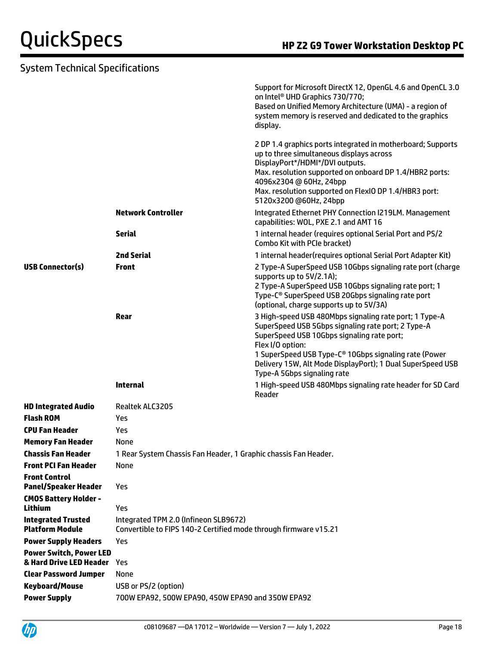| <b>System Technical Specifications</b>              |                                                                                                           |                                                                                                                                                                                                                                                                                                                                                                              |
|-----------------------------------------------------|-----------------------------------------------------------------------------------------------------------|------------------------------------------------------------------------------------------------------------------------------------------------------------------------------------------------------------------------------------------------------------------------------------------------------------------------------------------------------------------------------|
|                                                     |                                                                                                           | Support for Microsoft DirectX 12, OpenGL 4.6 and OpenCL 3.0<br>on Intel <sup>®</sup> UHD Graphics 730/770;<br>Based on Unified Memory Architecture (UMA) - a region of<br>system memory is reserved and dedicated to the graphics<br>display.                                                                                                                                |
|                                                     | <b>Network Controller</b>                                                                                 | 2 DP 1.4 graphics ports integrated in motherboard; Supports<br>up to three simultaneous displays across<br>DisplayPort*/HDMI*/DVI outputs.<br>Max. resolution supported on onboard DP 1.4/HBR2 ports:<br>4096x2304 @ 60Hz, 24bpp<br>Max. resolution supported on FlexIO DP 1.4/HBR3 port:<br>5120x3200 @60Hz, 24bpp<br>Integrated Ethernet PHY Connection I219LM. Management |
|                                                     |                                                                                                           | capabilities: WOL, PXE 2.1 and AMT 16                                                                                                                                                                                                                                                                                                                                        |
|                                                     | <b>Serial</b>                                                                                             | 1 internal header (requires optional Serial Port and PS/2<br>Combo Kit with PCIe bracket)                                                                                                                                                                                                                                                                                    |
|                                                     | <b>2nd Serial</b>                                                                                         | 1 internal header(requires optional Serial Port Adapter Kit)                                                                                                                                                                                                                                                                                                                 |
| <b>USB Connector(s)</b>                             | <b>Front</b>                                                                                              | 2 Type-A SuperSpeed USB 10Gbps signaling rate port (charge<br>supports up to 5V/2.1A);<br>2 Type-A SuperSpeed USB 10Gbps signaling rate port; 1<br>Type-C <sup>®</sup> SuperSpeed USB 20Gbps signaling rate port<br>(optional, charge supports up to 5V/3A)                                                                                                                  |
|                                                     | Rear                                                                                                      | 3 High-speed USB 480Mbps signaling rate port; 1 Type-A<br>SuperSpeed USB 5Gbps signaling rate port; 2 Type-A<br>SuperSpeed USB 10Gbps signaling rate port;<br>Flex I/O option:<br>1 SuperSpeed USB Type-C <sup>®</sup> 10Gbps signaling rate (Power<br>Delivery 15W, Alt Mode DisplayPort); 1 Dual SuperSpeed USB<br>Type-A 5Gbps signaling rate                             |
|                                                     | <b>Internal</b>                                                                                           | 1 High-speed USB 480Mbps signaling rate header for SD Card<br>Reader                                                                                                                                                                                                                                                                                                         |
| <b>HD Integrated Audio</b>                          | Realtek ALC3205                                                                                           |                                                                                                                                                                                                                                                                                                                                                                              |
| <b>Flash ROM</b>                                    | Yes                                                                                                       |                                                                                                                                                                                                                                                                                                                                                                              |
| <b>CPU Fan Header</b>                               | Yes                                                                                                       |                                                                                                                                                                                                                                                                                                                                                                              |
| <b>Memory Fan Header</b>                            | None                                                                                                      |                                                                                                                                                                                                                                                                                                                                                                              |
| <b>Chassis Fan Header</b>                           | 1 Rear System Chassis Fan Header, 1 Graphic chassis Fan Header.                                           |                                                                                                                                                                                                                                                                                                                                                                              |
| <b>Front PCI Fan Header</b>                         | None                                                                                                      |                                                                                                                                                                                                                                                                                                                                                                              |
| <b>Front Control</b><br><b>Panel/Speaker Header</b> | Yes                                                                                                       |                                                                                                                                                                                                                                                                                                                                                                              |
| <b>CMOS Battery Holder -</b>                        |                                                                                                           |                                                                                                                                                                                                                                                                                                                                                                              |
| <b>Lithium</b>                                      | Yes                                                                                                       |                                                                                                                                                                                                                                                                                                                                                                              |
| <b>Integrated Trusted</b><br><b>Platform Module</b> | Integrated TPM 2.0 (Infineon SLB9672)<br>Convertible to FIPS 140-2 Certified mode through firmware v15.21 |                                                                                                                                                                                                                                                                                                                                                                              |
| <b>Power Supply Headers</b>                         | Yes                                                                                                       |                                                                                                                                                                                                                                                                                                                                                                              |
| <b>Power Switch, Power LED</b>                      |                                                                                                           |                                                                                                                                                                                                                                                                                                                                                                              |
| & Hard Drive LED Header                             | Yes                                                                                                       |                                                                                                                                                                                                                                                                                                                                                                              |
| <b>Clear Password Jumper</b>                        | None                                                                                                      |                                                                                                                                                                                                                                                                                                                                                                              |
| <b>Keyboard/Mouse</b>                               | USB or PS/2 (option)                                                                                      |                                                                                                                                                                                                                                                                                                                                                                              |

**Power Supply** 700W EPA92, 500W EPA90, 450W EPA90 and 350W EPA92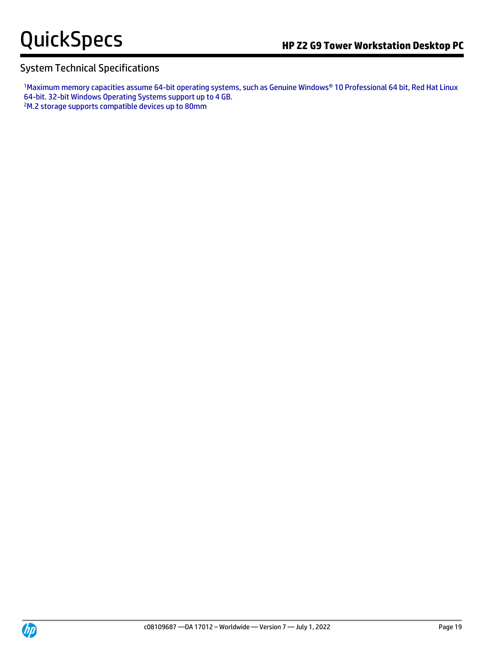1Maximum memory capacities assume 64-bit operating systems, such as Genuine Windows® 10 Professional 64 bit, Red Hat Linux 64-bit. 32-bit Windows Operating Systems support up to 4 GB.

2M.2 storage supports compatible devices up to 80mm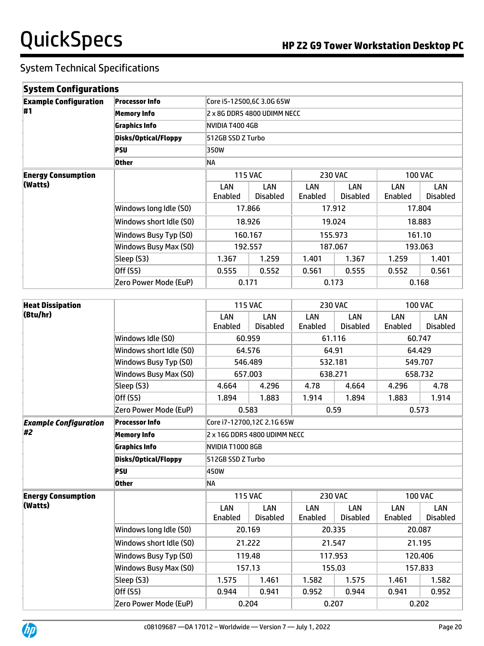| <b>System Configurations</b>         |                         |                                  |                        |                |                        |                |                        |  |
|--------------------------------------|-------------------------|----------------------------------|------------------------|----------------|------------------------|----------------|------------------------|--|
| <b>Example Configuration</b>         | <b>Processor Info</b>   | Core i5-12500,6C 3.0G 65W        |                        |                |                        |                |                        |  |
| <b>#1</b>                            | <b>Memory Info</b>      | 2 x 8G DDR5 4800 UDIMM NECC      |                        |                |                        |                |                        |  |
|                                      | <b>Graphics Info</b>    | NVIDIA T400 4GB                  |                        |                |                        |                |                        |  |
|                                      | Disks/Optical/Floppy    | 512GB SSD Z Turbo                |                        |                |                        |                |                        |  |
|                                      | PSU                     | 350W                             |                        |                |                        |                |                        |  |
|                                      | <b>Other</b>            | NA                               |                        |                |                        |                |                        |  |
| <b>Energy Consumption</b><br>(Watts) |                         | <b>115 VAC</b><br><b>230 VAC</b> |                        |                | <b>100 VAC</b>         |                |                        |  |
|                                      |                         | LAN<br>Enabled                   | LAN<br><b>Disabled</b> | LAN<br>Enabled | LAN<br><b>Disabled</b> | LAN<br>Enabled | LAN<br><b>Disabled</b> |  |
|                                      | Windows long Idle (S0)  | 17.866                           |                        | 17.912         |                        | 17.804         |                        |  |
|                                      | Windows short Idle (S0) | 18.926                           |                        | 19.024         |                        |                | 18.883                 |  |
|                                      | Windows Busy Typ (S0)   |                                  | 160.167                | 155.973        |                        | 161.10         |                        |  |
|                                      | Windows Busy Max (S0)   |                                  | 192.557                | 187.067        |                        | 193.063        |                        |  |
|                                      | Sleep (S3)              | 1.367                            | 1.259                  | 1.401          | 1.367                  | 1.259          | 1.401                  |  |
|                                      | Off (S5)                | 0.555                            | 0.552                  | 0.561          | 0.555                  | 0.552          | 0.561                  |  |
|                                      | Zero Power Mode (EuP)   |                                  | 0.171                  | 0.173          |                        | 0.168          |                        |  |

| <b>Heat Dissipation</b>            |                             |                              | <b>115 VAC</b>         | <b>230 VAC</b> |                               | <b>100 VAC</b> |                        |  |  |
|------------------------------------|-----------------------------|------------------------------|------------------------|----------------|-------------------------------|----------------|------------------------|--|--|
| (Btu/hr)                           |                             | LAN<br>Enabled               | LAN<br><b>Disabled</b> | LAN<br>Enabled | <b>LAN</b><br><b>Disabled</b> | LAN<br>Enabled | LAN<br>Disabled        |  |  |
|                                    | Windows Idle (S0)           |                              | 60.959                 |                | 61.116                        |                | 60.747                 |  |  |
|                                    | Windows short Idle (S0)     | 64.576                       |                        |                | 64.91                         | 64.429         |                        |  |  |
|                                    | Windows Busy Typ (S0)       |                              | 546.489                |                | 532.181                       | 549.707        |                        |  |  |
|                                    | Windows Busy Max (S0)       |                              | 657.003                |                | 638.271                       | 658.732        |                        |  |  |
|                                    | Sleep (S3)                  | 4.664                        | 4.296                  | 4.78           | 4.664                         | 4.296          | 4.78                   |  |  |
|                                    | Off (S5)                    | 1.894                        | 1.883                  | 1.914          | 1.894                         | 1.883          | 1.914                  |  |  |
|                                    | Zero Power Mode (EuP)       |                              | 0.583                  |                | 0.59                          | 0.573          |                        |  |  |
| <b>Example Configuration</b><br>#2 | <b>Processor Info</b>       | Core i7-12700,12C 2.1G 65W   |                        |                |                               |                |                        |  |  |
|                                    | <b>Memory Info</b>          | 2 x 16G DDR5 4800 UDIMM NECC |                        |                |                               |                |                        |  |  |
|                                    | <b>Graphics Info</b>        | NVIDIA T1000 8GB             |                        |                |                               |                |                        |  |  |
|                                    | <b>Disks/Optical/Floppy</b> | 512GB SSD Z Turbo            |                        |                |                               |                |                        |  |  |
|                                    | <b>PSU</b>                  | 450W                         |                        |                |                               |                |                        |  |  |
|                                    | <b>Other</b>                | NA                           |                        |                |                               |                |                        |  |  |
| <b>Energy Consumption</b>          |                             |                              | <b>115 VAC</b>         |                | <b>230 VAC</b>                | <b>100 VAC</b> |                        |  |  |
| (Watts)                            |                             | LAN<br>Enabled               | LAN<br><b>Disabled</b> | LAN<br>Enabled | <b>LAN</b><br><b>Disabled</b> | LAN<br>Enabled | LAN<br><b>Disabled</b> |  |  |
|                                    | Windows long Idle (S0)      |                              | 20.169                 |                | 20.335                        | 20.087         |                        |  |  |
|                                    | Windows short Idle (S0)     |                              | 21.222                 |                | 21.547                        | 21.195         |                        |  |  |
|                                    | Windows Busy Typ (S0)       |                              | 119.48                 |                | 117.953                       |                | 120.406                |  |  |
|                                    | Windows Busy Max (S0)       |                              | 157.13                 |                | 155.03                        | 157.833        |                        |  |  |
|                                    | Sleep (S3)                  | 1.575                        | 1.461                  | 1.582          | 1.575                         | 1.461          | 1.582                  |  |  |
|                                    | Off (S5)                    | 0.944                        | 0.941                  | 0.952          | 0.944                         | 0.941          | 0.952                  |  |  |
|                                    | Zero Power Mode (EuP)       |                              | 0.204                  | 0.207          |                               | 0.202          |                        |  |  |

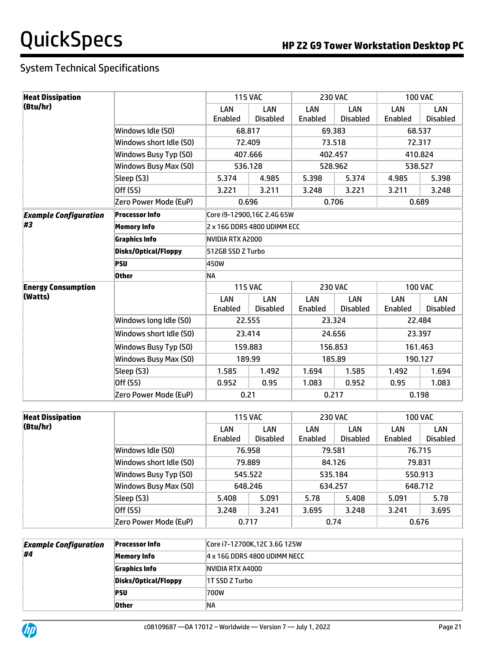| <b>Heat Dissipation</b>      |                             |                             | <b>115 VAC</b>         |                | <b>230 VAC</b>                |                | <b>100 VAC</b>         |  |  |
|------------------------------|-----------------------------|-----------------------------|------------------------|----------------|-------------------------------|----------------|------------------------|--|--|
| (Btu/hr)                     |                             | LAN                         | LAN                    | LAN            | LAN                           | LAN            | LAN                    |  |  |
|                              |                             | Enabled                     | <b>Disabled</b>        | Enabled        | <b>Disabled</b>               | Enabled        | <b>Disabled</b>        |  |  |
|                              | Windows Idle (S0)           |                             | 68.817                 |                | 69.383                        | 68.537         |                        |  |  |
|                              | Windows short Idle (S0)     | 72.409                      |                        |                | 73.518                        | 72.317         |                        |  |  |
|                              | Windows Busy Typ (S0)       |                             | 407.666                |                | 402.457                       | 410.824        |                        |  |  |
|                              | Windows Busy Max (S0)       |                             | 536.128                |                | 528.962                       | 538.527        |                        |  |  |
|                              | Sleep (S3)                  | 5.374                       | 4.985                  | 5.398          | 5.374                         | 4.985          | 5.398                  |  |  |
|                              | Off (S5)                    | 3.221                       | 3.211                  | 3.248          | 3.221                         | 3.211          | 3.248                  |  |  |
|                              | Zero Power Mode (EuP)       |                             | 0.696                  |                | 0.706                         | 0.689          |                        |  |  |
| <b>Example Configuration</b> | <b>Processor Info</b>       | Core i9-12900,16C 2.4G 65W  |                        |                |                               |                |                        |  |  |
| #3                           | <b>Memory Info</b>          | 2 x 16G DDR5 4800 UDIMM ECC |                        |                |                               |                |                        |  |  |
|                              | <b>Graphics Info</b>        | NVIDIA RTX A2000            |                        |                |                               |                |                        |  |  |
|                              | <b>Disks/Optical/Floppy</b> | 512GB SSD Z Turbo           |                        |                |                               |                |                        |  |  |
|                              | <b>PSU</b>                  | 450W                        |                        |                |                               |                |                        |  |  |
|                              | <b>Other</b>                | NA                          |                        |                |                               |                |                        |  |  |
| <b>Energy Consumption</b>    |                             |                             | <b>115 VAC</b>         |                | <b>230 VAC</b>                | <b>100 VAC</b> |                        |  |  |
| (Watts)                      |                             | LAN<br>Enabled              | LAN<br><b>Disabled</b> | LAN<br>Enabled | <b>LAN</b><br><b>Disabled</b> | LAN<br>Enabled | LAN<br><b>Disabled</b> |  |  |
|                              | Windows long Idle (S0)      |                             | 22.555                 |                | 23.324                        | 22.484         |                        |  |  |
|                              | Windows short Idle (S0)     |                             | 23.414                 |                | 24.656                        | 23.397         |                        |  |  |
|                              | Windows Busy Typ (S0)       |                             | 159.883                |                | 156.853                       | 161.463        |                        |  |  |
|                              | Windows Busy Max (S0)       |                             | 189.99                 |                | 185.89                        | 190.127        |                        |  |  |
|                              | Sleep (S3)                  | 1.585                       | 1.492                  | 1.694          | 1.585                         | 1.492          | 1.694                  |  |  |
|                              | Off (S5)                    | 0.952                       | 0.95                   | 1.083          | 0.952                         | 0.95           | 1.083                  |  |  |
|                              | Zero Power Mode (EuP)       | 0.21                        |                        | 0.217          |                               | 0.198          |                        |  |  |

| <b>Heat Dissipation</b> |                         |                    | <b>115 VAC</b>         |                | <b>230 VAC</b>         |                | <b>100 VAC</b>         |  |
|-------------------------|-------------------------|--------------------|------------------------|----------------|------------------------|----------------|------------------------|--|
| (Btu/hr)                |                         | LAN<br>Enabled     | LAN<br><b>Disabled</b> | LAN<br>Enabled | LAN<br><b>Disabled</b> | LAN<br>Enabled | LAN<br><b>Disabled</b> |  |
|                         | Windows Idle (S0)       |                    | 76.958                 | 79.581         |                        | 76.715         |                        |  |
|                         | Windows short Idle (SO) | 79.889             |                        | 84.126         |                        | 79.831         |                        |  |
|                         | Windows Busy Typ (S0)   | 545.522            |                        | 535.184        |                        | 550.913        |                        |  |
|                         | Windows Busy Max (S0)   | 648.246<br>634.257 |                        |                | 648.712                |                |                        |  |
|                         | Sleep (S3)              | 5.408              | 5.091                  | 5.78           | 5.408                  | 5.091          | 5.78                   |  |
|                         | Off (S5)                | 3.248              | 3.241                  | 3.695          | 3.248                  | 3.241          | 3.695                  |  |
|                         | Zero Power Mode (EuP)   |                    | 0.717                  | 0.74           |                        |                | 0.676                  |  |

| <b>Example Configuration</b> | <b>Processor Info</b> | Core i7-12700K,12C 3.6G 125W |
|------------------------------|-----------------------|------------------------------|
| #4                           | Memory Info           | 4 x 16G DDR5 4800 UDIMM NECC |
|                              | <b>Graphics Info</b>  | NVIDIA RTX A4000             |
|                              | Disks/Optical/Floppy  | 1T SSD Z Turbo               |
|                              | <b>PSU</b>            | 700W                         |
|                              | <b>Other</b>          | ΝA                           |

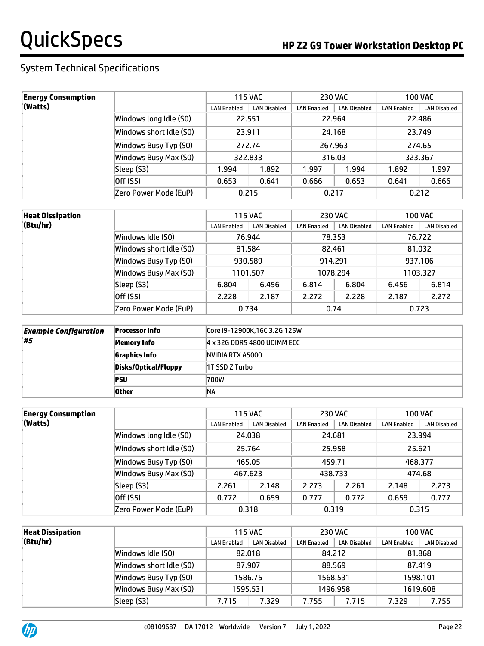| <b>Energy Consumption</b> |                         | <b>115 VAC</b><br><b>230 VAC</b> |                     |                    | 100 VAC             |                    |                     |
|---------------------------|-------------------------|----------------------------------|---------------------|--------------------|---------------------|--------------------|---------------------|
| (Watts)                   |                         | <b>LAN Enabled</b>               | <b>LAN Disabled</b> | <b>LAN Enabled</b> | <b>LAN Disabled</b> | <b>LAN Enabled</b> | <b>LAN Disabled</b> |
|                           | Windows long Idle (SO)  | 22.551                           |                     | 22.964             |                     | 22.486             |                     |
|                           | Windows short Idle (SO) | 23.911                           |                     | 24.168             |                     | 23.749             |                     |
|                           | Windows Busy Typ (S0)   | 272.74                           |                     | 267.963            |                     | 274.65             |                     |
|                           | Windows Busy Max (S0)   | 322.833                          |                     | 316.03             |                     | 323.367            |                     |
|                           | Sleep (S3)              | 1.994                            | 1.892               | 1.997              | 1.994               | 1.892              | 1.997               |
|                           | Off (S5)                | 0.653                            | 0.641               | 0.666              | 0.653               | 0.641              | 0.666               |
|                           | Zero Power Mode (EuP)   | 0.215                            |                     | 0.217              |                     |                    | 0.212               |

| <b>Heat Dissipation</b> |                         | <b>115 VAC</b>                            |        |                    | <b>230 VAC</b>      |                    | 100 VAC             |  |
|-------------------------|-------------------------|-------------------------------------------|--------|--------------------|---------------------|--------------------|---------------------|--|
| (Btu/hr)                |                         | <b>LAN Disabled</b><br><b>LAN Enabled</b> |        | <b>LAN Enabled</b> | <b>LAN Disabled</b> | <b>LAN Enabled</b> | <b>LAN Disabled</b> |  |
|                         | Windows Idle (SO)       |                                           | 76.944 |                    | 78.353              |                    | 76.722              |  |
|                         | Windows short Idle (S0) | 81.584                                    |        | 82.461             |                     | 81.032             |                     |  |
|                         | Windows Busy Typ (S0)   | 930.589                                   |        | 914.291            |                     | 937.106            |                     |  |
|                         | Windows Busy Max (S0)   | 1101.507                                  |        | 1078.294           |                     | 1103.327           |                     |  |
|                         | Sleep (S3)              | 6.804                                     | 6.456  | 6.814              | 6.804               | 6.456              | 6.814               |  |
|                         | Off (S5)                | 2.228                                     | 2.187  | 2.272              | 2.228               | 2.187              | 2.272               |  |
|                         | Zero Power Mode (EuP)   | 0.734                                     |        | 0.74               |                     | 0.723              |                     |  |

| <b>Example Configuration</b> | <b>Processor Info</b> | Core i9-12900K, 16C 3.2G 125W |
|------------------------------|-----------------------|-------------------------------|
| #5                           | Memory Info           | 4 x 32G DDR5 4800 UDIMM ECC   |
|                              | <b>Graphics Info</b>  | NVIDIA RTX A5000              |
|                              | Disks/Optical/Floppy  | 1T SSD Z Turbo                |
|                              | ∣PSU                  | 700W                          |
|                              | <b>Other</b>          | 'NΑ                           |

| <b>Energy Consumption</b> |                         |                    | <b>115 VAC</b>      | <b>230 VAC</b>     |                     |                    | <b>100 VAC</b>      |
|---------------------------|-------------------------|--------------------|---------------------|--------------------|---------------------|--------------------|---------------------|
| (Watts)                   |                         | <b>LAN Enabled</b> | <b>LAN Disabled</b> | <b>LAN Enabled</b> | <b>LAN Disabled</b> | <b>LAN Enabled</b> | <b>LAN Disabled</b> |
|                           | Windows long Idle (SO)  | 24.038             |                     |                    | 24.681              |                    | 23.994              |
|                           | Windows short Idle (S0) | 25.764             |                     | 25.958             |                     | 25.621             |                     |
|                           | Windows Busy Typ (S0)   | 465.05             |                     | 459.71             |                     | 468.377            |                     |
|                           | Windows Busy Max (S0)   | 467.623            |                     | 438.733            |                     | 474.68             |                     |
|                           | Sleep (S3)              | 2.261              | 2.148               | 2.273              | 2.261               | 2.148              | 2.273               |
|                           | Off (S5)                | 0.772              | 0.659               | 0.777              | 0.772               | 0.659              | 0.777               |
|                           | Zero Power Mode (EuP)   | 0.318              |                     |                    | 0.319               |                    | 0.315               |

| <b>Heat Dissipation</b> |                         | <b>115 VAC</b>                     |         | <b>230 VAC</b>     |              | <b>100 VAC</b>     |              |
|-------------------------|-------------------------|------------------------------------|---------|--------------------|--------------|--------------------|--------------|
| (Btu/hr)                |                         | LAN Disabled<br><b>LAN Enabled</b> |         | <b>LAN Enabled</b> | LAN Disabled | <b>LAN Enabled</b> | LAN Disabled |
|                         | Windows Idle (S0)       | 82.018                             |         | 84.212             |              | 81.868             |              |
|                         | Windows short Idle (SO) | 87.907                             |         | 88.569             |              | 87.419             |              |
|                         | Windows Busy Typ (S0)   |                                    | 1586.75 | 1568.531           |              |                    | 1598.101     |
|                         | Windows Busy Max (S0)   | 1496.958<br>1595.531               |         | 1619.608           |              |                    |              |
|                         | Sleep (S3)              | 7.715                              | 7.329   | 7.755              | 7.715        | 7.329              | 7.755        |

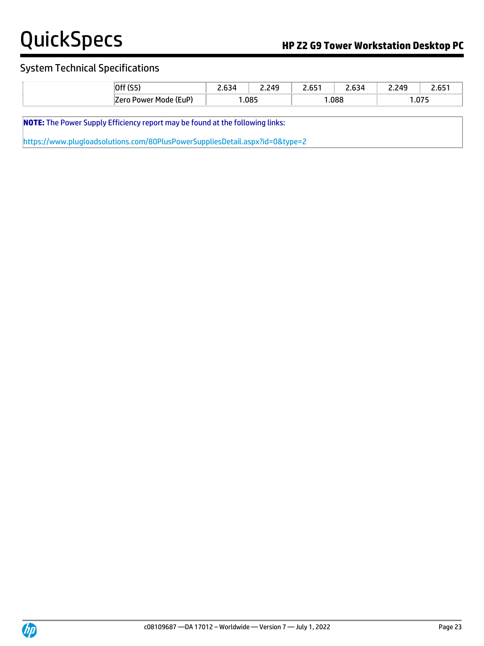# System Technical Specifications

| ∩ff<br>. <b>U</b> I.               | $\sim$<br>___ | 240<br>--- | . <i>.</i> .<br>י כס<br>$ -$ | C <sub>2</sub><br>$ -$ | 240<br>--- | $- - -$           |
|------------------------------------|---------------|------------|------------------------------|------------------------|------------|-------------------|
| . (EuP`<br>7 nr r<br>Mode<br>Power |               | .085       |                              | .088                   |            | $- - -$<br>د ، ں. |

**NOTE:** The Power Supply Efficiency report may be found at the following links:

<https://www.plugloadsolutions.com/80PlusPowerSuppliesDetail.aspx?id=0&type=2>

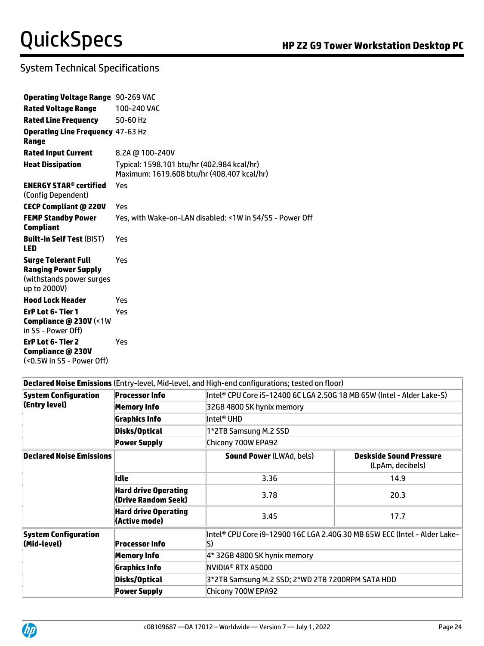| <b>Operating Voltage Range</b> 90-269 VAC                                                              |                                                                                          |
|--------------------------------------------------------------------------------------------------------|------------------------------------------------------------------------------------------|
| <b>Rated Voltage Range</b>                                                                             | 100-240 VAC                                                                              |
| <b>Rated Line Frequency</b>                                                                            | 50-60 Hz                                                                                 |
| <b>Operating Line Frequency 47-63 Hz</b><br>Range                                                      |                                                                                          |
| <b>Rated Input Current</b>                                                                             | 8.2A @ 100-240V                                                                          |
| <b>Heat Dissipation</b>                                                                                | Typical: 1598.101 btu/hr (402.984 kcal/hr)<br>Maximum: 1619.608 btu/hr (408.407 kcal/hr) |
| <b>ENERGY STAR® certified</b><br>(Config Dependent)                                                    | Yes                                                                                      |
| <b>CECP Compliant @ 220V</b>                                                                           | Yes                                                                                      |
| <b>FEMP Standby Power</b><br><b>Compliant</b>                                                          | Yes, with Wake-on-LAN disabled: <1W in S4/S5 - Power Off                                 |
| <b>Built-in Self Test (BIST)</b><br><b>LED</b>                                                         | Yes                                                                                      |
| <b>Surge Tolerant Full</b><br><b>Ranging Power Supply</b><br>(withstands power surges)<br>up to 2000V) | Yes                                                                                      |
| <b>Hood Lock Header</b>                                                                                | Yes                                                                                      |
| ErP Lot 6- Tier 1<br>Compliance @ 230V (<1W<br>in S5 - Power Off)                                      | Yes                                                                                      |
| ErP Lot 6- Tier 2<br>Compliance @ 230V<br>(<0.5W in S5 - Power Off)                                    | Yes                                                                                      |

### **Declared Noise Emissions** (Entry-level, Mid-level, and High-end configurations; tested on floor)

| <b>System Configuration</b>                | <b>Processor Info</b>                              | Intel® CPU Core i5-12400 6C LGA 2.50G 18 MB 65W (Intel - Alder Lake-S)          |                                                    |  |  |  |  |  |  |
|--------------------------------------------|----------------------------------------------------|---------------------------------------------------------------------------------|----------------------------------------------------|--|--|--|--|--|--|
| (Entry level)                              | <b>Memory Info</b>                                 | 32GB 4800 SK hynix memory                                                       |                                                    |  |  |  |  |  |  |
|                                            | <b>Graphics Info</b>                               | Intel® UHD                                                                      |                                                    |  |  |  |  |  |  |
|                                            | Disks/Optical                                      | 1*2TB Samsung M.2 SSD                                                           |                                                    |  |  |  |  |  |  |
|                                            | <b>Power Supply</b>                                | Chicony 700W EPA92                                                              |                                                    |  |  |  |  |  |  |
| <b>Declared Noise Emissions</b>            |                                                    | <b>Sound Power (LWAd, bels)</b>                                                 | <b>Deskside Sound Pressure</b><br>(LpAm, decibels) |  |  |  |  |  |  |
|                                            | Idle                                               | 3.36                                                                            | 14.9                                               |  |  |  |  |  |  |
|                                            | <b>Hard drive Operating</b><br>(Drive Random Seek) | 3.78                                                                            | 20.3                                               |  |  |  |  |  |  |
|                                            | <b>Hard drive Operating</b><br>(Active mode)       | 3.45                                                                            | 17.7                                               |  |  |  |  |  |  |
| <b>System Configuration</b><br>(Mid-level) | <b>Processor Info</b>                              | Intel® CPU Core i9-12900 16C LGA 2.40G 30 MB 65W ECC (Intel - Alder Lake-<br>S) |                                                    |  |  |  |  |  |  |
|                                            | <b>Memory Info</b>                                 | 4* 32GB 4800 SK hynix memory                                                    |                                                    |  |  |  |  |  |  |
|                                            | <b>Graphics Info</b>                               | NVIDIA® RTX A5000                                                               |                                                    |  |  |  |  |  |  |
|                                            | Disks/Optical                                      | 3*2TB Samsung M.2 SSD; 2*WD 2TB 7200RPM SATA HDD                                |                                                    |  |  |  |  |  |  |
|                                            | <b>Power Supply</b>                                | Chicony 700W EPA92                                                              |                                                    |  |  |  |  |  |  |
|                                            |                                                    |                                                                                 |                                                    |  |  |  |  |  |  |

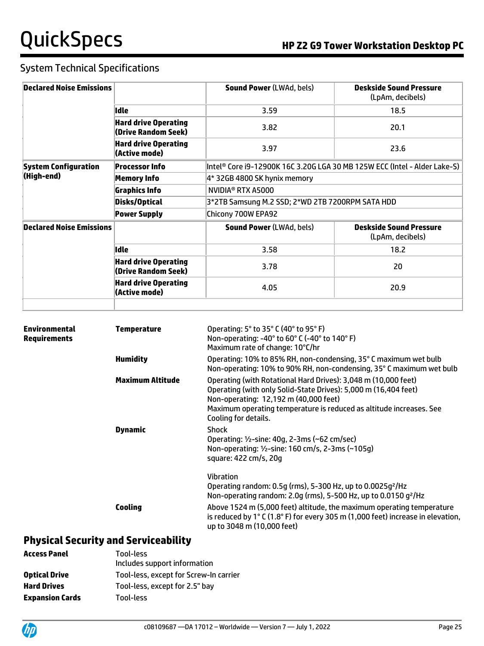| <b>Declared Noise Emissions</b> |                                                    | <b>Sound Power (LWAd, bels)</b>                                           | <b>Deskside Sound Pressure</b><br>(LpAm, decibels) |  |  |  |
|---------------------------------|----------------------------------------------------|---------------------------------------------------------------------------|----------------------------------------------------|--|--|--|
|                                 | lidle                                              | 3.59                                                                      | 18.5                                               |  |  |  |
|                                 | <b>Hard drive Operating</b><br>(Drive Random Seek) | 3.82                                                                      | 20.1                                               |  |  |  |
|                                 | <b>Hard drive Operating</b><br>(Active mode)       | 3.97                                                                      | 23.6                                               |  |  |  |
| <b>System Configuration</b>     | <b>Processor Info</b>                              | Intel® Core i9-12900K 16C 3.20G LGA 30 MB 125W ECC (Intel - Alder Lake-S) |                                                    |  |  |  |
| (High-end)                      | <b>Memory Info</b>                                 | 4* 32GB 4800 SK hynix memory                                              |                                                    |  |  |  |
|                                 | <b>Graphics Info</b>                               | NVIDIA® RTX A5000                                                         |                                                    |  |  |  |
|                                 | Disks/Optical                                      | 3*2TB Samsung M.2 SSD; 2*WD 2TB 7200RPM SATA HDD                          |                                                    |  |  |  |
|                                 | <b>Power Supply</b>                                | Chicony 700W EPA92                                                        |                                                    |  |  |  |
| <b>Declared Noise Emissions</b> |                                                    | <b>Sound Power (LWAd, bels)</b>                                           | <b>Deskside Sound Pressure</b><br>(LpAm, decibels) |  |  |  |
|                                 | Idle                                               | 3.58                                                                      | 18.2                                               |  |  |  |
|                                 | <b>Hard drive Operating</b><br>(Drive Random Seek) | 3.78                                                                      | 20                                                 |  |  |  |
|                                 | <b>Hard drive Operating</b><br>(Active mode)       | 4.05                                                                      | 20.9                                               |  |  |  |
|                                 |                                                    |                                                                           |                                                    |  |  |  |

| <b>Environmental</b><br>Requirements | <b>Temperature</b> | Operating: 5° to 35° C (40° to 95° F)<br>Non-operating: -40° to 60° C (-40° to 140° F)<br>Maximum rate of change: 10°C/hr                                                                                                                                                 |  |  |  |
|--------------------------------------|--------------------|---------------------------------------------------------------------------------------------------------------------------------------------------------------------------------------------------------------------------------------------------------------------------|--|--|--|
|                                      | <b>Humidity</b>    | Operating: 10% to 85% RH, non-condensing, 35° C maximum wet bulb<br>Non-operating: 10% to 90% RH, non-condensing, 35° C maximum wet bulb                                                                                                                                  |  |  |  |
|                                      | Maximum Altitude   | Operating (with Rotational Hard Drives): 3,048 m (10,000 feet)<br>Operating (with only Solid-State Drives): 5,000 m (16,404 feet)<br>Non-operating: 12,192 m (40,000 feet)<br>Maximum operating temperature is reduced as altitude increases. See<br>Cooling for details. |  |  |  |
|                                      | <b>Dynamic</b>     | <b>Shock</b><br>Operating: 1/2-sine: 40g, 2-3ms (~62 cm/sec)<br>Non-operating: 1/2-sine: 160 cm/s, 2-3ms (~105q)<br>square: 422 cm/s, 20g                                                                                                                                 |  |  |  |
|                                      |                    | <b>Vibration</b><br>Operating random: 0.5g (rms), 5-300 Hz, up to 0.0025g <sup>2</sup> /Hz<br>Non-operating random: 2.0g (rms), 5-500 Hz, up to 0.0150 g <sup>2</sup> /Hz                                                                                                 |  |  |  |
|                                      | Cooling            | Above 1524 m (5,000 feet) altitude, the maximum operating temperature<br>is reduced by $1^{\circ}$ C (1.8 $^{\circ}$ F) for every 305 m (1,000 feet) increase in elevation,<br>up to 3048 m (10,000 feet)                                                                 |  |  |  |

### **Physical Security and Serviceability Access Panel** Tool-less

| ALLESS FAIIEL          | 1001-1255<br>Includes support information |
|------------------------|-------------------------------------------|
| <b>Optical Drive</b>   | Tool-less, except for Screw-In carrier    |
| <b>Hard Drives</b>     | Tool-less, except for 2.5" bay            |
| <b>Expansion Cards</b> | Tool-less                                 |
|                        |                                           |

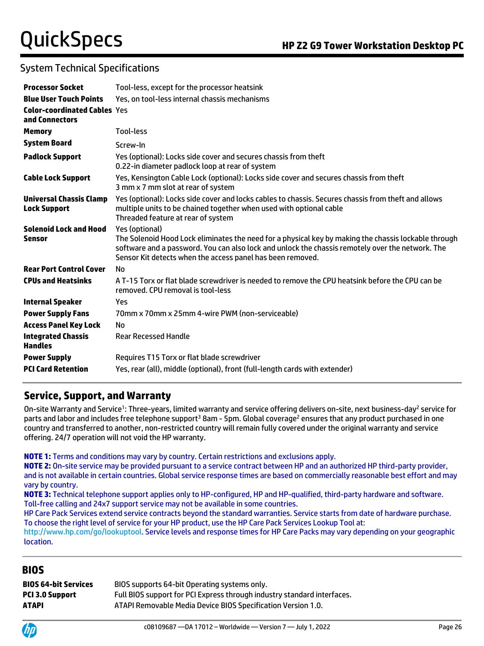# System Technical Specifications

| <b>Processor Socket</b>                               | Tool-less, except for the processor heatsink                                                                                                                                                                                                                                             |
|-------------------------------------------------------|------------------------------------------------------------------------------------------------------------------------------------------------------------------------------------------------------------------------------------------------------------------------------------------|
| <b>Blue User Touch Points</b>                         | Yes, on tool-less internal chassis mechanisms                                                                                                                                                                                                                                            |
| <b>Color-coordinated Cables Yes</b><br>and Connectors |                                                                                                                                                                                                                                                                                          |
| <b>Memory</b>                                         | Tool-less                                                                                                                                                                                                                                                                                |
| <b>System Board</b>                                   | Screw-In                                                                                                                                                                                                                                                                                 |
| <b>Padlock Support</b>                                | Yes (optional): Locks side cover and secures chassis from theft<br>0.22-in diameter padlock loop at rear of system                                                                                                                                                                       |
| <b>Cable Lock Support</b>                             | Yes, Kensington Cable Lock (optional): Locks side cover and secures chassis from theft<br>3 mm x 7 mm slot at rear of system                                                                                                                                                             |
| <b>Universal Chassis Clamp</b><br><b>Lock Support</b> | Yes (optional): Locks side cover and locks cables to chassis. Secures chassis from theft and allows<br>multiple units to be chained together when used with optional cable<br>Threaded feature at rear of system                                                                         |
| <b>Solenoid Lock and Hood</b><br>Sensor               | Yes (optional)<br>The Solenoid Hood Lock eliminates the need for a physical key by making the chassis lockable through<br>software and a password. You can also lock and unlock the chassis remotely over the network. The<br>Sensor Kit detects when the access panel has been removed. |
| <b>Rear Port Control Cover</b>                        | No                                                                                                                                                                                                                                                                                       |
| <b>CPUs and Heatsinks</b>                             | A T-15 Torx or flat blade screwdriver is needed to remove the CPU heatsink before the CPU can be<br>removed. CPU removal is tool-less                                                                                                                                                    |
| <b>Internal Speaker</b>                               | Yes                                                                                                                                                                                                                                                                                      |
| <b>Power Supply Fans</b>                              | 70mm x 70mm x 25mm 4-wire PWM (non-serviceable)                                                                                                                                                                                                                                          |
| <b>Access Panel Key Lock</b>                          | No.                                                                                                                                                                                                                                                                                      |
| <b>Integrated Chassis</b><br><b>Handles</b>           | <b>Rear Recessed Handle</b>                                                                                                                                                                                                                                                              |
| <b>Power Supply</b>                                   | Requires T15 Torx or flat blade screwdriver                                                                                                                                                                                                                                              |
| <b>PCI Card Retention</b>                             | Yes, rear (all), middle (optional), front (full-length cards with extender)                                                                                                                                                                                                              |

# **Service, Support, and Warranty**

On-site Warranty and Service<sup>1</sup>: Three-years, limited warranty and service offering delivers on-site, next business-day<sup>2</sup> service for parts and labor and includes free telephone support<sup>3</sup> 8am - 5pm. Global coverage<sup>2</sup> ensures that any product purchased in one country and transferred to another, non-restricted country will remain fully covered under the original warranty and service offering. 24/7 operation will not void the HP warranty.

### **NOTE 1:** Terms and conditions may vary by country. Certain restrictions and exclusions apply.

**NOTE 2:** On-site service may be provided pursuant to a service contract between HP and an authorized HP third-party provider, and is not available in certain countries. Global service response times are based on commercially reasonable best effort and may vary by country.

**NOTE 3:** Technical telephone support applies only to HP-configured, HP and HP-qualified, third-party hardware and software. Toll-free calling and 24x7 support service may not be available in some countries.

HP Care Pack Services extend service contracts beyond the standard warranties. Service starts from date of hardware purchase. To choose the right level of service for your HP product, use the HP Care Pack Services Lookup Tool at:

[http://www.hp.com/go/lookuptool.](http://www.hp.com/go/lookuptool) Service levels and response times for HP Care Packs may vary depending on your geographic location.

# **BIOS**

| BIOS 64-bit Services | BIOS supports 64-bit Operating systems only.                            |
|----------------------|-------------------------------------------------------------------------|
| PCI 3.0 Support      | Full BIOS support for PCI Express through industry standard interfaces. |
| ATAPI                | ATAPI Removable Media Device BIOS Specification Version 1.0.            |
|                      |                                                                         |

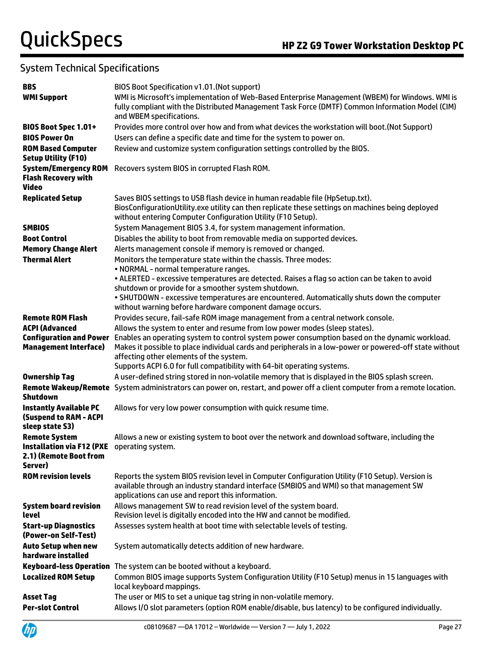| <b>BBS</b>                                                                                               | BIOS Boot Specification v1.01. (Not support)                                                                                                                                                                                                       |
|----------------------------------------------------------------------------------------------------------|----------------------------------------------------------------------------------------------------------------------------------------------------------------------------------------------------------------------------------------------------|
| <b>WMI Support</b>                                                                                       | WMI is Microsoft's implementation of Web-Based Enterprise Management (WBEM) for Windows. WMI is<br>fully compliant with the Distributed Management Task Force (DMTF) Common Information Model (CIM)<br>and WBEM specifications.                    |
| BIOS Boot Spec 1.01+                                                                                     | Provides more control over how and from what devices the workstation will boot. (Not Support)                                                                                                                                                      |
| <b>BIOS Power On</b>                                                                                     | Users can define a specific date and time for the system to power on.                                                                                                                                                                              |
| <b>ROM Based Computer</b><br><b>Setup Utility (F10)</b>                                                  | Review and customize system configuration settings controlled by the BIOS.                                                                                                                                                                         |
| <b>System/Emergency ROM</b><br><b>Flash Recovery with</b><br><b>Video</b>                                | Recovers system BIOS in corrupted Flash ROM.                                                                                                                                                                                                       |
| <b>Replicated Setup</b>                                                                                  | Saves BIOS settings to USB flash device in human readable file (HpSetup.txt).<br>BiosConfigurationUtility.exe utility can then replicate these settings on machines being deployed<br>without entering Computer Configuration Utility (F10 Setup). |
| <b>SMBIOS</b>                                                                                            | System Management BIOS 3.4, for system management information.                                                                                                                                                                                     |
| <b>Boot Control</b>                                                                                      | Disables the ability to boot from removable media on supported devices.                                                                                                                                                                            |
| <b>Memory Change Alert</b>                                                                               | Alerts management console if memory is removed or changed.                                                                                                                                                                                         |
| <b>Thermal Alert</b>                                                                                     | Monitors the temperature state within the chassis. Three modes:                                                                                                                                                                                    |
|                                                                                                          | • NORMAL - normal temperature ranges.                                                                                                                                                                                                              |
|                                                                                                          | . ALERTED - excessive temperatures are detected. Raises a flag so action can be taken to avoid                                                                                                                                                     |
|                                                                                                          | shutdown or provide for a smoother system shutdown.<br>. SHUTDOWN - excessive temperatures are encountered. Automatically shuts down the computer                                                                                                  |
|                                                                                                          | without warning before hardware component damage occurs.                                                                                                                                                                                           |
| <b>Remote ROM Flash</b>                                                                                  | Provides secure, fail-safe ROM image management from a central network console.                                                                                                                                                                    |
| <b>ACPI (Advanced</b>                                                                                    | Allows the system to enter and resume from low power modes (sleep states).                                                                                                                                                                         |
| <b>Configuration and Power</b>                                                                           | Enables an operating system to control system power consumption based on the dynamic workload.                                                                                                                                                     |
| <b>Management Interface)</b>                                                                             | Makes it possible to place individual cards and peripherals in a low-power or powered-off state without                                                                                                                                            |
|                                                                                                          | affecting other elements of the system.                                                                                                                                                                                                            |
|                                                                                                          | Supports ACPI 6.0 for full compatibility with 64-bit operating systems.                                                                                                                                                                            |
| <b>Ownership Tag</b>                                                                                     | A user-defined string stored in non-volatile memory that is displayed in the BIOS splash screen.                                                                                                                                                   |
| <b>Shutdown</b>                                                                                          | Remote Wakeup/Remote System administrators can power on, restart, and power off a client computer from a remote location.                                                                                                                          |
| <b>Instantly Available PC</b><br>(Suspend to RAM - ACPI<br>sleep state S3)                               | Allows for very low power consumption with quick resume time.                                                                                                                                                                                      |
| <b>Remote System</b><br>Installation via F12 (PXE operating system.<br>2.1) (Remote Boot from<br>Server) | Allows a new or existing system to boot over the network and download software, including the                                                                                                                                                      |
| <b>ROM revision levels</b>                                                                               | Reports the system BIOS revision level in Computer Configuration Utility (F10 Setup). Version is<br>available through an industry standard interface (SMBIOS and WMI) so that management SW<br>applications can use and report this information.   |
| <b>System board revision</b><br>level                                                                    | Allows management SW to read revision level of the system board.<br>Revision level is digitally encoded into the HW and cannot be modified.                                                                                                        |
| <b>Start-up Diagnostics</b><br>(Power-on Self-Test)                                                      | Assesses system health at boot time with selectable levels of testing.                                                                                                                                                                             |
| <b>Auto Setup when new</b><br>hardware installed                                                         | System automatically detects addition of new hardware.                                                                                                                                                                                             |
| <b>Keyboard-less Operation</b>                                                                           | The system can be booted without a keyboard.                                                                                                                                                                                                       |
| <b>Localized ROM Setup</b>                                                                               | Common BIOS image supports System Configuration Utility (F10 Setup) menus in 15 languages with<br>local keyboard mappings.                                                                                                                         |
| <b>Asset Tag</b>                                                                                         | The user or MIS to set a unique tag string in non-volatile memory.                                                                                                                                                                                 |
| <b>Per-slot Control</b>                                                                                  | Allows I/O slot parameters (option ROM enable/disable, bus latency) to be configured individually.                                                                                                                                                 |

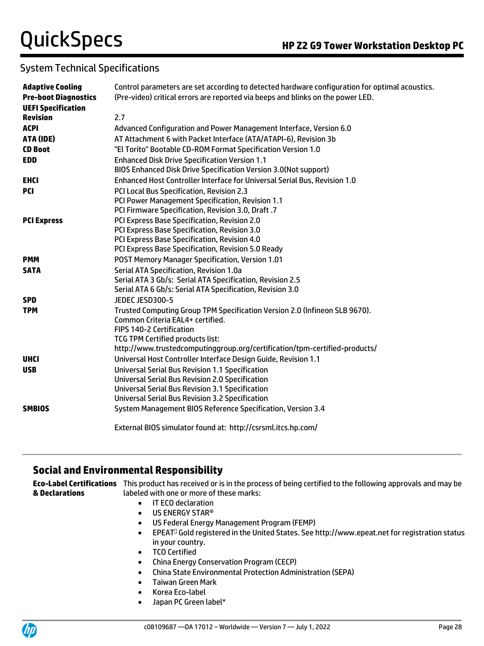| <b>Adaptive Cooling</b>     | Control parameters are set according to detected hardware configuration for optimal acoustics.                   |  |  |  |  |  |
|-----------------------------|------------------------------------------------------------------------------------------------------------------|--|--|--|--|--|
| <b>Pre-boot Diagnostics</b> | (Pre-video) critical errors are reported via beeps and blinks on the power LED.                                  |  |  |  |  |  |
| <b>UEFI Specification</b>   |                                                                                                                  |  |  |  |  |  |
| <b>Revision</b>             | 2.7                                                                                                              |  |  |  |  |  |
| <b>ACPI</b>                 | Advanced Configuration and Power Management Interface, Version 6.0                                               |  |  |  |  |  |
| ATA (IDE)                   | AT Attachment 6 with Packet Interface (ATA/ATAPI-6), Revision 3b                                                 |  |  |  |  |  |
| <b>CD Boot</b>              | "El Torito" Bootable CD-ROM Format Specification Version 1.0                                                     |  |  |  |  |  |
| <b>EDD</b>                  | <b>Enhanced Disk Drive Specification Version 1.1</b>                                                             |  |  |  |  |  |
|                             | BIOS Enhanced Disk Drive Specification Version 3.0(Not support)                                                  |  |  |  |  |  |
| <b>EHCI</b>                 | Enhanced Host Controller Interface for Universal Serial Bus, Revision 1.0                                        |  |  |  |  |  |
| <b>PCI</b>                  | PCI Local Bus Specification, Revision 2.3                                                                        |  |  |  |  |  |
|                             | PCI Power Management Specification, Revision 1.1                                                                 |  |  |  |  |  |
|                             | PCI Firmware Specification, Revision 3.0, Draft .7                                                               |  |  |  |  |  |
| <b>PCI Express</b>          | PCI Express Base Specification, Revision 2.0                                                                     |  |  |  |  |  |
|                             | PCI Express Base Specification, Revision 3.0                                                                     |  |  |  |  |  |
|                             | PCI Express Base Specification, Revision 4.0                                                                     |  |  |  |  |  |
|                             | PCI Express Base Specification, Revision 5.0 Ready                                                               |  |  |  |  |  |
| <b>PMM</b>                  | POST Memory Manager Specification, Version 1.01                                                                  |  |  |  |  |  |
| <b>SATA</b>                 | Serial ATA Specification, Revision 1.0a                                                                          |  |  |  |  |  |
|                             | Serial ATA 3 Gb/s: Serial ATA Specification, Revision 2.5                                                        |  |  |  |  |  |
|                             | Serial ATA 6 Gb/s: Serial ATA Specification, Revision 3.0                                                        |  |  |  |  |  |
| <b>SPD</b>                  | JEDEC JESD300-5                                                                                                  |  |  |  |  |  |
| <b>TPM</b>                  | Trusted Computing Group TPM Specification Version 2.0 (Infineon SLB 9670).                                       |  |  |  |  |  |
|                             | Common Criteria EAL4+ certified.                                                                                 |  |  |  |  |  |
|                             | FIPS 140-2 Certification                                                                                         |  |  |  |  |  |
|                             | TCG TPM Certified products list:                                                                                 |  |  |  |  |  |
|                             | http://www.trustedcomputinggroup.org/certification/tpm-certified-products/                                       |  |  |  |  |  |
| <b>UHCI</b>                 | Universal Host Controller Interface Design Guide, Revision 1.1                                                   |  |  |  |  |  |
| <b>USB</b>                  | <b>Universal Serial Bus Revision 1.1 Specification</b>                                                           |  |  |  |  |  |
|                             | <b>Universal Serial Bus Revision 2.0 Specification</b>                                                           |  |  |  |  |  |
|                             | <b>Universal Serial Bus Revision 3.1 Specification</b><br><b>Universal Serial Bus Revision 3.2 Specification</b> |  |  |  |  |  |
|                             |                                                                                                                  |  |  |  |  |  |
| <b>SMBIOS</b>               | System Management BIOS Reference Specification, Version 3.4                                                      |  |  |  |  |  |
|                             | External BIOS simulator found at: http://csrsml.itcs.hp.com/                                                     |  |  |  |  |  |

# **Social and Environmental Responsibility**

**Eco-Label Certifications**  This product has received or is in the process of being certified to the following approvals and may be **& Declarations** labeled with one or more of these marks:

- IT ECO declaration
- US ENERGY STAR®
- US Federal Energy Management Program (FEMP)
- EPEAT<sup>D</sup> Gold registered in the United States. See http://www.epeat.net for registration status in your country.
- TCO Certified
- China Energy Conservation Program (CECP)
- China State Environmental Protection Administration (SEPA)
- Taiwan Green Mark
- Korea Eco-label
- Japan PC Green label\*

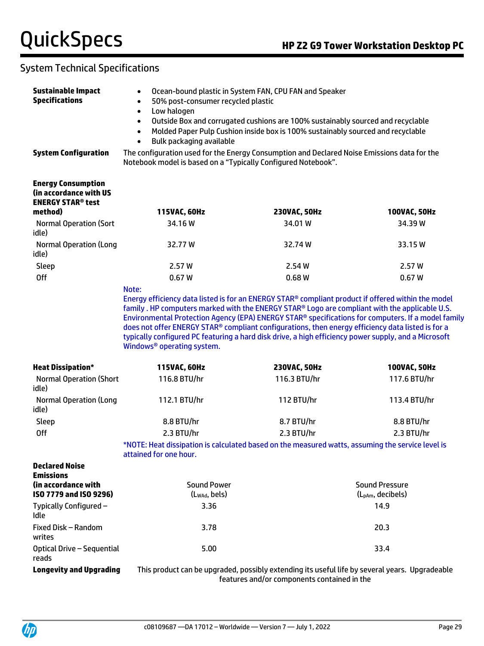| <b>Sustainable Impact</b><br><b>Specifications</b>                                         | Ocean-bound plastic in System FAN, CPU FAN and Speaker<br>$\bullet$<br>50% post-consumer recycled plastic<br>Low halogen<br>$\bullet$<br>Outside Box and corrugated cushions are 100% sustainably sourced and recyclable<br>$\bullet$<br>Molded Paper Pulp Cushion inside box is 100% sustainably sourced and recyclable<br>$\bullet$<br>Bulk packaging available<br>$\bullet$                                                                              |                                                                                                                                                              |              |  |  |  |  |  |
|--------------------------------------------------------------------------------------------|-------------------------------------------------------------------------------------------------------------------------------------------------------------------------------------------------------------------------------------------------------------------------------------------------------------------------------------------------------------------------------------------------------------------------------------------------------------|--------------------------------------------------------------------------------------------------------------------------------------------------------------|--------------|--|--|--|--|--|
| <b>System Configuration</b>                                                                |                                                                                                                                                                                                                                                                                                                                                                                                                                                             | The configuration used for the Energy Consumption and Declared Noise Emissions data for the<br>Notebook model is based on a "Typically Configured Notebook". |              |  |  |  |  |  |
| <b>Energy Consumption</b><br>(in accordance with US<br><b>ENERGY STAR<sup>®</sup> test</b> |                                                                                                                                                                                                                                                                                                                                                                                                                                                             |                                                                                                                                                              |              |  |  |  |  |  |
| method)                                                                                    | 115VAC, 60Hz                                                                                                                                                                                                                                                                                                                                                                                                                                                | 230VAC, 50Hz                                                                                                                                                 | 100VAC, 50Hz |  |  |  |  |  |
| <b>Normal Operation (Sort</b><br>idle)                                                     | 34.16 W                                                                                                                                                                                                                                                                                                                                                                                                                                                     | 34.01 W                                                                                                                                                      | 34.39 W      |  |  |  |  |  |
| <b>Normal Operation (Long</b><br>idle)                                                     | 32.77 W                                                                                                                                                                                                                                                                                                                                                                                                                                                     | 32.74 W                                                                                                                                                      | 33.15 W      |  |  |  |  |  |
| Sleep                                                                                      | 2.57 W                                                                                                                                                                                                                                                                                                                                                                                                                                                      | 2.54 W                                                                                                                                                       | 2.57W        |  |  |  |  |  |
| <b>Off</b>                                                                                 | 0.67W                                                                                                                                                                                                                                                                                                                                                                                                                                                       | 0.68W                                                                                                                                                        | 0.67W        |  |  |  |  |  |
|                                                                                            | family . HP computers marked with the ENERGY STAR® Logo are compliant with the applicable U.S.<br>Environmental Protection Agency (EPA) ENERGY STAR® specifications for computers. If a model family<br>does not offer ENERGY STAR® compliant configurations, then energy efficiency data listed is for a<br>typically configured PC featuring a hard disk drive, a high efficiency power supply, and a Microsoft<br>Windows <sup>®</sup> operating system. |                                                                                                                                                              |              |  |  |  |  |  |
| <b>Heat Dissipation*</b>                                                                   | 115VAC, 60Hz                                                                                                                                                                                                                                                                                                                                                                                                                                                | 230VAC, 50Hz                                                                                                                                                 | 100VAC, 50Hz |  |  |  |  |  |
| <b>Normal Operation (Short</b><br>idle)                                                    | 116.8 BTU/hr                                                                                                                                                                                                                                                                                                                                                                                                                                                | 116.3 BTU/hr                                                                                                                                                 | 117.6 BTU/hr |  |  |  |  |  |
| <b>Normal Operation (Long</b><br>idle)                                                     | 112.1 BTU/hr                                                                                                                                                                                                                                                                                                                                                                                                                                                | 112 BTU/hr                                                                                                                                                   | 113.4 BTU/hr |  |  |  |  |  |
| Sleep                                                                                      | 8.8 BTU/hr                                                                                                                                                                                                                                                                                                                                                                                                                                                  | 8.7 BTU/hr                                                                                                                                                   | 8.8 BTU/hr   |  |  |  |  |  |
| <b>Off</b>                                                                                 | 2.3 BTU/hr                                                                                                                                                                                                                                                                                                                                                                                                                                                  | 2.3 BTU/hr                                                                                                                                                   | 2.3 BTU/hr   |  |  |  |  |  |
|                                                                                            | *NOTE: Heat dissipation is calculated based on the measured watts, assuming the service level is<br>attained for one hour.                                                                                                                                                                                                                                                                                                                                  |                                                                                                                                                              |              |  |  |  |  |  |
| <b>Declared Noise</b><br><b>Emissions</b>                                                  |                                                                                                                                                                                                                                                                                                                                                                                                                                                             |                                                                                                                                                              |              |  |  |  |  |  |
| (in accordance with<br>ISO 7779 and ISO 9296)                                              | <b>Sound Power</b><br><b>Sound Pressure</b>                                                                                                                                                                                                                                                                                                                                                                                                                 |                                                                                                                                                              |              |  |  |  |  |  |
| Typically Configured -                                                                     | (LwAd, bels)<br>(L <sub>pAm</sub> , decibels)<br>14.9                                                                                                                                                                                                                                                                                                                                                                                                       |                                                                                                                                                              |              |  |  |  |  |  |
| Idle                                                                                       | 3.36                                                                                                                                                                                                                                                                                                                                                                                                                                                        |                                                                                                                                                              |              |  |  |  |  |  |
| Fixed Disk - Random<br>writes                                                              | 3.78                                                                                                                                                                                                                                                                                                                                                                                                                                                        |                                                                                                                                                              | 20.3         |  |  |  |  |  |
| Optical Drive - Sequential<br>reads                                                        | 5.00                                                                                                                                                                                                                                                                                                                                                                                                                                                        |                                                                                                                                                              | 33.4         |  |  |  |  |  |
| <b>Longevity and Upgrading</b>                                                             | This product can be upgraded, possibly extending its useful life by several years. Upgradeable                                                                                                                                                                                                                                                                                                                                                              | features and/or components contained in the                                                                                                                  |              |  |  |  |  |  |

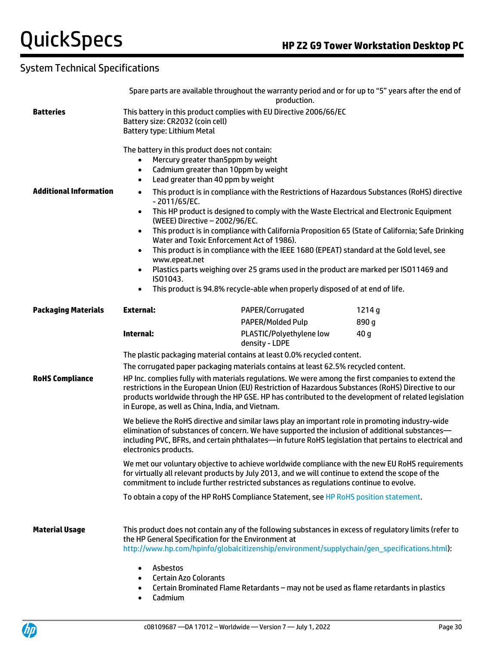|                               | Spare parts are available throughout the warranty period and or for up to "5" years after the end of<br>production.                                                                                                                                                                                                                                                                                                     |                                                                                                                                                                                                                                                                   |                 |  |  |  |
|-------------------------------|-------------------------------------------------------------------------------------------------------------------------------------------------------------------------------------------------------------------------------------------------------------------------------------------------------------------------------------------------------------------------------------------------------------------------|-------------------------------------------------------------------------------------------------------------------------------------------------------------------------------------------------------------------------------------------------------------------|-----------------|--|--|--|
| <b>Batteries</b>              | This battery in this product complies with EU Directive 2006/66/EC<br>Battery size: CR2032 (coin cell)<br>Battery type: Lithium Metal                                                                                                                                                                                                                                                                                   |                                                                                                                                                                                                                                                                   |                 |  |  |  |
|                               | The battery in this product does not contain:<br>Mercury greater than5ppm by weight<br>Cadmium greater than 10ppm by weight<br>$\bullet$<br>Lead greater than 40 ppm by weight<br>$\bullet$                                                                                                                                                                                                                             |                                                                                                                                                                                                                                                                   |                 |  |  |  |
| <b>Additional Information</b> | This product is in compliance with the Restrictions of Hazardous Substances (RoHS) directive<br>$\bullet$<br>$-2011/65/EC.$<br>This HP product is designed to comply with the Waste Electrical and Electronic Equipment<br>$\bullet$<br>(WEEE) Directive - 2002/96/EC.<br>This product is in compliance with California Proposition 65 (State of California; Safe Drinking<br>Water and Toxic Enforcement Act of 1986). |                                                                                                                                                                                                                                                                   |                 |  |  |  |
|                               | www.epeat.net<br>IS01043.<br>$\bullet$                                                                                                                                                                                                                                                                                                                                                                                  | This product is in compliance with the IEEE 1680 (EPEAT) standard at the Gold level, see<br>Plastics parts weighing over 25 grams used in the product are marked per ISO11469 and<br>This product is 94.8% recycle-able when properly disposed of at end of life. |                 |  |  |  |
| <b>Packaging Materials</b>    | <b>External:</b>                                                                                                                                                                                                                                                                                                                                                                                                        | PAPER/Corrugated<br><b>PAPER/Molded Pulp</b>                                                                                                                                                                                                                      | 1214g<br>890 g  |  |  |  |
|                               | Internal:                                                                                                                                                                                                                                                                                                                                                                                                               | PLASTIC/Polyethylene low<br>density - LDPE                                                                                                                                                                                                                        | 40 <sub>g</sub> |  |  |  |
|                               |                                                                                                                                                                                                                                                                                                                                                                                                                         | The plastic packaging material contains at least 0.0% recycled content.                                                                                                                                                                                           |                 |  |  |  |
|                               |                                                                                                                                                                                                                                                                                                                                                                                                                         | The corrugated paper packaging materials contains at least 62.5% recycled content.                                                                                                                                                                                |                 |  |  |  |
| <b>RoHS Compliance</b>        | HP Inc. complies fully with materials regulations. We were among the first companies to extend the<br>restrictions in the European Union (EU) Restriction of Hazardous Substances (RoHS) Directive to our<br>products worldwide through the HP GSE. HP has contributed to the development of related legislation<br>in Europe, as well as China, India, and Vietnam.                                                    |                                                                                                                                                                                                                                                                   |                 |  |  |  |
|                               | We believe the RoHS directive and similar laws play an important role in promoting industry-wide<br>elimination of substances of concern. We have supported the inclusion of additional substances-<br>including PVC, BFRs, and certain phthalates-in future RoHS legislation that pertains to electrical and<br>electronics products.                                                                                  |                                                                                                                                                                                                                                                                   |                 |  |  |  |
|                               | We met our voluntary objective to achieve worldwide compliance with the new EU RoHS requirements<br>for virtually all relevant products by July 2013, and we will continue to extend the scope of the<br>commitment to include further restricted substances as regulations continue to evolve.                                                                                                                         |                                                                                                                                                                                                                                                                   |                 |  |  |  |
|                               |                                                                                                                                                                                                                                                                                                                                                                                                                         | To obtain a copy of the HP RoHS Compliance Statement, see HP RoHS position statement.                                                                                                                                                                             |                 |  |  |  |
| <b>Material Usage</b>         | the HP General Specification for the Environment at                                                                                                                                                                                                                                                                                                                                                                     | This product does not contain any of the following substances in excess of regulatory limits (refer to<br>http://www.hp.com/hpinfo/globalcitizenship/environment/supplychain/gen_specifications.html):                                                            |                 |  |  |  |
|                               | Asbestos<br>$\bullet$<br><b>Certain Azo Colorants</b><br>$\bullet$<br>٠<br>Cadmium<br>$\bullet$                                                                                                                                                                                                                                                                                                                         | Certain Brominated Flame Retardants - may not be used as flame retardants in plastics                                                                                                                                                                             |                 |  |  |  |

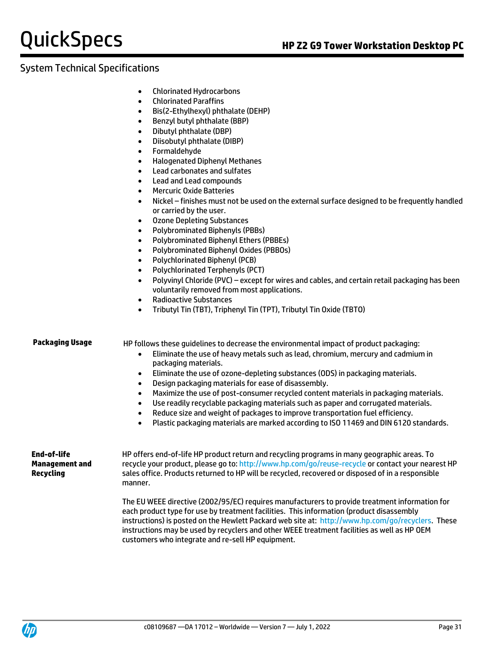- Chlorinated Hydrocarbons
- Chlorinated Paraffins
- Bis(2-Ethylhexyl) phthalate (DEHP)
- Benzyl butyl phthalate (BBP)
- Dibutyl phthalate (DBP)
- Diisobutyl phthalate (DIBP)
- Formaldehyde
- Halogenated Diphenyl Methanes
- Lead carbonates and sulfates
- Lead and Lead compounds
- Mercuric Oxide Batteries
- Nickel finishes must not be used on the external surface designed to be frequently handled or carried by the user.
- Ozone Depleting Substances
- Polybrominated Biphenyls (PBBs)
- Polybrominated Biphenyl Ethers (PBBEs)
- Polybrominated Biphenyl Oxides (PBBOs)
- Polychlorinated Biphenyl (PCB)
- Polychlorinated Terphenyls (PCT)
- Polyvinyl Chloride (PVC) except for wires and cables, and certain retail packaging has been voluntarily removed from most applications.
- Radioactive Substances
- Tributyl Tin (TBT), Triphenyl Tin (TPT), Tributyl Tin Oxide (TBTO)

**Packaging Usage** HP follows these guidelines to decrease the environmental impact of product packaging:

- Eliminate the use of heavy metals such as lead, chromium, mercury and cadmium in packaging materials.
- Eliminate the use of ozone-depleting substances (ODS) in packaging materials.
- Design packaging materials for ease of disassembly.
- Maximize the use of post-consumer recycled content materials in packaging materials.
- Use readily recyclable packaging materials such as paper and corrugated materials.
- Reduce size and weight of packages to improve transportation fuel efficiency.

instructions may be used by recyclers and other WEEE treatment facilities as well as HP OEM

• Plastic packaging materials are marked according to ISO 11469 and DIN 6120 standards.

**End-of-life Management and Recycling** HP offers end-of-life HP product return and recycling programs in many geographic areas. To recycle your product, please go to:<http://www.hp.com/go/reuse-recycle> or contact your nearest HP sales office. Products returned to HP will be recycled, recovered or disposed of in a responsible manner. The EU WEEE directive (2002/95/EC) requires manufacturers to provide treatment information for each product type for use by treatment facilities. This information (product disassembly instructions) is posted on the Hewlett Packard web site at: [http://www.hp.com/go/recyclers.](http://www.hp.com/go/recyclers) These



customers who integrate and re-sell HP equipment.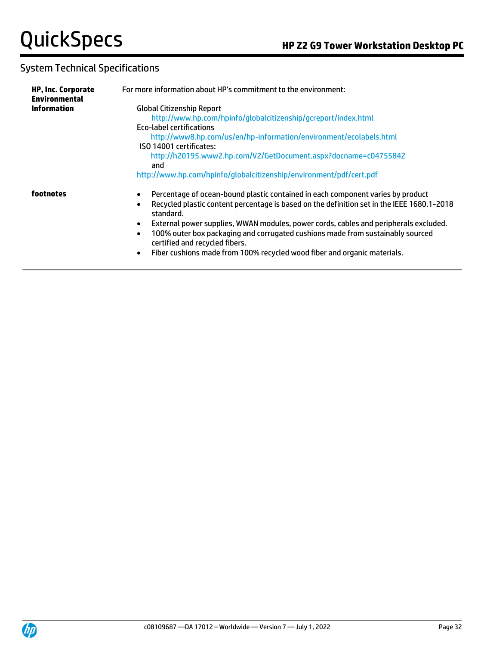| <b>HP, Inc. Corporate</b><br><b>Environmental</b> | For more information about HP's commitment to the environment:                                                                                                                                                                                                                                                              |  |  |  |  |  |
|---------------------------------------------------|-----------------------------------------------------------------------------------------------------------------------------------------------------------------------------------------------------------------------------------------------------------------------------------------------------------------------------|--|--|--|--|--|
| <b>Information</b>                                | <b>Global Citizenship Report</b>                                                                                                                                                                                                                                                                                            |  |  |  |  |  |
|                                                   | http://www.hp.com/hpinfo/qlobalcitizenship/gcreport/index.html                                                                                                                                                                                                                                                              |  |  |  |  |  |
|                                                   | Eco-label certifications                                                                                                                                                                                                                                                                                                    |  |  |  |  |  |
|                                                   | http://www8.hp.com/us/en/hp-information/environment/ecolabels.html                                                                                                                                                                                                                                                          |  |  |  |  |  |
|                                                   | ISO 14001 certificates:                                                                                                                                                                                                                                                                                                     |  |  |  |  |  |
|                                                   | http://h20195.www2.hp.com/V2/GetDocument.aspx?docname=c04755842<br>and                                                                                                                                                                                                                                                      |  |  |  |  |  |
|                                                   | http://www.hp.com/hpinfo/globalcitizenship/environment/pdf/cert.pdf                                                                                                                                                                                                                                                         |  |  |  |  |  |
| footnotes                                         | Percentage of ocean-bound plastic contained in each component varies by product<br>Recycled plastic content percentage is based on the definition set in the IEEE 1680.1-2018<br>standard.                                                                                                                                  |  |  |  |  |  |
|                                                   | External power supplies, WWAN modules, power cords, cables and peripherals excluded.<br>$\bullet$<br>100% outer box packaging and corrugated cushions made from sustainably sourced<br>$\bullet$<br>certified and recycled fibers.<br>Fiber cushions made from 100% recycled wood fiber and organic materials.<br>$\bullet$ |  |  |  |  |  |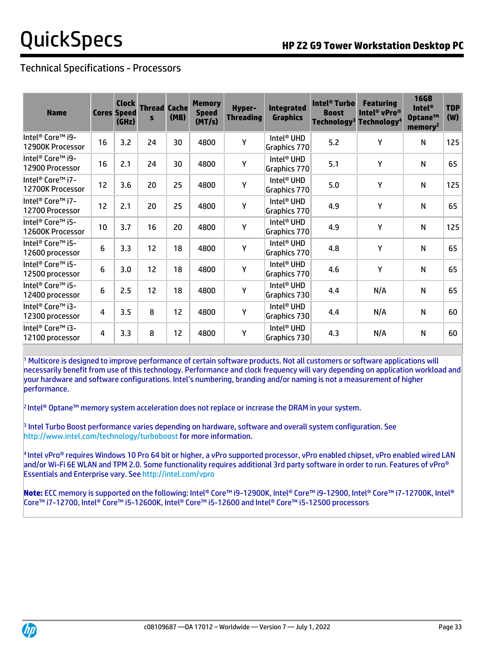# Technical Specifications - Processors

| <b>Name</b>                                     |    | <b>Clock</b><br><b>Cores Speed</b><br>(GHz) | <b>Thread Cache</b><br>S | (MB) | <b>Memory</b><br><b>Speed</b><br>(MT/s) | <b>Hyper-</b><br><b>Threading</b> | <b>Integrated</b><br><b>Graphics</b>   | <b>Intel<sup>®</sup> Turbo</b><br><b>Boost</b> | <b>Featuring</b><br>Intel <sup>®</sup> vPro <sup>®</sup><br>Technology <sup>3</sup> Technology <sup>4</sup> | <b>16GB</b><br><b>Intel®</b><br>Optane™<br>memory <sup>2</sup> | <b>TDP</b><br>(W) |
|-------------------------------------------------|----|---------------------------------------------|--------------------------|------|-----------------------------------------|-----------------------------------|----------------------------------------|------------------------------------------------|-------------------------------------------------------------------------------------------------------------|----------------------------------------------------------------|-------------------|
| Intel® Core™ i9-<br>12900K Processor            | 16 | 3.2                                         | 24                       | 30   | 4800                                    | Υ                                 | Intel <sup>®</sup> UHD<br>Graphics 770 | 5.2                                            | Y                                                                                                           | N                                                              | 125               |
| Intel® Core™ i9-<br>12900 Processor             | 16 | 2.1                                         | 24                       | 30   | 4800                                    | Υ                                 | Intel® UHD<br>Graphics 770             | 5.1                                            | Y                                                                                                           | N                                                              | 65                |
| Intel® Core™ i7-<br>12700K Processor            | 12 | 3.6                                         | 20                       | 25   | 4800                                    | Υ                                 | Intel <sup>®</sup> UHD<br>Graphics 770 | 5.0                                            | Υ                                                                                                           | N                                                              | 125               |
| Intel® Core™ i7-<br>12700 Processor             | 12 | 2.1                                         | 20                       | 25   | 4800                                    | Υ                                 | Intel <sup>®</sup> UHD<br>Graphics 770 | 4.9                                            | Υ                                                                                                           | N                                                              | 65                |
| Intel® Core™ i5-<br>12600K Processor            | 10 | 3.7                                         | 16                       | 20   | 4800                                    | Υ                                 | Intel <sup>®</sup> UHD<br>Graphics 770 | 4.9                                            | Y                                                                                                           | N                                                              | 125               |
| Intel <sup>®</sup> Core™ i5-<br>12600 processor | 6  | 3.3                                         | 12                       | 18   | 4800                                    | Υ                                 | Intel <sup>®</sup> UHD<br>Graphics 770 | 4.8                                            | Y                                                                                                           | N                                                              | 65                |
| Intel® Core™ i5-<br>12500 processor             | 6  | 3.0                                         | 12                       | 18   | 4800                                    | Υ                                 | Intel <sup>®</sup> UHD<br>Graphics 770 | 4.6                                            | Y                                                                                                           | N                                                              | 65                |
| Intel® Core™ i5-<br>12400 processor             | 6  | 2.5                                         | 12                       | 18   | 4800                                    | Υ                                 | Intel <sup>®</sup> UHD<br>Graphics 730 | 4.4                                            | N/A                                                                                                         | N                                                              | 65                |
| Intel® Core™ i3-<br>12300 processor             | 4  | 3.5                                         | 8                        | 12   | 4800                                    | Υ                                 | Intel <sup>®</sup> UHD<br>Graphics 730 | 4.4                                            | N/A                                                                                                         | N                                                              | 60                |
| Intel® Core™ i3-<br>12100 processor             | 4  | 3.3                                         | 8                        | 12   | 4800                                    | Y                                 | Intel <sup>®</sup> UHD<br>Graphics 730 | 4.3                                            | N/A                                                                                                         | N                                                              | 60                |

<sup>1</sup> Multicore is designed to improve performance of certain software products. Not all customers or software applications will necessarily benefit from use of this technology. Performance and clock frequency will vary depending on application workload and your hardware and software configurations. Intel's numbering, branding and/or naming is not a measurement of higher performance.

2 Intel® Optane™ memory system acceleration does not replace or increase the DRAM in your system.

3 Intel Turbo Boost performance varies depending on hardware, software and overall system configuration. See <http://www.intel.com/technology/turboboost> for more information.

 $^4$  Intel vPro® requires Windows 10 Pro 64 bit or higher, a vPro supported processor, vPro enabled chipset, vPro enabled wired LAN and/or Wi-Fi 6E WLAN and TPM 2.0. Some functionality requires additional 3rd party software in order to run. Features of vPro® Essentials and Enterprise vary. See<http://intel.com/vpro>

**Note:** ECC memory is supported on the following: Intel® Core™ i9-12900K, Intel® Core™ i9-12900, Intel® Core™ i7-12700K, Intel® Core™ i7-12700, Intel® Core™ i5-12600K, Intel® Core™ i5-12600 and Intel® Core™ i5-12500 processors

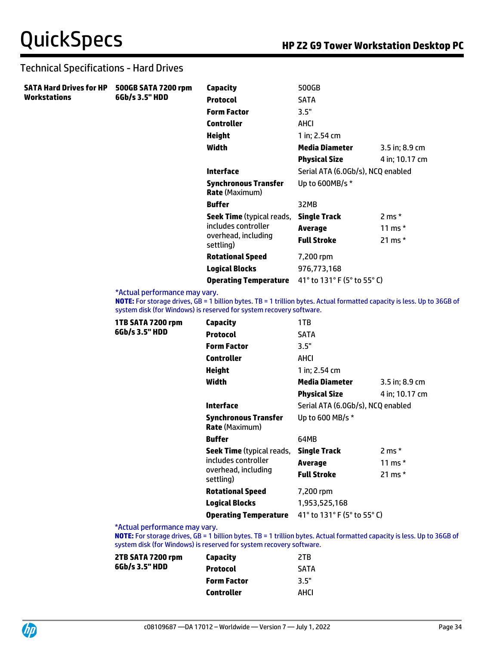### Technical Specifications - Hard Drives

| <b>SATA Hard Drives for HP</b><br><b>Workstations</b> | 500GB SATA 7200 rpm | Capacity                                                | 500GB                             |                  |
|-------------------------------------------------------|---------------------|---------------------------------------------------------|-----------------------------------|------------------|
|                                                       | 6Gb/s 3.5" HDD      | <b>Protocol</b>                                         | <b>SATA</b>                       |                  |
|                                                       |                     | <b>Form Factor</b>                                      | 3.5"                              |                  |
|                                                       |                     | <b>Controller</b>                                       | AHCI                              |                  |
|                                                       |                     | <b>Height</b>                                           | 1 in; 2.54 cm                     |                  |
|                                                       |                     | Width                                                   | Media Diameter                    | 3.5 in; 8.9 cm   |
|                                                       |                     |                                                         | <b>Physical Size</b>              | 4 in; 10.17 cm   |
|                                                       |                     | <b>Interface</b>                                        | Serial ATA (6.0Gb/s), NCQ enabled |                  |
|                                                       |                     | Synchronous Transfer<br><b>Rate</b> (Maximum)           | Up to 600MB/s *                   |                  |
|                                                       |                     | <b>Buffer</b>                                           | 32MB                              |                  |
|                                                       |                     | <b>Seek Time</b> (typical reads,<br>includes controller | <b>Single Track</b>               | $2 \text{ ms}$ * |
|                                                       |                     |                                                         | Average                           | 11 ms $*$        |
|                                                       |                     | overhead, including<br>settling)                        | <b>Full Stroke</b>                | 21 ms $*$        |
|                                                       |                     | <b>Rotational Speed</b>                                 | 7,200 rpm                         |                  |
|                                                       |                     | <b>Logical Blocks</b>                                   | 976,773,168                       |                  |
|                                                       |                     | <b>Operating Temperature</b>                            | 41° to 131° F (5° to 55° C)       |                  |

\*Actual performance may vary.

**NOTE:** For storage drives, GB = 1 billion bytes. TB = 1 trillion bytes. Actual formatted capacity is less. Up to 36GB of system disk (for Windows) is reserved for system recovery software.

| 1TB SATA 7200 rpm<br>6Gb/s 3.5" HDD | Capacity                                             | 1TB                               |                  |
|-------------------------------------|------------------------------------------------------|-----------------------------------|------------------|
|                                     | <b>Protocol</b>                                      | <b>SATA</b>                       |                  |
|                                     | <b>Form Factor</b>                                   | 3.5"                              |                  |
|                                     | <b>Controller</b>                                    | AHCI                              |                  |
|                                     | Height                                               | 1 in; 2.54 cm                     |                  |
|                                     | Width                                                | <b>Media Diameter</b>             | 3.5 in; 8.9 cm   |
|                                     |                                                      | <b>Physical Size</b>              | 4 in; 10.17 cm   |
|                                     | <b>Interface</b>                                     | Serial ATA (6.0Gb/s), NCQ enabled |                  |
|                                     | <b>Synchronous Transfer</b><br><b>Rate</b> (Maximum) | Up to 600 MB/s *                  |                  |
|                                     | <b>Buffer</b>                                        | 64MB                              |                  |
|                                     | <b>Seek Time</b> (typical reads,                     | <b>Single Track</b>               | $2 \text{ ms}$ * |
|                                     | includes controller                                  | <b>Average</b>                    | 11 ms $*$        |
|                                     | overhead, including<br>settling)                     | <b>Full Stroke</b>                | 21 ms $*$        |
|                                     | <b>Rotational Speed</b>                              | 7,200 rpm                         |                  |
|                                     | <b>Logical Blocks</b>                                | 1,953,525,168                     |                  |
|                                     | <b>Operating Temperature</b>                         | 41° to 131° F (5° to 55° C)       |                  |
| <b>EA</b> about a sufanasan sa m    |                                                      |                                   |                  |

\*Actual performance may vary.

**NOTE:** For storage drives, GB = 1 billion bytes. TB = 1 trillion bytes. Actual formatted capacity is less. Up to 36GB of system disk (for Windows) is reserved for system recovery software.

| Capacity           | 2TR         |
|--------------------|-------------|
| <b>Protocol</b>    | <b>SATA</b> |
| <b>Form Factor</b> | 3.5"        |
| <b>Controller</b>  | AHCI        |
|                    |             |

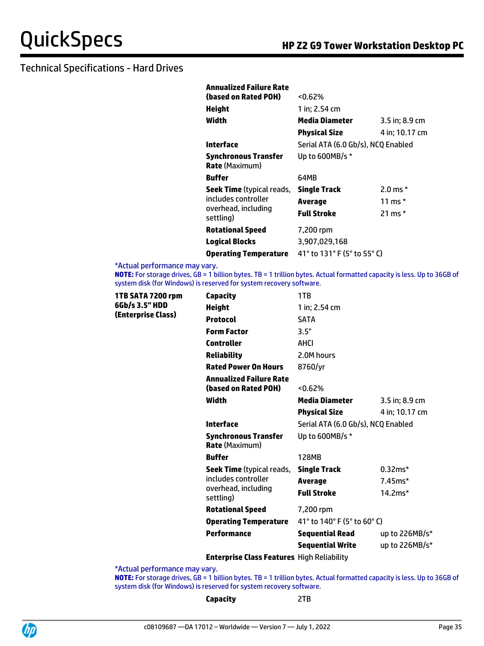| <b>Annualized Failure Rate</b>                |                                    |                |
|-----------------------------------------------|------------------------------------|----------------|
| (based on Rated POH)                          | $< 0.62\%$                         |                |
| Height                                        | 1 in; 2.54 cm                      |                |
| Width                                         | Media Diameter                     | 3.5 in; 8.9 cm |
|                                               | <b>Physical Size</b>               | 4 in: 10.17 cm |
| Interface                                     | Serial ATA (6.0 Gb/s), NCQ Enabled |                |
| Synchronous Transfer<br><b>Rate</b> (Maximum) | Up to 600MB/s *                    |                |
| <b>Buffer</b>                                 | 64MB                               |                |
| <b>Seek Time</b> (typical reads,              | <b>Single Track</b>                | 2.0 ms $*$     |
| includes controller                           | Average                            | 11 ms *        |
| overhead, including<br>settling)              | Full Stroke                        | 21 ms $*$      |
| <b>Rotational Speed</b>                       | 7,200 rpm                          |                |
| <b>Logical Blocks</b>                         | 3,907,029,168                      |                |
| <b>Operating Temperature</b>                  | 41° to 131° F (5° to 55° C)        |                |

\*Actual performance may vary.

**NOTE:** For storage drives, GB = 1 billion bytes. TB = 1 trillion bytes. Actual formatted capacity is less. Up to 36GB of system disk (for Windows) is reserved for system recovery software.

| 1TB SATA 7200 rpm<br>6Gb/s 3.5" HDD<br>(Enterprise Class) | <b>Capacity</b>                                        | 1TB                                |                |
|-----------------------------------------------------------|--------------------------------------------------------|------------------------------------|----------------|
|                                                           | <b>Height</b>                                          | 1 in: 2.54 cm                      |                |
|                                                           | <b>Protocol</b>                                        | <b>SATA</b>                        |                |
|                                                           | <b>Form Factor</b>                                     | 3.5"                               |                |
|                                                           | <b>Controller</b>                                      | <b>AHCI</b>                        |                |
|                                                           | <b>Reliability</b>                                     | 2.0M hours                         |                |
|                                                           | <b>Rated Power On Hours</b>                            | 8760/yr                            |                |
|                                                           | <b>Annualized Failure Rate</b><br>(based on Rated POH) | < 0.62%                            |                |
|                                                           | Width                                                  | Media Diameter                     | 3.5 in; 8.9 cm |
|                                                           |                                                        | <b>Physical Size</b>               | 4 in; 10.17 cm |
|                                                           | <b>Interface</b>                                       | Serial ATA (6.0 Gb/s), NCQ Enabled |                |
|                                                           | <b>Synchronous Transfer</b><br><b>Rate</b> (Maximum)   | Up to 600MB/s *                    |                |
|                                                           | <b>Buffer</b>                                          | 128MB                              |                |
|                                                           | <b>Seek Time</b> (typical reads,                       | <b>Single Track</b>                | $0.32ms*$      |
|                                                           | includes controller                                    | <b>Average</b>                     | $7.45ms*$      |
|                                                           | overhead, including<br>settling)                       | <b>Full Stroke</b>                 | $14.2ms*$      |
|                                                           | <b>Rotational Speed</b>                                | 7,200 rpm                          |                |
|                                                           | <b>Operating Temperature</b>                           | 41° to 140° F (5° to 60° C)        |                |
|                                                           | Performance                                            | <b>Sequential Read</b>             | up to 226MB/s* |
|                                                           |                                                        | <b>Sequential Write</b>            | up to 226MB/s* |

**Enterprise Class Features** High Reliability

\*Actual performance may vary.

**NOTE:** For storage drives, GB = 1 billion bytes. TB = 1 trillion bytes. Actual formatted capacity is less. Up to 36GB of system disk (for Windows) is reserved for system recovery software.

**Capacity** 2TB

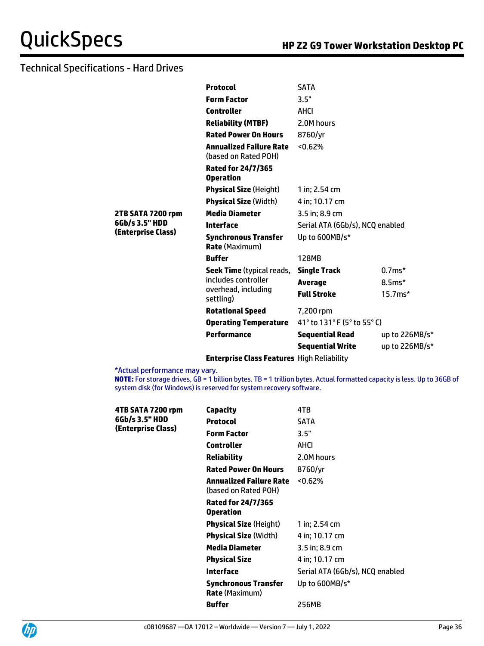|                    | <b>Protocol</b>                                        | <b>SATA</b>                     |                  |
|--------------------|--------------------------------------------------------|---------------------------------|------------------|
|                    | <b>Form Factor</b>                                     | 3.5"                            |                  |
|                    | <b>Controller</b>                                      | AHCI                            |                  |
|                    | <b>Reliability (MTBF)</b>                              | 2.0M hours                      |                  |
|                    | <b>Rated Power On Hours</b>                            | 8760/yr                         |                  |
|                    | <b>Annualized Failure Rate</b><br>(based on Rated POH) | 50.62%                          |                  |
|                    | <b>Rated for 24/7/365</b><br><b>Operation</b>          |                                 |                  |
|                    | <b>Physical Size (Height)</b>                          | 1 in: 2.54 cm                   |                  |
|                    | <b>Physical Size (Width)</b>                           | 4 in; 10.17 cm                  |                  |
| 2TB SATA 7200 rpm  | <b>Media Diameter</b>                                  | 3.5 in; 8.9 cm                  |                  |
| 6Gb/s 3.5" HDD     | <b>Interface</b>                                       | Serial ATA (6Gb/s), NCQ enabled |                  |
| (Enterprise Class) | <b>Synchronous Transfer</b><br><b>Rate (Maximum)</b>   | Up to 600MB/s*                  |                  |
|                    | <b>Buffer</b>                                          | 128MB                           |                  |
|                    | Seek Time (typical reads,                              | <b>Single Track</b>             | $0.7ms*$         |
|                    | includes controller                                    | <b>Average</b>                  | $8.5ms*$         |
|                    | overhead, including<br>settling)                       | <b>Full Stroke</b>              | $15.7ms*$        |
|                    | <b>Rotational Speed</b>                                | 7,200 rpm                       |                  |
|                    | <b>Operating Temperature</b>                           | 41° to 131° F (5° to 55° C)     |                  |
|                    | Performance                                            | <b>Sequential Read</b>          | up to $226MB/s*$ |
|                    |                                                        | <b>Sequential Write</b>         | up to 226MB/s*   |
|                    | <b>Enterprise Class Features</b> High Reliability      |                                 |                  |

\*Actual performance may vary.

**NOTE:** For storage drives, GB = 1 billion bytes. TB = 1 trillion bytes. Actual formatted capacity is less. Up to 36GB of system disk (for Windows) is reserved for system recovery software.

| 4TB SATA 7200 rpm                    | Capacity                                             | 4TB                             |
|--------------------------------------|------------------------------------------------------|---------------------------------|
| 6Gb/s 3.5" HDD<br>(Enterprise Class) | <b>Protocol</b>                                      | <b>SATA</b>                     |
|                                      | <b>Form Factor</b>                                   | 3.5"                            |
|                                      | Controller                                           | AHCI                            |
|                                      | Reliability                                          | 2.0M hours                      |
|                                      | <b>Rated Power On Hours</b>                          | 8760/yr                         |
|                                      | Annualized Failure Rate<br>(based on Rated POH)      | $< 0.62\%$                      |
|                                      | <b>Rated for 24/7/365</b><br><b>Operation</b>        |                                 |
|                                      | <b>Physical Size (Height)</b>                        | 1 in: 2.54 cm                   |
|                                      | <b>Physical Size (Width)</b>                         | 4 in: 10.17 cm                  |
|                                      | Media Diameter                                       | $3.5$ in; 8.9 cm                |
|                                      | <b>Physical Size</b>                                 | 4 in: 10.17 cm                  |
|                                      | Interface                                            | Serial ATA (6Gb/s), NCQ enabled |
|                                      | <b>Synchronous Transfer</b><br><b>Rate</b> (Maximum) | Up to $600MB/s*$                |
|                                      | <b>Buffer</b>                                        | 256MB                           |

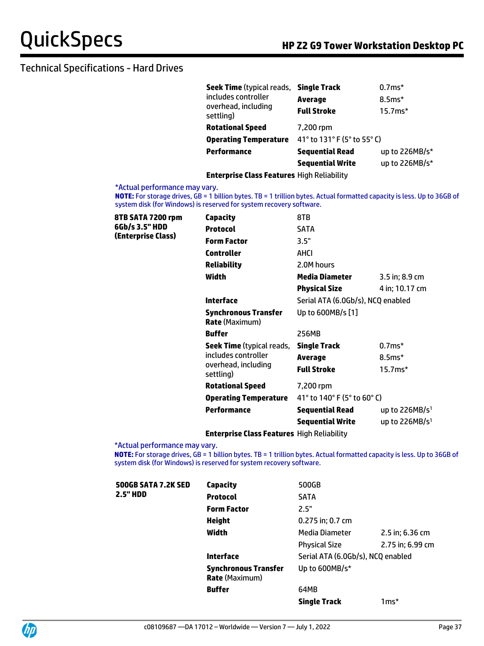| Seek Time (typical reads, Single Track<br>includes controller |                             | $0.7ms*$       |
|---------------------------------------------------------------|-----------------------------|----------------|
|                                                               | <b>Average</b>              | $8.5ms*$       |
| overhead, including<br>settling)                              | <b>Full Stroke</b>          | 15.7ms*        |
| <b>Rotational Speed</b>                                       | 7,200 rpm                   |                |
| <b>Operating Temperature</b>                                  | 41° to 131° F (5° to 55° C) |                |
| <b>Performance</b>                                            | <b>Sequential Read</b>      | up to 226MB/s* |
|                                                               | <b>Sequential Write</b>     | up to 226MB/s* |
|                                                               |                             |                |

**Enterprise Class Features** High Reliability

#### \*Actual performance may vary.

**NOTE:** For storage drives, GB = 1 billion bytes. TB = 1 trillion bytes. Actual formatted capacity is less. Up to 36GB of system disk (for Windows) is reserved for system recovery software.

| 8TB SATA 7200 rpm                    | <b>Capacity</b>                                      | 8TB                               |                  |
|--------------------------------------|------------------------------------------------------|-----------------------------------|------------------|
| 6Gb/s 3.5" HDD<br>(Enterprise Class) | <b>Protocol</b>                                      | <b>SATA</b>                       |                  |
|                                      | <b>Form Factor</b>                                   | 3.5"                              |                  |
|                                      | <b>Controller</b>                                    | AHCI                              |                  |
|                                      | <b>Reliability</b>                                   | 2.0M hours                        |                  |
|                                      | Width                                                | Media Diameter                    | $3.5$ in; 8.9 cm |
|                                      |                                                      | <b>Physical Size</b>              | 4 in; 10.17 cm   |
|                                      | <b>Interface</b>                                     | Serial ATA (6.0Gb/s), NCQ enabled |                  |
|                                      | <b>Synchronous Transfer</b><br><b>Rate</b> (Maximum) | Up to 600MB/s [1]                 |                  |
|                                      | <b>Buffer</b>                                        | 256MB                             |                  |
|                                      | <b>Seek Time</b> (typical reads,                     | <b>Single Track</b>               | $0.7ms*$         |
|                                      | includes controller                                  | Average                           | $8.5ms*$         |
|                                      | overhead, including<br>settling)                     | <b>Full Stroke</b>                | $15.7ms*$        |
|                                      | <b>Rotational Speed</b>                              | 7,200 rpm                         |                  |
|                                      | <b>Operating Temperature</b>                         | 41° to 140° F (5° to 60° C)       |                  |
|                                      | <b>Performance</b>                                   | <b>Sequential Read</b>            | up to $226MB/s1$ |
|                                      |                                                      | <b>Sequential Write</b>           | up to $226MB/s1$ |
|                                      |                                                      |                                   |                  |

**Enterprise Class Features** High Reliability

\*Actual performance may vary.

**NOTE:** For storage drives, GB = 1 billion bytes. TB = 1 trillion bytes. Actual formatted capacity is less. Up to 36GB of system disk (for Windows) is reserved for system recovery software.

| <b>500GB SATA 7.2K SED</b> | <b>Capacity</b>                                      | 500GB                             |                  |
|----------------------------|------------------------------------------------------|-----------------------------------|------------------|
| <b>2.5" HDD</b>            | <b>Protocol</b>                                      | <b>SATA</b>                       |                  |
|                            | <b>Form Factor</b>                                   | 2.5"                              |                  |
|                            | Height                                               | 0.275 in; 0.7 cm                  |                  |
|                            | Width                                                | Media Diameter                    | 2.5 in; 6.36 cm  |
|                            |                                                      | <b>Physical Size</b>              | 2.75 in; 6.99 cm |
|                            | <b>Interface</b>                                     | Serial ATA (6.0Gb/s), NCQ enabled |                  |
|                            | <b>Synchronous Transfer</b><br><b>Rate (Maximum)</b> | Up to 600MB/s*                    |                  |
|                            | <b>Buffer</b>                                        | 64MB                              |                  |
|                            |                                                      | <b>Single Track</b>               | $1ms*$           |

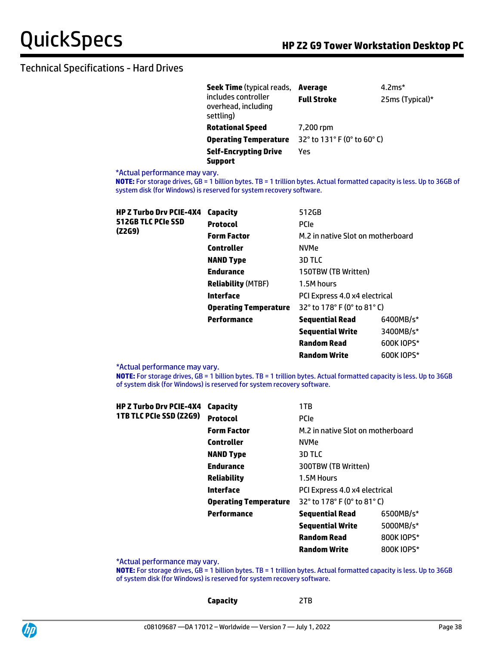| <b>Seek Time</b> (typical reads,                        | Average                     | $4.2*$          |
|---------------------------------------------------------|-----------------------------|-----------------|
| includes controller<br>overhead, including<br>settling) | <b>Full Stroke</b>          | 25ms (Typical)* |
| <b>Rotational Speed</b>                                 | 7,200 rpm                   |                 |
| <b>Operating Temperature</b>                            | 32° to 131° F (0° to 60° C) |                 |
| <b>Self-Encrypting Drive</b><br><b>Support</b>          | Yes                         |                 |

### \*Actual performance may vary.

**NOTE:** For storage drives, GB = 1 billion bytes. TB = 1 trillion bytes. Actual formatted capacity is less. Up to 36GB of system disk (for Windows) is reserved for system recovery software.

| <b>HP Z Turbo Drv PCIE-4X4</b> | Capacity                     | 512GB                                                              |            |
|--------------------------------|------------------------------|--------------------------------------------------------------------|------------|
| 512GB TLC PCIe SSD             | <b>Protocol</b>              | <b>PCIe</b>                                                        |            |
| (Z2G9)                         | <b>Form Factor</b>           | M.2 in native Slot on motherboard                                  |            |
|                                | <b>Controller</b>            | <b>NVMe</b>                                                        |            |
|                                | <b>NAND Type</b>             | 3D TLC                                                             |            |
|                                | <b>Endurance</b>             | 150TBW (TB Written)                                                |            |
|                                | <b>Reliability (MTBF)</b>    | 1.5M hours                                                         |            |
|                                | Interface                    | PCI Express 4.0 x4 electrical                                      |            |
|                                | <b>Operating Temperature</b> | $32^{\circ}$ to 178 $^{\circ}$ F (0 $^{\circ}$ to 81 $^{\circ}$ C) |            |
|                                | Performance                  | <b>Sequential Read</b>                                             | 6400MB/s*  |
|                                |                              | <b>Sequential Write</b>                                            | 3400MB/s*  |
|                                |                              | <b>Random Read</b>                                                 | 600K IOPS* |
|                                |                              | <b>Random Write</b>                                                | 600K IOPS* |

\*Actual performance may vary.

**NOTE:** For storage drives, GB = 1 billion bytes. TB = 1 trillion bytes. Actual formatted capacity is less. Up to 36GB of system disk (for Windows) is reserved for system recovery software.

| <b>HP Z Turbo Drv PCIE-4X4</b> | Capacity                     | 1TB                               |            |
|--------------------------------|------------------------------|-----------------------------------|------------|
| 1TB TLC PCIe SSD (Z2G9)        | <b>Protocol</b>              | <b>PCIe</b>                       |            |
|                                | <b>Form Factor</b>           | M.2 in native Slot on motherboard |            |
|                                | <b>Controller</b>            | <b>NVMe</b>                       |            |
|                                | <b>NAND Type</b>             | 3D TLC                            |            |
|                                | <b>Endurance</b>             | 300TBW (TB Written)               |            |
|                                | <b>Reliability</b>           | 1.5M Hours                        |            |
|                                | Interface                    | PCI Express 4.0 x4 electrical     |            |
|                                | <b>Operating Temperature</b> | 32° to 178° F (0° to 81° C)       |            |
|                                | Performance                  | <b>Sequential Read</b>            | 6500MB/s*  |
|                                |                              | <b>Sequential Write</b>           | 5000MB/s*  |
|                                |                              | <b>Random Read</b>                | 800K IOPS* |
|                                |                              | <b>Random Write</b>               | 800K IOPS* |

\*Actual performance may vary.

**NOTE:** For storage drives, GB = 1 billion bytes. TB = 1 trillion bytes. Actual formatted capacity is less. Up to 36GB of system disk (for Windows) is reserved for system recovery software.

**Capacity** 2TB

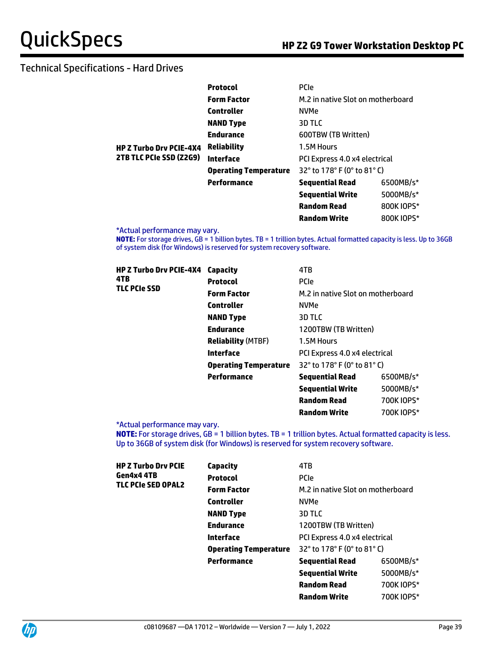|                                | <b>Protocol</b>              | <b>PCIe</b>                       |            |
|--------------------------------|------------------------------|-----------------------------------|------------|
|                                | <b>Form Factor</b>           | M.2 in native Slot on motherboard |            |
|                                | <b>Controller</b>            | <b>NVMe</b>                       |            |
|                                | <b>NAND Type</b>             | 3D TLC                            |            |
|                                | <b>Endurance</b>             | 600TBW (TB Written)               |            |
| <b>HP Z Turbo Drv PCIE-4X4</b> | <b>Reliability</b>           | 1.5M Hours                        |            |
| 2TB TLC PCIe SSD (Z2G9)        | Interface                    | PCI Express 4.0 x4 electrical     |            |
|                                | <b>Operating Temperature</b> | 32° to 178° F (0° to 81° C)       |            |
|                                | Performance                  | <b>Sequential Read</b>            | 6500MB/s*  |
|                                |                              | <b>Sequential Write</b>           | 5000MB/s*  |
|                                |                              | <b>Random Read</b>                | 800K IOPS* |
|                                |                              | <b>Random Write</b>               | 800K IOPS* |

\*Actual performance may vary.

**NOTE:** For storage drives, GB = 1 billion bytes. TB = 1 trillion bytes. Actual formatted capacity is less. Up to 36GB of system disk (for Windows) is reserved for system recovery software.

| <b>HP Z Turbo Drv PCIE-4X4</b><br>4TB | Capacity                     | 4TB                               |            |
|---------------------------------------|------------------------------|-----------------------------------|------------|
|                                       | <b>Protocol</b>              | <b>PCIe</b>                       |            |
| <b>TLC PCIe SSD</b>                   | <b>Form Factor</b>           | M.2 in native Slot on motherboard |            |
|                                       | <b>Controller</b>            | <b>NVMe</b>                       |            |
|                                       | <b>NAND Type</b>             | 3D TLC                            |            |
|                                       | <b>Endurance</b>             | 1200TBW (TB Written)              |            |
|                                       | <b>Reliability (MTBF)</b>    | 1.5M Hours                        |            |
|                                       | Interface                    | PCI Express 4.0 x4 electrical     |            |
|                                       | <b>Operating Temperature</b> | 32° to 178° F (0° to 81° C)       |            |
|                                       | Performance                  | <b>Sequential Read</b>            | 6500MB/s*  |
|                                       |                              | <b>Sequential Write</b>           | 5000MB/s*  |
|                                       |                              | <b>Random Read</b>                | 700K IOPS* |

\*Actual performance may vary.

**NOTE:** For storage drives, GB = 1 billion bytes. TB = 1 trillion bytes. Actual formatted capacity is less. Up to 36GB of system disk (for Windows) is reserved for system recovery software.

**Random Write** 700K IOPS\*

| <b>HP Z Turbo Drv PCIE</b><br>Gen4x4 4TB<br><b>TLC PCIe SED OPAL2</b> | Capacity                     | 4TB                                                                 |            |
|-----------------------------------------------------------------------|------------------------------|---------------------------------------------------------------------|------------|
|                                                                       | <b>Protocol</b>              | <b>PCIe</b>                                                         |            |
|                                                                       | <b>Form Factor</b>           | M.2 in native Slot on motherboard                                   |            |
|                                                                       | Controller                   | <b>NVMe</b>                                                         |            |
|                                                                       | <b>NAND Type</b>             | 3D TLC                                                              |            |
|                                                                       | <b>Endurance</b>             | 1200TBW (TB Written)                                                |            |
|                                                                       | Interface                    | PCI Express 4.0 x4 electrical                                       |            |
|                                                                       | <b>Operating Temperature</b> | 32 $^{\circ}$ to 178 $^{\circ}$ F (0 $^{\circ}$ to 81 $^{\circ}$ C) |            |
|                                                                       | Performance                  | <b>Sequential Read</b>                                              | 6500MB/s*  |
|                                                                       |                              | <b>Sequential Write</b>                                             | 5000MB/s*  |
|                                                                       |                              | <b>Random Read</b>                                                  | 700K IOPS* |
|                                                                       |                              | <b>Random Write</b>                                                 | 700K IOPS* |
|                                                                       |                              |                                                                     |            |

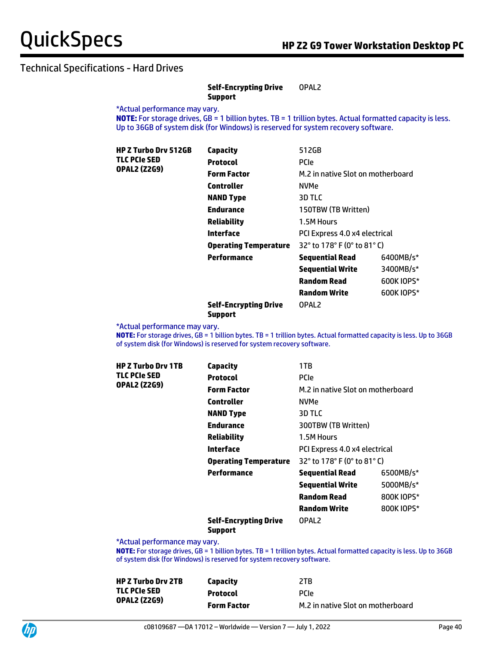#### **Self-Encrypting Drive Support** OPAL2

\*Actual performance may vary.

**NOTE:** For storage drives, GB = 1 billion bytes. TB = 1 trillion bytes. Actual formatted capacity is less. Up to 36GB of system disk (for Windows) is reserved for system recovery software.

| <b>HP Z Turbo Drv 512GB</b><br>TLC PCIe SED<br><b>OPAL2 (Z2G9)</b> | Capacity                     | 512GB                             |            |
|--------------------------------------------------------------------|------------------------------|-----------------------------------|------------|
|                                                                    | <b>Protocol</b>              | <b>PCIe</b>                       |            |
|                                                                    | <b>Form Factor</b>           | M.2 in native Slot on motherboard |            |
|                                                                    | <b>Controller</b>            | <b>NVMe</b>                       |            |
|                                                                    | <b>NAND Type</b>             | 3D TLC                            |            |
|                                                                    | <b>Endurance</b>             | 150TBW (TB Written)               |            |
|                                                                    | <b>Reliability</b>           | 1.5M Hours                        |            |
|                                                                    | Interface                    | PCI Express 4.0 x4 electrical     |            |
|                                                                    | <b>Operating Temperature</b> | 32° to 178° F (0° to 81° C)       |            |
|                                                                    | Performance                  | <b>Sequential Read</b>            | 6400MB/s*  |
|                                                                    |                              | <b>Sequential Write</b>           | 3400MB/s*  |
|                                                                    |                              | <b>Random Read</b>                | 600K IOPS* |
|                                                                    |                              | <b>Random Write</b>               | 600K IOPS* |
|                                                                    |                              |                                   |            |

#### **Self-Encrypting Drive Support**

\*Actual performance may vary.

**NOTE:** For storage drives, GB = 1 billion bytes. TB = 1 trillion bytes. Actual formatted capacity is less. Up to 36GB of system disk (for Windows) is reserved for system recovery software.

OPAL2

| <b>HP Z Turbo Drv 1TB</b> | <b>Capacity</b>                                | 1TB                               |            |
|---------------------------|------------------------------------------------|-----------------------------------|------------|
| <b>TLC PCIe SED</b>       | <b>Protocol</b>                                | <b>PCIe</b>                       |            |
| <b>OPAL2 (Z2G9)</b>       | <b>Form Factor</b>                             | M.2 in native Slot on motherboard |            |
|                           | Controller                                     | NVMe                              |            |
|                           | <b>NAND Type</b>                               | 3D TLC                            |            |
|                           | <b>Endurance</b>                               | 300TBW (TB Written)               |            |
|                           | <b>Reliability</b>                             | 1.5M Hours                        |            |
|                           | Interface                                      | PCI Express 4.0 x4 electrical     |            |
|                           | <b>Operating Temperature</b>                   | 32° to 178° F (0° to 81° C)       |            |
|                           | Performance                                    | <b>Sequential Read</b>            | 6500MB/s*  |
|                           |                                                | <b>Sequential Write</b>           | 5000MB/s*  |
|                           |                                                | <b>Random Read</b>                | 800K IOPS* |
|                           |                                                | <b>Random Write</b>               | 800K IOPS* |
|                           | <b>Self-Encrypting Drive</b><br><b>Support</b> | OPAL <sub>2</sub>                 |            |

\*Actual performance may vary.

**NOTE:** For storage drives, GB = 1 billion bytes. TB = 1 trillion bytes. Actual formatted capacity is less. Up to 36GB of system disk (for Windows) is reserved for system recovery software.

| <b>HP Z Turbo Drv 2TB</b> | Capacity           | 2TB                               |
|---------------------------|--------------------|-----------------------------------|
| TLC PCIe SED              | <b>Protocol</b>    | <b>PCIP</b>                       |
| <b>OPAL2 (Z2G9)</b>       | <b>Form Factor</b> | M.2 in native Slot on motherboard |

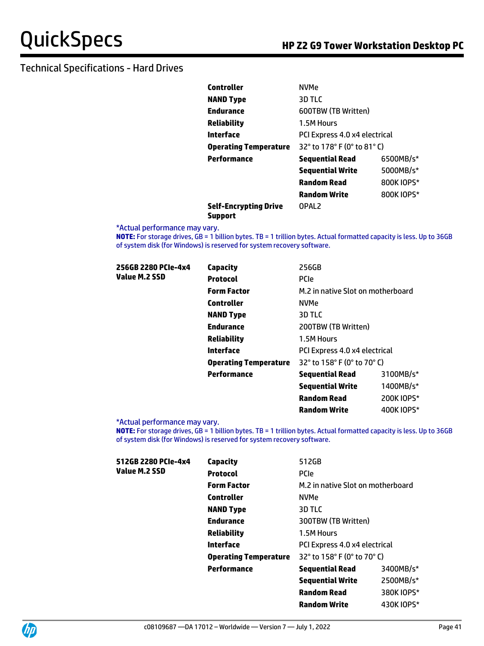| Controller                   | <b>NVMe</b>                   |            |
|------------------------------|-------------------------------|------------|
| <b>NAND Type</b>             | 3D TLC                        |            |
| Endurance                    | 600TBW (TB Written)           |            |
| Reliability                  | 1.5M Hours                    |            |
| Interface                    | PCI Express 4.0 x4 electrical |            |
| <b>Operating Temperature</b> | 32° to 178° F (0° to 81° C)   |            |
| Performance                  | <b>Sequential Read</b>        | 6500MB/s*  |
|                              | <b>Sequential Write</b>       | 5000MB/s*  |
|                              | Random Read                   | 800K IOPS* |
|                              | <b>Random Write</b>           | 800K IOPS* |
| Self-Encrvotina Drive        | OPAL2                         |            |

**Self-Encrypting Drive Support**

\*Actual performance may vary.

**NOTE:** For storage drives, GB = 1 billion bytes. TB = 1 trillion bytes. Actual formatted capacity is less. Up to 36GB of system disk (for Windows) is reserved for system recovery software.

| 256GB 2280 PCIe-4x4<br>Value M.2 SSD | Capacity                     | 256GB                             |            |
|--------------------------------------|------------------------------|-----------------------------------|------------|
|                                      | <b>Protocol</b>              | <b>PCIe</b>                       |            |
|                                      | <b>Form Factor</b>           | M.2 in native Slot on motherboard |            |
|                                      | <b>Controller</b>            | <b>NVMe</b>                       |            |
|                                      | <b>NAND Type</b>             | 3D TLC                            |            |
|                                      | <b>Endurance</b>             | 200TBW (TB Written)               |            |
|                                      | <b>Reliability</b>           | 1.5M Hours                        |            |
|                                      | Interface                    | PCI Express 4.0 x4 electrical     |            |
|                                      | <b>Operating Temperature</b> | 32° to 158° F (0° to 70° C)       |            |
|                                      | <b>Performance</b>           | <b>Sequential Read</b>            | 3100MB/s*  |
|                                      |                              | <b>Sequential Write</b>           | 1400MB/s*  |
|                                      |                              | <b>Random Read</b>                | 200K IOPS* |

\*Actual performance may vary.

**NOTE:** For storage drives, GB = 1 billion bytes. TB = 1 trillion bytes. Actual formatted capacity is less. Up to 36GB of system disk (for Windows) is reserved for system recovery software.

**Random Write** 400K IOPS\*

| 512GB 2280 PCIe-4x4 | <b>Capacity</b><br><b>Protocol</b><br><b>Form Factor</b><br><b>Controller</b><br><b>NAND Type</b><br><b>Endurance</b><br><b>Reliability</b><br><b>Interface</b> | 512GB                             |            |
|---------------------|-----------------------------------------------------------------------------------------------------------------------------------------------------------------|-----------------------------------|------------|
| Value M.2 SSD       |                                                                                                                                                                 | <b>PCIe</b>                       |            |
|                     |                                                                                                                                                                 | M.2 in native Slot on motherboard |            |
|                     |                                                                                                                                                                 | <b>NVMe</b>                       |            |
|                     |                                                                                                                                                                 | 3D TLC                            |            |
|                     |                                                                                                                                                                 | 300TBW (TB Written)               |            |
|                     |                                                                                                                                                                 | 1.5M Hours                        |            |
|                     |                                                                                                                                                                 | PCI Express 4.0 x4 electrical     |            |
|                     | <b>Operating Temperature</b>                                                                                                                                    | 32° to 158° F (0° to 70° C)       |            |
|                     | Performance                                                                                                                                                     | <b>Sequential Read</b>            | 3400MB/s*  |
|                     |                                                                                                                                                                 | <b>Sequential Write</b>           | 2500MB/s*  |
|                     |                                                                                                                                                                 | <b>Random Read</b>                | 380K IOPS* |
|                     |                                                                                                                                                                 | <b>Random Write</b>               | 430K IOPS* |
|                     |                                                                                                                                                                 |                                   |            |

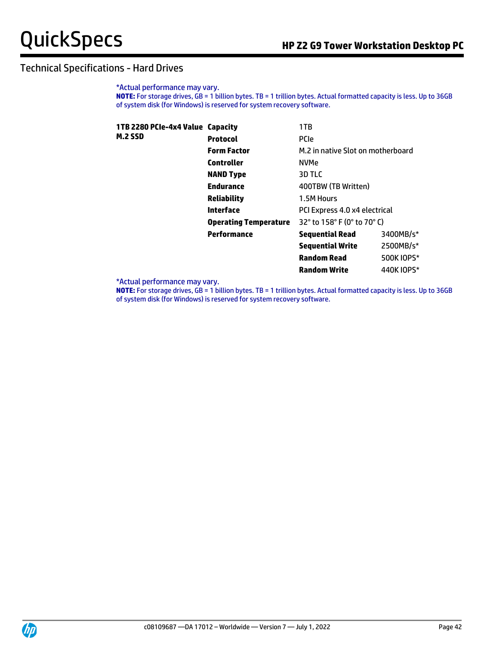\*Actual performance may vary. **NOTE:** For storage drives, GB = 1 billion bytes. TB = 1 trillion bytes. Actual formatted capacity is less. Up to 36GB of system disk (for Windows) is reserved for system recovery software.

| 1TB 2280 PCIe-4x4 Value Capacity |                              | 1TB                               |            |
|----------------------------------|------------------------------|-----------------------------------|------------|
| <b>M.2 SSD</b>                   | <b>Protocol</b>              | <b>PCIe</b>                       |            |
|                                  | <b>Form Factor</b>           | M.2 in native Slot on motherboard |            |
|                                  | <b>Controller</b>            | <b>NVMe</b>                       |            |
|                                  | <b>NAND Type</b>             | 3D TLC                            |            |
|                                  | <b>Endurance</b>             | 400TBW (TB Written)               |            |
|                                  | <b>Reliability</b>           | 1.5M Hours                        |            |
|                                  | Interface                    | PCI Express 4.0 x4 electrical     |            |
|                                  | <b>Operating Temperature</b> | 32° to 158° F (0° to 70° C)       |            |
|                                  | Performance                  | <b>Sequential Read</b>            | 3400MB/s*  |
|                                  |                              | <b>Sequential Write</b>           | 2500MB/s*  |
|                                  |                              | <b>Random Read</b>                | 500K IOPS* |
|                                  |                              | <b>Random Write</b>               | 440K IOPS* |

\*Actual performance may vary.

**NOTE:** For storage drives, GB = 1 billion bytes. TB = 1 trillion bytes. Actual formatted capacity is less. Up to 36GB of system disk (for Windows) is reserved for system recovery software.

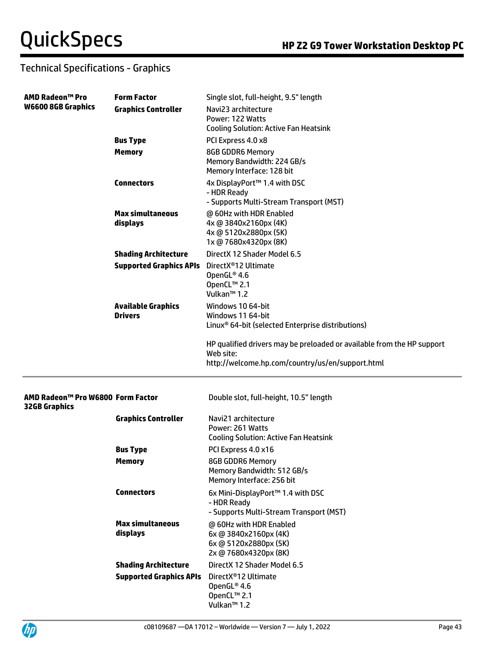| <b>AMD Radeon™ Pro</b>                                    | <b>Form Factor</b>               | Single slot, full-height, 9.5" length                                                  |
|-----------------------------------------------------------|----------------------------------|----------------------------------------------------------------------------------------|
| <b>W6600 8GB Graphics</b>                                 | <b>Graphics Controller</b>       | Navi23 architecture                                                                    |
|                                                           |                                  | Power: 122 Watts<br><b>Cooling Solution: Active Fan Heatsink</b>                       |
|                                                           | <b>Bus Type</b>                  | PCI Express 4.0 x8                                                                     |
|                                                           | <b>Memory</b>                    | 8GB GDDR6 Memory                                                                       |
|                                                           |                                  | Memory Bandwidth: 224 GB/s<br>Memory Interface: 128 bit                                |
|                                                           | <b>Connectors</b>                | 4x DisplayPort™ 1.4 with DSC<br>- HDR Ready<br>- Supports Multi-Stream Transport (MST) |
|                                                           | <b>Max simultaneous</b>          | @ 60Hz with HDR Enabled                                                                |
|                                                           | displays                         | 4x @ 3840x2160px (4K)                                                                  |
|                                                           |                                  | 4x @ 5120x2880px (5K)<br>1x @ 7680x4320px (8K)                                         |
|                                                           | <b>Shading Architecture</b>      | DirectX 12 Shader Model 6.5                                                            |
|                                                           | <b>Supported Graphics APIs</b>   | DirectX®12 Ultimate                                                                    |
|                                                           |                                  | OpenGL® 4.6                                                                            |
|                                                           |                                  | OpenCL™ 2.1<br>Vulkan <sup>™</sup> 1.2                                                 |
|                                                           | <b>Available Graphics</b>        | Windows 10 64-bit                                                                      |
|                                                           | <b>Drivers</b>                   | Windows 11 64-bit                                                                      |
|                                                           |                                  | Linux <sup>®</sup> 64-bit (selected Enterprise distributions)                          |
|                                                           |                                  | HP qualified drivers may be preloaded or available from the HP support<br>Web site:    |
|                                                           |                                  | http://welcome.hp.com/country/us/en/support.html                                       |
|                                                           |                                  |                                                                                        |
| AMD Radeon™ Pro W6800 Form Factor<br><b>32GB Graphics</b> |                                  | Double slot, full-height, 10.5" length                                                 |
|                                                           | <b>Graphics Controller</b>       | Navi21 architecture                                                                    |
|                                                           |                                  | Power: 261 Watts                                                                       |
|                                                           |                                  | <b>Cooling Solution: Active Fan Heatsink</b><br>PCI Express 4.0 x16                    |
|                                                           | <b>Bus Type</b><br><b>Memory</b> | <b>8GB GDDR6 Memory</b>                                                                |
|                                                           |                                  | Memory Bandwidth: 512 GB/s                                                             |
|                                                           |                                  | Memory Interface: 256 bit                                                              |
|                                                           | <b>Connectors</b>                | 6x Mini-DisplayPort™ 1.4 with DSC                                                      |
|                                                           |                                  | - HDR Ready<br>- Supports Multi-Stream Transport (MST)                                 |
|                                                           | <b>Max simultaneous</b>          | @ 60Hz with HDR Enabled                                                                |
|                                                           | displays                         | 6x @ 3840x2160px (4K)                                                                  |
|                                                           |                                  | 6x @ 5120x2880px (5K)                                                                  |
|                                                           | <b>Shading Architecture</b>      | 2x @ 7680x4320px (8K)<br>DirectX 12 Shader Model 6.5                                   |
|                                                           | <b>Supported Graphics APIs</b>   | DirectX <sup>®</sup> 12 Ultimate                                                       |
|                                                           |                                  | OpenGL® 4.6                                                                            |
|                                                           |                                  | OpenCL™ 2.1                                                                            |
|                                                           |                                  | Vulkan <sup>™</sup> 1.2                                                                |

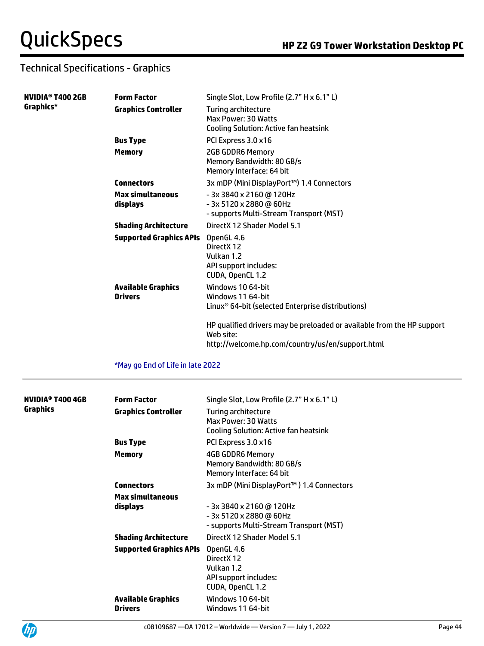| NVIDIA <sup>®</sup> T400 2GB | <b>Form Factor</b>                          | Single Slot, Low Profile (2.7" H x 6.1" L)                                                                                              |
|------------------------------|---------------------------------------------|-----------------------------------------------------------------------------------------------------------------------------------------|
| Graphics*                    | <b>Graphics Controller</b>                  | Turing architecture<br>Max Power: 30 Watts<br><b>Cooling Solution: Active fan heatsink</b>                                              |
|                              | <b>Bus Type</b>                             | PCI Express 3.0 x16                                                                                                                     |
|                              | <b>Memory</b>                               | <b>2GB GDDR6 Memory</b><br>Memory Bandwidth: 80 GB/s<br>Memory Interface: 64 bit                                                        |
|                              | <b>Connectors</b>                           | 3x mDP (Mini DisplayPort™) 1.4 Connectors                                                                                               |
|                              | <b>Max simultaneous</b><br>displays         | - 3x 3840 x 2160 @ 120Hz<br>- 3x 5120 x 2880 @ 60Hz<br>- supports Multi-Stream Transport (MST)                                          |
|                              | <b>Shading Architecture</b>                 | DirectX 12 Shader Model 5.1                                                                                                             |
|                              | <b>Supported Graphics APIs</b>              | OpenGL 4.6<br>DirectX 12<br>Vulkan 1.2<br>API support includes:<br>CUDA, OpenCL 1.2                                                     |
|                              | <b>Available Graphics</b><br><b>Drivers</b> | Windows 10 64-bit<br>Windows 11 64-bit<br>Linux <sup>®</sup> 64-bit (selected Enterprise distributions)                                 |
|                              |                                             | HP qualified drivers may be preloaded or available from the HP support<br>Web site:<br>http://welcome.hp.com/country/us/en/support.html |
|                              | *May go End of Life in late 2022            |                                                                                                                                         |
| NVIDIA <sup>®</sup> T400 4GB | <b>Form Factor</b>                          | Single Slot, Low Profile (2.7" H x 6.1" L)                                                                                              |
| <b>Graphics</b>              | <b>Graphics Controller</b>                  | Turing architecture<br>Max Power: 30 Watts<br><b>Cooling Solution: Active fan heatsink</b>                                              |
|                              | <b>Bus Type</b>                             | PCI Express 3.0 x16                                                                                                                     |
|                              | <b>Memory</b>                               | 4GB GDDR6 Memory<br>Memory Bandwidth: 80 GB/s<br>Memory Interface: 64 bit                                                               |
|                              | <b>Connectors</b>                           | 3x mDP (Mini DisplayPort™) 1.4 Connectors                                                                                               |
|                              | <b>Max simultaneous</b>                     |                                                                                                                                         |
|                              | displays                                    | - 3x 3840 x 2160 @ 120Hz<br>$-3x5120x2880$ @ 60Hz                                                                                       |

| displays                       | - 3x 3840 x 2160 @ 120Hz                |
|--------------------------------|-----------------------------------------|
|                                | - 3x 5120 x 2880 @ 60Hz                 |
|                                | - supports Multi-Stream Transport (MST) |
| <b>Shading Architecture</b>    | DirectX 12 Shader Model 5.1             |
| <b>Supported Graphics APIs</b> | OpenGL 4.6                              |
|                                | Direct X12                              |
|                                | Vulkan 1.2                              |
|                                | API support includes:                   |
|                                | CUDA, OpenCL 1.2                        |
| <b>Available Graphics</b>      | Windows 10 64-bit                       |
| <b>Drivers</b>                 | Windows 11 64-bit                       |
|                                |                                         |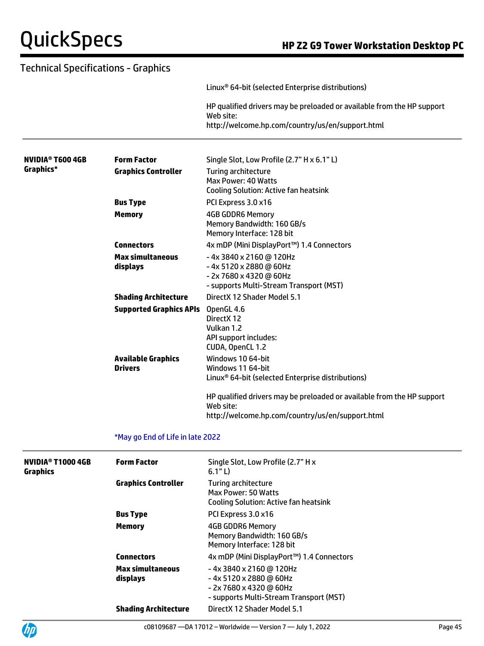| Technical Specifications - Graphics                                                                                                                     |                                  |                                                                                                                                         |
|---------------------------------------------------------------------------------------------------------------------------------------------------------|----------------------------------|-----------------------------------------------------------------------------------------------------------------------------------------|
|                                                                                                                                                         |                                  | Linux <sup>®</sup> 64-bit (selected Enterprise distributions)                                                                           |
|                                                                                                                                                         |                                  | HP qualified drivers may be preloaded or available from the HP support<br>Web site:                                                     |
|                                                                                                                                                         |                                  | http://welcome.hp.com/country/us/en/support.html                                                                                        |
| NVIDIA® T600 4GB                                                                                                                                        | <b>Form Factor</b>               | Single Slot, Low Profile (2.7" H x 6.1" L)                                                                                              |
| Graphics*                                                                                                                                               | <b>Graphics Controller</b>       | Turing architecture<br>Max Power: 40 Watts<br><b>Cooling Solution: Active fan heatsink</b>                                              |
|                                                                                                                                                         | <b>Bus Type</b>                  | PCI Express 3.0 x16                                                                                                                     |
| <b>Memory</b><br><b>Connectors</b><br><b>Max simultaneous</b><br>displays<br><b>Shading Architecture</b><br><b>Available Graphics</b><br><b>Drivers</b> |                                  | <b>4GB GDDR6 Memory</b><br>Memory Bandwidth: 160 GB/s<br>Memory Interface: 128 bit                                                      |
|                                                                                                                                                         |                                  | 4x mDP (Mini DisplayPort™) 1.4 Connectors                                                                                               |
|                                                                                                                                                         |                                  | -4x 3840 x 2160 @ 120Hz<br>-4x 5120 x 2880 @ 60Hz<br>- 2x 7680 x 4320 @ 60Hz<br>- supports Multi-Stream Transport (MST)                 |
|                                                                                                                                                         |                                  | DirectX 12 Shader Model 5.1                                                                                                             |
|                                                                                                                                                         | <b>Supported Graphics APIs</b>   | OpenGL 4.6<br>DirectX 12<br>Vulkan 1.2<br>API support includes:<br>CUDA, OpenCL 1.2                                                     |
|                                                                                                                                                         |                                  | Windows 10 64-bit<br>Windows 11 64-bit<br>Linux <sup>®</sup> 64-bit (selected Enterprise distributions)                                 |
|                                                                                                                                                         |                                  | HP qualified drivers may be preloaded or available from the HP support<br>Web site:<br>http://welcome.hp.com/country/us/en/support.html |
|                                                                                                                                                         | *May go End of Life in late 2022 |                                                                                                                                         |
| <b>NVIDIA<sup>®</sup> T1000 4GB</b><br>Graphics                                                                                                         | <b>Form Factor</b>               | Single Slot, Low Profile (2.7" H x<br>6.1"L                                                                                             |

| /IDIA® T1000 4GB<br>aphics | <b>Form Factor</b>                  | Single Slot, Low Profile (2.7" H x<br>6.1"L                                                                              |
|----------------------------|-------------------------------------|--------------------------------------------------------------------------------------------------------------------------|
|                            | <b>Graphics Controller</b>          | Turing architecture<br>Max Power: 50 Watts<br><b>Cooling Solution: Active fan heatsink</b>                               |
|                            | <b>Bus Type</b>                     | PCI Express 3.0 x16                                                                                                      |
|                            | <b>Memory</b>                       | 4GB GDDR6 Memory<br>Memory Bandwidth: 160 GB/s<br>Memory Interface: 128 bit                                              |
|                            | <b>Connectors</b>                   | 4x mDP (Mini DisplayPort™) 1.4 Connectors                                                                                |
|                            | <b>Max simultaneous</b><br>displays | -4x 3840 x 2160 @ 120Hz<br>- 4x 5120 x 2880 @ 60Hz<br>- 2x 7680 x 4320 @ 60Hz<br>- supports Multi-Stream Transport (MST) |
|                            | <b>Shading Architecture</b>         | DirectX 12 Shader Model 5.1                                                                                              |
|                            |                                     |                                                                                                                          |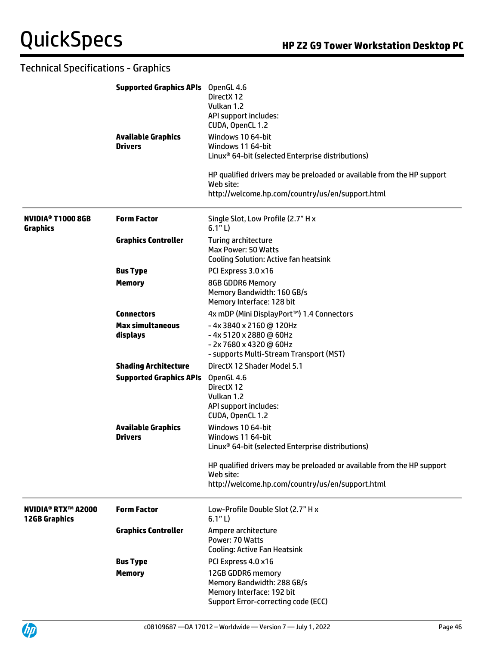|                                                        | <b>Supported Graphics APIs</b> OpenGL 4.6   | DirectX 12<br>Vulkan 1.2<br>API support includes:<br>CUDA, OpenCL 1.2                                                                   |
|--------------------------------------------------------|---------------------------------------------|-----------------------------------------------------------------------------------------------------------------------------------------|
|                                                        | <b>Available Graphics</b><br><b>Drivers</b> | Windows 10 64-bit<br>Windows 11 64-bit<br>Linux <sup>®</sup> 64-bit (selected Enterprise distributions)                                 |
|                                                        |                                             | HP qualified drivers may be preloaded or available from the HP support<br>Web site:<br>http://welcome.hp.com/country/us/en/support.html |
| <b>NVIDIA<sup>®</sup> T1000 8GB</b><br><b>Graphics</b> | <b>Form Factor</b>                          | Single Slot, Low Profile (2.7" H x<br>6.1"L)                                                                                            |
|                                                        | <b>Graphics Controller</b>                  | <b>Turing architecture</b><br>Max Power: 50 Watts<br><b>Cooling Solution: Active fan heatsink</b>                                       |
|                                                        | <b>Bus Type</b>                             | PCI Express 3.0 x16                                                                                                                     |
|                                                        | <b>Memory</b>                               | <b>8GB GDDR6 Memory</b><br>Memory Bandwidth: 160 GB/s<br>Memory Interface: 128 bit                                                      |
|                                                        | <b>Connectors</b>                           | 4x mDP (Mini DisplayPort™) 1.4 Connectors                                                                                               |
|                                                        | <b>Max simultaneous</b><br>displays         | -4x 3840 x 2160 @ 120Hz<br>-4x 5120 x 2880 @ 60Hz<br>- 2x 7680 x 4320 @ 60Hz<br>- supports Multi-Stream Transport (MST)                 |
|                                                        | <b>Shading Architecture</b>                 | DirectX 12 Shader Model 5.1                                                                                                             |
|                                                        | <b>Supported Graphics APIs</b>              | OpenGL 4.6<br>DirectX 12<br>Vulkan 1.2<br>API support includes:<br>CUDA, OpenCL 1.2                                                     |
|                                                        | <b>Available Graphics</b><br><b>Drivers</b> | Windows 10 64-bit<br>Windows 11 64-bit<br>Linux <sup>®</sup> 64-bit (selected Enterprise distributions)                                 |
|                                                        |                                             | HP qualified drivers may be preloaded or available from the HP support<br>Web site:<br>http://welcome.hp.com/country/us/en/support.html |
| <b>NVIDIA® RTX™ A2000</b><br><b>12GB Graphics</b>      | <b>Form Factor</b>                          | Low-Profile Double Slot (2.7" H x<br>6.1" L)                                                                                            |
|                                                        | <b>Graphics Controller</b>                  | Ampere architecture<br>Power: 70 Watts<br><b>Cooling: Active Fan Heatsink</b>                                                           |
|                                                        | <b>Bus Type</b>                             | PCI Express 4.0 x16                                                                                                                     |
|                                                        | <b>Memory</b>                               | 12GB GDDR6 memory<br>Memory Bandwidth: 288 GB/s<br>Memory Interface: 192 bit<br>Support Error-correcting code (ECC)                     |

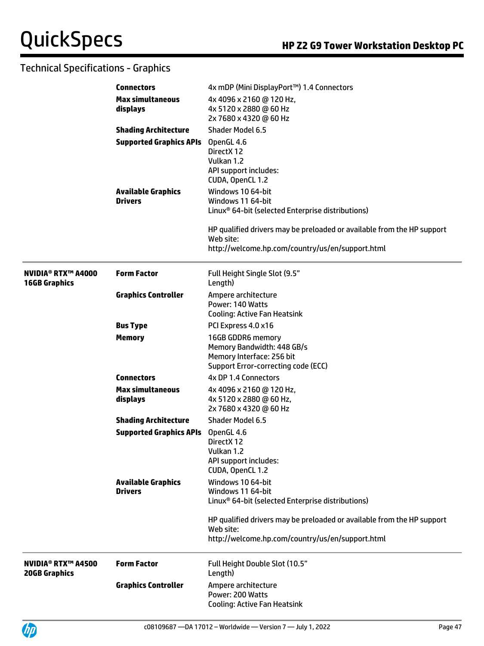|                                                   | <b>Connectors</b>                           | 4x mDP (Mini DisplayPort™) 1.4 Connectors                                                                                               |
|---------------------------------------------------|---------------------------------------------|-----------------------------------------------------------------------------------------------------------------------------------------|
|                                                   | <b>Max simultaneous</b><br>displays         | 4x 4096 x 2160 @ 120 Hz,<br>4x 5120 x 2880 @ 60 Hz<br>2x 7680 x 4320 @ 60 Hz                                                            |
|                                                   | <b>Shading Architecture</b>                 | <b>Shader Model 6.5</b>                                                                                                                 |
|                                                   | <b>Supported Graphics APIs</b>              | OpenGL 4.6<br>DirectX 12<br>Vulkan 1.2<br>API support includes:<br>CUDA, OpenCL 1.2                                                     |
|                                                   | <b>Available Graphics</b><br><b>Drivers</b> | Windows 10 64-bit<br>Windows 11 64-bit<br>Linux <sup>®</sup> 64-bit (selected Enterprise distributions)                                 |
|                                                   |                                             | HP qualified drivers may be preloaded or available from the HP support<br>Web site:<br>http://welcome.hp.com/country/us/en/support.html |
| <b>NVIDIA® RTX™ A4000</b><br><b>16GB Graphics</b> | <b>Form Factor</b>                          | Full Height Single Slot (9.5"<br>Length)                                                                                                |
|                                                   | <b>Graphics Controller</b>                  | Ampere architecture<br>Power: 140 Watts<br><b>Cooling: Active Fan Heatsink</b>                                                          |
|                                                   | <b>Bus Type</b>                             | PCI Express 4.0 x16                                                                                                                     |
|                                                   | <b>Memory</b>                               | 16GB GDDR6 memory<br>Memory Bandwidth: 448 GB/s<br>Memory Interface: 256 bit<br>Support Error-correcting code (ECC)                     |
|                                                   | <b>Connectors</b>                           | 4x DP 1.4 Connectors                                                                                                                    |
|                                                   | <b>Max simultaneous</b><br>displays         | 4x 4096 x 2160 @ 120 Hz,<br>4x 5120 x 2880 @ 60 Hz,<br>2x 7680 x 4320 @ 60 Hz                                                           |
|                                                   | <b>Shading Architecture</b>                 | <b>Shader Model 6.5</b>                                                                                                                 |
|                                                   | <b>Supported Graphics APIs</b>              | OpenGL 4.6<br>Direct X 12<br>Vulkan 1.2<br>API support includes:<br>CUDA, OpenCL 1.2                                                    |
|                                                   | <b>Available Graphics</b><br><b>Drivers</b> | Windows 10 64-bit<br>Windows 11 64-bit<br>Linux <sup>®</sup> 64-bit (selected Enterprise distributions)                                 |
|                                                   |                                             | HP qualified drivers may be preloaded or available from the HP support<br>Web site:<br>http://welcome.hp.com/country/us/en/support.html |
| <b>NVIDIA® RTX™ A4500</b><br><b>20GB Graphics</b> | <b>Form Factor</b>                          | Full Height Double Slot (10.5"<br>Length)                                                                                               |
|                                                   | <b>Graphics Controller</b>                  | Ampere architecture<br>Power: 200 Watts<br><b>Cooling: Active Fan Heatsink</b>                                                          |

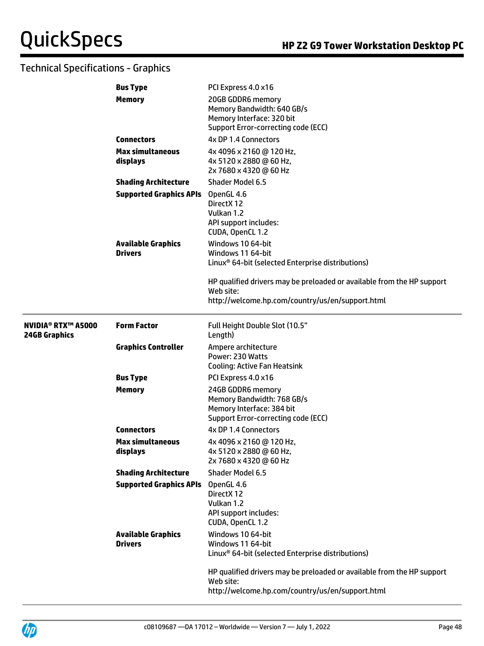|                                                   | <b>Bus Type</b>                                                               | PCI Express 4.0 x16                                                                                                                     |
|---------------------------------------------------|-------------------------------------------------------------------------------|-----------------------------------------------------------------------------------------------------------------------------------------|
|                                                   | <b>Memory</b>                                                                 | 20GB GDDR6 memory<br>Memory Bandwidth: 640 GB/s<br>Memory Interface: 320 bit<br>Support Error-correcting code (ECC)                     |
|                                                   | <b>Connectors</b>                                                             | 4x DP 1.4 Connectors                                                                                                                    |
| <b>Max simultaneous</b><br>displays               | 4x 4096 x 2160 @ 120 Hz,<br>4x 5120 x 2880 @ 60 Hz,<br>2x 7680 x 4320 @ 60 Hz |                                                                                                                                         |
|                                                   | <b>Shading Architecture</b>                                                   | Shader Model 6.5                                                                                                                        |
|                                                   | <b>Supported Graphics APIs</b>                                                | OpenGL 4.6<br>DirectX 12<br>Vulkan 1.2<br>API support includes:<br>CUDA, OpenCL 1.2                                                     |
|                                                   | <b>Available Graphics</b><br><b>Drivers</b>                                   | Windows 10 64-bit<br>Windows 11 64-bit<br>Linux <sup>®</sup> 64-bit (selected Enterprise distributions)                                 |
|                                                   |                                                                               | HP qualified drivers may be preloaded or available from the HP support<br>Web site:<br>http://welcome.hp.com/country/us/en/support.html |
| <b>NVIDIA® RTX™ A5000</b><br><b>24GB Graphics</b> | <b>Form Factor</b>                                                            | Full Height Double Slot (10.5"<br>Length)                                                                                               |
|                                                   | <b>Graphics Controller</b>                                                    | Ampere architecture<br>Power: 230 Watts<br><b>Cooling: Active Fan Heatsink</b>                                                          |
|                                                   | <b>Bus Type</b>                                                               | PCI Express 4.0 x16                                                                                                                     |
|                                                   | <b>Memory</b>                                                                 | 24GB GDDR6 memory<br>Memory Bandwidth: 768 GB/s<br>Memory Interface: 384 bit<br>Support Error-correcting code (ECC)                     |
|                                                   | <b>Connectors</b>                                                             | 4x DP 1.4 Connectors                                                                                                                    |
|                                                   | <b>Max simultaneous</b><br>displays                                           | 4x 4096 x 2160 @ 120 Hz,<br>4x 5120 x 2880 @ 60 Hz,<br>2x 7680 x 4320 @ 60 Hz                                                           |
|                                                   | <b>Shading Architecture</b>                                                   | Shader Model 6.5                                                                                                                        |
|                                                   | <b>Supported Graphics APIs</b>                                                | OpenGL 4.6<br>DirectX 12<br>Vulkan 1.2<br>API support includes:<br>CUDA, OpenCL 1.2                                                     |
|                                                   | <b>Available Graphics</b><br><b>Drivers</b>                                   | Windows 10 64-bit<br>Windows 11 64-bit<br>Linux <sup>®</sup> 64-bit (selected Enterprise distributions)                                 |
|                                                   |                                                                               | HP qualified drivers may be preloaded or available from the HP support<br>Web site:<br>http://welcome.hp.com/country/us/en/support.html |

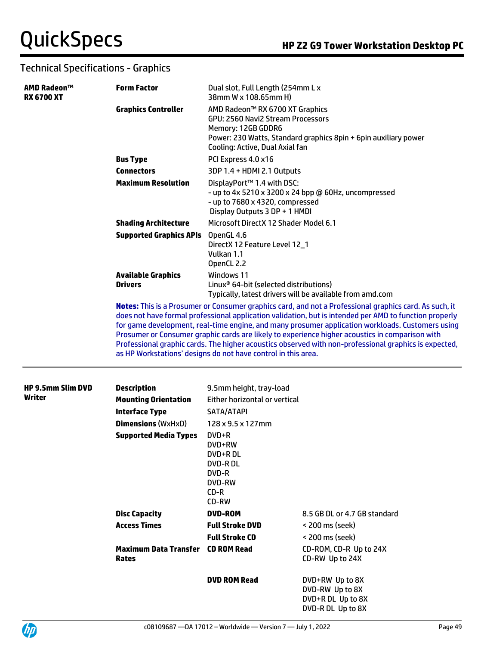| AMD Radeon™<br><b>RX 6700 XT</b> | <b>Form Factor</b>                                                                                                                                                                                                                                                                                                                                                                                                                                                                                                                                                                                | Dual slot, Full Length (254mm L x<br>38mm W x 108.65mm H)                                                                                                                                        |  |
|----------------------------------|---------------------------------------------------------------------------------------------------------------------------------------------------------------------------------------------------------------------------------------------------------------------------------------------------------------------------------------------------------------------------------------------------------------------------------------------------------------------------------------------------------------------------------------------------------------------------------------------------|--------------------------------------------------------------------------------------------------------------------------------------------------------------------------------------------------|--|
|                                  | <b>Graphics Controller</b>                                                                                                                                                                                                                                                                                                                                                                                                                                                                                                                                                                        | AMD Radeon™ RX 6700 XT Graphics<br>GPU: 2560 Navi2 Stream Processors<br>Memory: 12GB GDDR6<br>Power: 230 Watts, Standard graphics 8pin + 6pin auxiliary power<br>Cooling: Active, Dual Axial fan |  |
|                                  | <b>Bus Type</b>                                                                                                                                                                                                                                                                                                                                                                                                                                                                                                                                                                                   | PCI Express 4.0 x16                                                                                                                                                                              |  |
|                                  | <b>Connectors</b>                                                                                                                                                                                                                                                                                                                                                                                                                                                                                                                                                                                 | 3DP 1.4 + HDMI 2.1 Outputs                                                                                                                                                                       |  |
|                                  | <b>Maximum Resolution</b>                                                                                                                                                                                                                                                                                                                                                                                                                                                                                                                                                                         | DisplayPort™ 1.4 with DSC:<br>- up to 4x 5210 x 3200 x 24 bpp @ 60Hz, uncompressed<br>- up to 7680 x 4320, compressed<br>Display Outputs 3 DP + 1 HMDI                                           |  |
|                                  | <b>Shading Architecture</b>                                                                                                                                                                                                                                                                                                                                                                                                                                                                                                                                                                       | Microsoft DirectX 12 Shader Model 6.1                                                                                                                                                            |  |
|                                  | <b>Supported Graphics APIs</b>                                                                                                                                                                                                                                                                                                                                                                                                                                                                                                                                                                    | OpenGL 4.6<br>DirectX 12 Feature Level 12_1<br>Vulkan 1.1<br>OpenCL 2.2                                                                                                                          |  |
|                                  | <b>Available Graphics</b><br><b>Drivers</b>                                                                                                                                                                                                                                                                                                                                                                                                                                                                                                                                                       | Windows 11<br>Linux <sup>®</sup> 64-bit (selected distributions)<br>Typically, latest drivers will be available from amd.com                                                                     |  |
|                                  | Notes: This is a Prosumer or Consumer graphics card, and not a Professional graphics card. As such, it<br>does not have formal professional application validation, but is intended per AMD to function properly<br>for game development, real-time engine, and many prosumer application workloads. Customers using<br>Prosumer or Consumer graphic cards are likely to experience higher acoustics in comparison with<br>Professional graphic cards. The higher acoustics observed with non-professional graphics is expected,<br>as HP Workstations' designs do not have control in this area. |                                                                                                                                                                                                  |  |
| <b>HP 9.5mm Slim DVD</b>         | <b>Description</b>                                                                                                                                                                                                                                                                                                                                                                                                                                                                                                                                                                                | 9.5mm height, tray-load                                                                                                                                                                          |  |
| Writer                           | <b>Mounting Orientation</b>                                                                                                                                                                                                                                                                                                                                                                                                                                                                                                                                                                       | Either horizontal or vertical                                                                                                                                                                    |  |
|                                  | <b>Interface Type</b>                                                                                                                                                                                                                                                                                                                                                                                                                                                                                                                                                                             | SATA/ATAPI                                                                                                                                                                                       |  |
|                                  | <b>Dimensions (WxHxD)</b>                                                                                                                                                                                                                                                                                                                                                                                                                                                                                                                                                                         | 128 x 9.5 x 127mm                                                                                                                                                                                |  |
|                                  | <b>Supported Media Types</b>                                                                                                                                                                                                                                                                                                                                                                                                                                                                                                                                                                      | DVD+R<br>DVD+RW<br>DVD+R DL<br><b>DVD-RDL</b><br>DVD-R<br><b>DVD-RW</b><br>CD-R                                                                                                                  |  |

|                                                          | CD-R<br>CD-RW          |                                           |
|----------------------------------------------------------|------------------------|-------------------------------------------|
| <b>Disc Capacity</b>                                     | <b>DVD-ROM</b>         | 8.5 GB DL or 4.7 GB standard              |
| <b>Access Times</b>                                      | <b>Full Stroke DVD</b> | < 200 ms (seek)                           |
|                                                          | <b>Full Stroke CD</b>  | < 200 ms (seek)                           |
| <b>Maximum Data Transfer</b> CD ROM Read<br><b>Rates</b> |                        | CD-ROM, CD-R Up to 24X<br>CD-RW Up to 24X |
|                                                          | <b>DVD ROM Read</b>    | DVD+RW Up to 8X<br>DVD-RW Up to 8X        |

DVD+R DL Up to 8X DVD-R DL Up to 8X

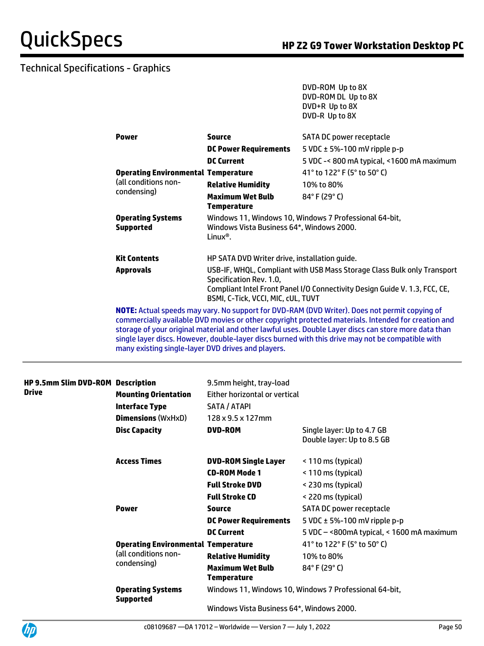DVD-ROM Up to 8X

# Technical Specifications - Graphics

|                                                               |                                                                            | DVD-ROM DL Up to 8X                                                                                                                                                                                  |  |
|---------------------------------------------------------------|----------------------------------------------------------------------------|------------------------------------------------------------------------------------------------------------------------------------------------------------------------------------------------------|--|
|                                                               |                                                                            | DVD+R Up to 8X                                                                                                                                                                                       |  |
|                                                               |                                                                            | DVD-R Up to 8X                                                                                                                                                                                       |  |
|                                                               |                                                                            |                                                                                                                                                                                                      |  |
| <b>Power</b>                                                  | <b>Source</b>                                                              | SATA DC power receptacle                                                                                                                                                                             |  |
|                                                               | <b>DC Power Requirements</b>                                               | 5 VDC $\pm$ 5%-100 mV ripple p-p                                                                                                                                                                     |  |
|                                                               | <b>DC Current</b>                                                          | 5 VDC -< 800 mA typical, <1600 mA maximum                                                                                                                                                            |  |
| <b>Operating Environmental Temperature</b>                    |                                                                            | 41° to 122° F (5° to 50° C)                                                                                                                                                                          |  |
| (all conditions non-                                          | <b>Relative Humidity</b>                                                   | 10% to 80%                                                                                                                                                                                           |  |
| condensing)                                                   | <b>Maximum Wet Bulb</b>                                                    | $84^{\circ}$ F (29 $^{\circ}$ C)                                                                                                                                                                     |  |
|                                                               | <b>Temperature</b>                                                         |                                                                                                                                                                                                      |  |
| <b>Operating Systems</b>                                      |                                                                            | Windows 11, Windows 10, Windows 7 Professional 64-bit,                                                                                                                                               |  |
| Windows Vista Business 64*, Windows 2000.<br><b>Supported</b> |                                                                            |                                                                                                                                                                                                      |  |
|                                                               | Linux <sup>®</sup> .                                                       |                                                                                                                                                                                                      |  |
| <b>Kit Contents</b>                                           |                                                                            |                                                                                                                                                                                                      |  |
|                                                               | HP SATA DVD Writer drive, installation guide.                              |                                                                                                                                                                                                      |  |
| <b>Approvals</b>                                              | USB-IF, WHQL, Compliant with USB Mass Storage Class Bulk only Transport    |                                                                                                                                                                                                      |  |
|                                                               | Specification Rev. 1.0,                                                    |                                                                                                                                                                                                      |  |
|                                                               | Compliant Intel Front Panel I/O Connectivity Design Guide V. 1.3, FCC, CE, |                                                                                                                                                                                                      |  |
|                                                               | BSMI, C-Tick, VCCI, MIC, cUL, TUVT                                         |                                                                                                                                                                                                      |  |
|                                                               |                                                                            | NOTE: Actual speeds may vary. No support for DVD-RAM (DVD Writer). Does not permit copying of<br>commercially augilable DVD movies as ether conveight protected materials. Intended for creation and |  |

commercially available DVD movies or other copyright protected materials. Intended for creation and storage of your original material and other lawful uses. Double Layer discs can store more data than single layer discs. However, double-layer discs burned with this drive may not be compatible with many existing single-layer DVD drives and players.

| <b>HP 9.5mm Slim DVD-ROM</b><br><b>Drive</b> | Description                                  | 9.5mm height, tray-load                       |                                                          |
|----------------------------------------------|----------------------------------------------|-----------------------------------------------|----------------------------------------------------------|
|                                              | <b>Mounting Orientation</b>                  | Either horizontal or vertical                 |                                                          |
|                                              | <b>Interface Type</b>                        | SATA / ATAPI                                  |                                                          |
|                                              | <b>Dimensions</b> (WxHxD)                    | $128 \times 9.5 \times 127$ mm                |                                                          |
|                                              | <b>Disc Capacity</b>                         | <b>DVD-ROM</b>                                | Single layer: Up to 4.7 GB<br>Double layer: Up to 8.5 GB |
|                                              | <b>Access Times</b>                          | <b>DVD-ROM Single Layer</b>                   | < 110 ms (typical)                                       |
|                                              |                                              | <b>CD-ROM Mode 1</b>                          | < 110 ms (typical)                                       |
|                                              |                                              | <b>Full Stroke DVD</b>                        | < 230 ms (typical)                                       |
|                                              |                                              | <b>Full Stroke CD</b>                         | < 220 ms (typical)                                       |
|                                              | <b>Power</b>                                 | <b>Source</b>                                 | SATA DC power receptacle                                 |
|                                              |                                              | <b>DC Power Requirements</b>                  | 5 VDC $\pm$ 5%-100 mV ripple p-p                         |
|                                              |                                              | <b>DC Current</b>                             | 5 VDC - < 800 m A typical, < 1600 m A maximum            |
|                                              | <b>Operating Environmental Temperature</b>   |                                               | 41° to 122° F (5° to 50° C)                              |
|                                              | (all conditions non-<br>condensing)          | <b>Relative Humidity</b>                      | 10% to 80%                                               |
|                                              |                                              | <b>Maximum Wet Bulb</b><br><b>Temperature</b> | 84°F (29°C)                                              |
|                                              | <b>Operating Systems</b><br><b>Supported</b> |                                               | Windows 11, Windows 10, Windows 7 Professional 64-bit,   |
|                                              | Windows Vista Business C4* Windows 2000      |                                               |                                                          |

Windows Vista Business 64\*, Windows 2000.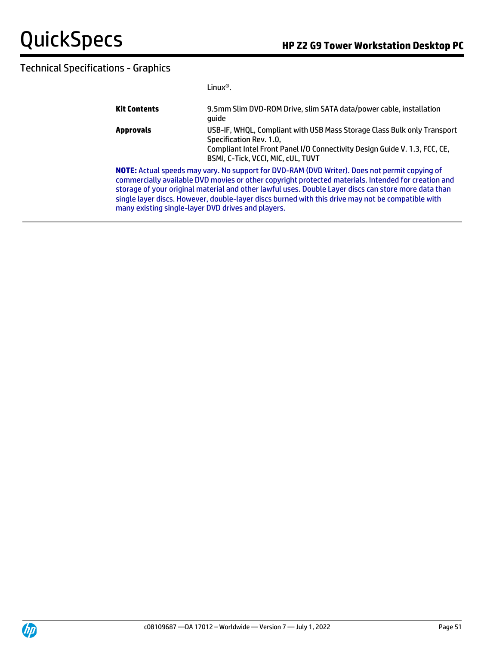|                                                                                                                                                                                                                                                                                                                                                                                                                                                                         | $l$ inux $^{\circledR}$ .                                                                                                                                                                                                     |  |
|-------------------------------------------------------------------------------------------------------------------------------------------------------------------------------------------------------------------------------------------------------------------------------------------------------------------------------------------------------------------------------------------------------------------------------------------------------------------------|-------------------------------------------------------------------------------------------------------------------------------------------------------------------------------------------------------------------------------|--|
| <b>Kit Contents</b>                                                                                                                                                                                                                                                                                                                                                                                                                                                     | 9.5mm Slim DVD-ROM Drive, slim SATA data/power cable, installation<br>quide                                                                                                                                                   |  |
| <b>Approvals</b>                                                                                                                                                                                                                                                                                                                                                                                                                                                        | USB-IF, WHQL, Compliant with USB Mass Storage Class Bulk only Transport<br>Specification Rev. 1.0,<br>Compliant Intel Front Panel I/O Connectivity Design Guide V. 1.3, FCC, CE,<br><b>BSMI. C-Tick. VCCI. MIC. cUL. TUVT</b> |  |
| NOTE: Actual speeds may vary. No support for DVD-RAM (DVD Writer). Does not permit copying of<br>commercially available DVD movies or other copyright protected materials. Intended for creation and<br>storage of your original material and other lawful uses. Double Layer discs can store more data than<br>single layer discs. However, double-layer discs burned with this drive may not be compatible with<br>many existing single-layer DVD drives and players. |                                                                                                                                                                                                                               |  |

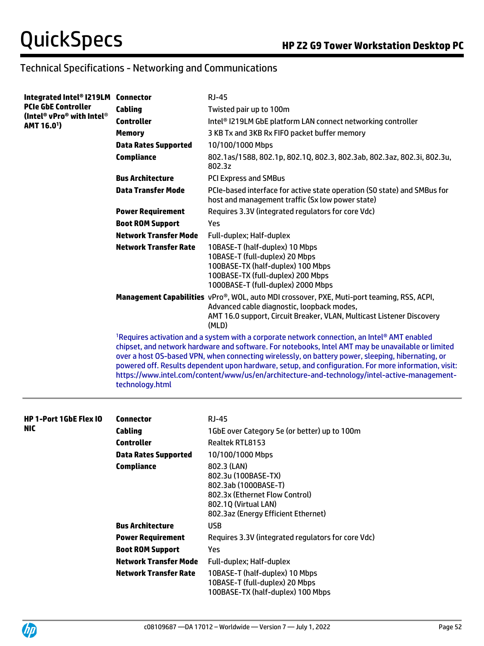| Integrated Intel® I219LM Connector |                              | <b>RJ-45</b>                                                                                                                                                                                                                                                                                                                                                                                                                                                                                                    |  |  |
|------------------------------------|------------------------------|-----------------------------------------------------------------------------------------------------------------------------------------------------------------------------------------------------------------------------------------------------------------------------------------------------------------------------------------------------------------------------------------------------------------------------------------------------------------------------------------------------------------|--|--|
| <b>PCIe GbE Controller</b>         | <b>Cabling</b>               | Twisted pair up to 100m                                                                                                                                                                                                                                                                                                                                                                                                                                                                                         |  |  |
| (Intel® vPro® with Intel®          | <b>Controller</b>            | Intel <sup>®</sup> I219LM GbE platform LAN connect networking controller                                                                                                                                                                                                                                                                                                                                                                                                                                        |  |  |
| AMT 16.0 <sup>1</sup> )            | <b>Memory</b>                | 3 KB Tx and 3KB Rx FIFO packet buffer memory                                                                                                                                                                                                                                                                                                                                                                                                                                                                    |  |  |
|                                    | <b>Data Rates Supported</b>  | 10/100/1000 Mbps                                                                                                                                                                                                                                                                                                                                                                                                                                                                                                |  |  |
|                                    | <b>Compliance</b>            | 802.1as/1588, 802.1p, 802.1Q, 802.3, 802.3ab, 802.3az, 802.3i, 802.3u,<br>802.3z                                                                                                                                                                                                                                                                                                                                                                                                                                |  |  |
|                                    | <b>Bus Architecture</b>      | <b>PCI Express and SMBus</b>                                                                                                                                                                                                                                                                                                                                                                                                                                                                                    |  |  |
|                                    | <b>Data Transfer Mode</b>    | PCIe-based interface for active state operation (SO state) and SMBus for<br>host and management traffic (Sx low power state)                                                                                                                                                                                                                                                                                                                                                                                    |  |  |
|                                    | <b>Power Requirement</b>     | Requires 3.3V (integrated regulators for core Vdc)                                                                                                                                                                                                                                                                                                                                                                                                                                                              |  |  |
|                                    | <b>Boot ROM Support</b>      | Yes                                                                                                                                                                                                                                                                                                                                                                                                                                                                                                             |  |  |
|                                    | <b>Network Transfer Mode</b> | Full-duplex; Half-duplex                                                                                                                                                                                                                                                                                                                                                                                                                                                                                        |  |  |
|                                    | <b>Network Transfer Rate</b> | 10BASE-T (half-duplex) 10 Mbps<br>10BASE-T (full-duplex) 20 Mbps<br>100BASE-TX (half-duplex) 100 Mbps<br>100BASE-TX (full-duplex) 200 Mbps<br>1000BASE-T (full-duplex) 2000 Mbps                                                                                                                                                                                                                                                                                                                                |  |  |
|                                    |                              | Management Capabilities vPro®, WOL, auto MDI crossover, PXE, Muti-port teaming, RSS, ACPI,<br>Advanced cable diagnostic, loopback modes,<br>AMT 16.0 support, Circuit Breaker, VLAN, Multicast Listener Discovery<br>(MLD)                                                                                                                                                                                                                                                                                      |  |  |
|                                    | technology.html              | 1Requires activation and a system with a corporate network connection, an Intel® AMT enabled<br>chipset, and network hardware and software. For notebooks, Intel AMT may be unavailable or limited<br>over a host OS-based VPN, when connecting wirelessly, on battery power, sleeping, hibernating, or<br>powered off. Results dependent upon hardware, setup, and configuration. For more information, visit:<br>https://www.intel.com/content/www/us/en/architecture-and-technology/intel-active-management- |  |  |
| <b>HP 1-Port 1GbE Flex IO</b>      | <b>Connector</b>             | <b>RJ-45</b>                                                                                                                                                                                                                                                                                                                                                                                                                                                                                                    |  |  |
| <b>NIC</b>                         | <b>Cabling</b>               | 1GbE over Category 5e (or better) up to 100m                                                                                                                                                                                                                                                                                                                                                                                                                                                                    |  |  |
|                                    | <b>Controller</b>            | Realtek RTL8153                                                                                                                                                                                                                                                                                                                                                                                                                                                                                                 |  |  |
|                                    | <b>Data Rates Supported</b>  | 10/100/1000 Mbps                                                                                                                                                                                                                                                                                                                                                                                                                                                                                                |  |  |
|                                    | <b>Compliance</b>            | 802.3 (LAN)<br>802.3u (100BASE-TX)<br>802.3ab (1000BASE-T)<br>802.3x (Ethernet Flow Control)<br>802.1Q (Virtual LAN)<br>802.3az (Energy Efficient Ethernet)                                                                                                                                                                                                                                                                                                                                                     |  |  |
|                                    | <b>Bus Architecture</b>      | <b>USB</b>                                                                                                                                                                                                                                                                                                                                                                                                                                                                                                      |  |  |
|                                    | <b>Power Requirement</b>     | Requires 3.3V (integrated regulators for core Vdc)                                                                                                                                                                                                                                                                                                                                                                                                                                                              |  |  |
|                                    | <b>Boot ROM Support</b>      | Yes                                                                                                                                                                                                                                                                                                                                                                                                                                                                                                             |  |  |
|                                    | <b>Network Transfer Mode</b> | Full-duplex; Half-duplex                                                                                                                                                                                                                                                                                                                                                                                                                                                                                        |  |  |
|                                    | <b>Network Transfer Rate</b> | 10BASE-T (half-duplex) 10 Mbps<br>10BASE-T (full-duplex) 20 Mbps<br>100BASE-TX (half-duplex) 100 Mbps                                                                                                                                                                                                                                                                                                                                                                                                           |  |  |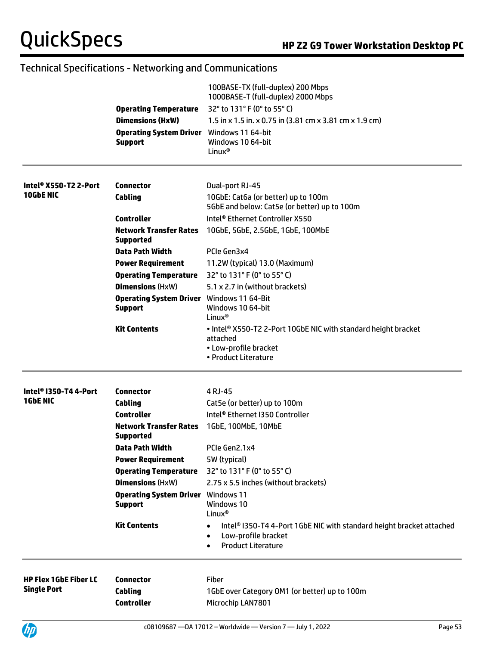|                                   |                                                                    | 100BASE-TX (full-duplex) 200 Mbps<br>1000BASE-T (full-duplex) 2000 Mbps                                                                            |
|-----------------------------------|--------------------------------------------------------------------|----------------------------------------------------------------------------------------------------------------------------------------------------|
|                                   | <b>Operating Temperature</b>                                       | 32° to 131° F (0° to 55° C)                                                                                                                        |
|                                   | <b>Dimensions (HxW)</b>                                            | 1.5 in x 1.5 in. x 0.75 in (3.81 cm x 3.81 cm x 1.9 cm)                                                                                            |
|                                   | <b>Operating System Driver</b><br><b>Support</b>                   | Windows 11 64-bit<br>Windows 10 64-bit<br>Linux <sup>®</sup>                                                                                       |
| Intel <sup>®</sup> X550-T2 2-Port | <b>Connector</b>                                                   | Dual-port RJ-45                                                                                                                                    |
| 10GbE NIC                         | Cabling                                                            | 10GbE: Cat6a (or better) up to 100m<br>5GbE and below: Cat5e (or better) up to 100m                                                                |
|                                   | <b>Controller</b>                                                  | Intel <sup>®</sup> Ethernet Controller X550                                                                                                        |
|                                   | <b>Network Transfer Rates</b><br><b>Supported</b>                  | 10GbE, 5GbE, 2.5GbE, 1GbE, 100MbE                                                                                                                  |
|                                   | Data Path Width                                                    | PCIe Gen3x4                                                                                                                                        |
|                                   | <b>Power Requirement</b>                                           | 11.2W (typical) 13.0 (Maximum)                                                                                                                     |
|                                   | <b>Operating Temperature</b>                                       | 32° to 131° F (0° to 55° C)                                                                                                                        |
|                                   | <b>Dimensions (HxW)</b>                                            | 5.1 x 2.7 in (without brackets)                                                                                                                    |
|                                   | <b>Operating System Driver</b> Windows 11 64-Bit<br><b>Support</b> | Windows 10 64-bit<br>Linux <sup>®</sup>                                                                                                            |
|                                   | <b>Kit Contents</b>                                                | • Intel <sup>®</sup> X550-T2 2-Port 10GbE NIC with standard height bracket<br>attached<br>• Low-profile bracket<br>• Product Literature            |
| Intel® I350-T4 4-Port             | <b>Connector</b>                                                   | 4 RJ-45                                                                                                                                            |
| <b>1GbE NIC</b>                   | Cabling                                                            | Cat5e (or better) up to 100m                                                                                                                       |
|                                   | <b>Controller</b>                                                  | Intel <sup>®</sup> Ethernet I350 Controller                                                                                                        |
|                                   | <b>Network Transfer Rates</b><br><b>Supported</b>                  | 1GbE, 100MbE, 10MbE                                                                                                                                |
|                                   | Data Path Width                                                    | PCIe Gen2.1x4                                                                                                                                      |
|                                   | <b>Power Requirement</b>                                           | 5W (typical)                                                                                                                                       |
|                                   | <b>Operating Temperature</b>                                       | 32° to 131° F (0° to 55° C)                                                                                                                        |
|                                   | <b>Dimensions (HxW)</b>                                            | 2.75 x 5.5 inches (without brackets)                                                                                                               |
|                                   | <b>Operating System Driver</b> Windows 11                          |                                                                                                                                                    |
|                                   | <b>Support</b>                                                     | Windows 10<br>Linux <sup>®</sup>                                                                                                                   |
|                                   | <b>Kit Contents</b>                                                | Intel® I350-T4 4-Port 1GbE NIC with standard height bracket attached<br>Low-profile bracket<br>$\bullet$<br><b>Product Literature</b><br>$\bullet$ |
| <b>HP Flex 1GbE Fiber LC</b>      | <b>Connector</b>                                                   | Fiber                                                                                                                                              |
| <b>Single Port</b>                | Cabling                                                            | 1GbE over Category OM1 (or better) up to 100m                                                                                                      |
|                                   | <b>Controller</b>                                                  | Microchip LAN7801                                                                                                                                  |
| (hp                               |                                                                    | Page 53<br>$c08109687 - DA 17012 - Worldwide - Version 7 - July 1, 2022$                                                                           |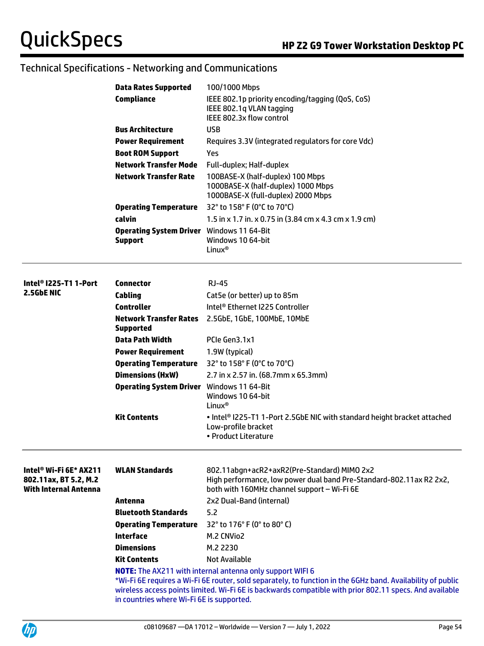|                                                                                 | <b>Data Rates Supported</b>                                                                                 | 100/1000 Mbps                                                                                                                                                     |  |
|---------------------------------------------------------------------------------|-------------------------------------------------------------------------------------------------------------|-------------------------------------------------------------------------------------------------------------------------------------------------------------------|--|
|                                                                                 | <b>Compliance</b>                                                                                           | IEEE 802.1p priority encoding/tagging (QoS, CoS)                                                                                                                  |  |
|                                                                                 |                                                                                                             | IEEE 802.1q VLAN tagging                                                                                                                                          |  |
|                                                                                 |                                                                                                             | IEEE 802.3x flow control                                                                                                                                          |  |
|                                                                                 | <b>Bus Architecture</b>                                                                                     | <b>USB</b>                                                                                                                                                        |  |
|                                                                                 | <b>Power Requirement</b>                                                                                    | Requires 3.3V (integrated regulators for core Vdc)                                                                                                                |  |
|                                                                                 | <b>Boot ROM Support</b>                                                                                     | Yes                                                                                                                                                               |  |
|                                                                                 | <b>Network Transfer Mode</b>                                                                                | Full-duplex; Half-duplex                                                                                                                                          |  |
|                                                                                 | <b>Network Transfer Rate</b>                                                                                | 100BASE-X (half-duplex) 100 Mbps<br>1000BASE-X (half-duplex) 1000 Mbps<br>1000BASE-X (full-duplex) 2000 Mbps                                                      |  |
|                                                                                 | <b>Operating Temperature</b>                                                                                | 32° to 158° F (0°C to 70°C)                                                                                                                                       |  |
|                                                                                 | calvin                                                                                                      | 1.5 in x 1.7 in. x 0.75 in (3.84 cm x 4.3 cm x 1.9 cm)                                                                                                            |  |
|                                                                                 | <b>Operating System Driver</b> Windows 11 64-Bit                                                            |                                                                                                                                                                   |  |
|                                                                                 | <b>Support</b>                                                                                              | Windows 10 64-bit                                                                                                                                                 |  |
|                                                                                 |                                                                                                             | Linux <sup>®</sup>                                                                                                                                                |  |
|                                                                                 |                                                                                                             |                                                                                                                                                                   |  |
| Intel <sup>®</sup> I225-T1 1-Port                                               | Connector                                                                                                   | <b>RJ-45</b>                                                                                                                                                      |  |
| 2.5GbE NIC                                                                      | Cabling                                                                                                     | Cat5e (or better) up to 85m                                                                                                                                       |  |
|                                                                                 | <b>Controller</b>                                                                                           | Intel <sup>®</sup> Ethernet I225 Controller                                                                                                                       |  |
|                                                                                 | Network Transfer Rates                                                                                      | 2.5GbE, 1GbE, 100MbE, 10MbE                                                                                                                                       |  |
|                                                                                 | <b>Supported</b>                                                                                            |                                                                                                                                                                   |  |
|                                                                                 | <b>Data Path Width</b>                                                                                      | PCIe Gen3.1x1                                                                                                                                                     |  |
|                                                                                 | <b>Power Requirement</b>                                                                                    | 1.9W (typical)                                                                                                                                                    |  |
|                                                                                 | <b>Operating Temperature</b>                                                                                | 32° to 158° F (0°C to 70°C)                                                                                                                                       |  |
|                                                                                 | <b>Dimensions (HxW)</b>                                                                                     | 2.7 in x 2.57 in. (68.7mm x 65.3mm)                                                                                                                               |  |
|                                                                                 | <b>Operating System Driver</b> Windows 11 64-Bit                                                            |                                                                                                                                                                   |  |
|                                                                                 |                                                                                                             | Windows 10 64-bit<br>Linux <sup>®</sup>                                                                                                                           |  |
|                                                                                 | <b>Kit Contents</b>                                                                                         | . Intel® I225-T1 1-Port 2.5GbE NIC with standard height bracket attached<br>Low-profile bracket<br>• Product Literature                                           |  |
| Intel® Wi-Fi 6E* AX211<br>802.11ax, BT 5.2, M.2<br><b>With Internal Antenna</b> | <b>WLAN Standards</b>                                                                                       | 802.11abgn+acR2+axR2(Pre-Standard) MIMO 2x2<br>High performance, low power dual band Pre-Standard-802.11ax R2 2x2,<br>both with 160MHz channel support - Wi-Fi 6E |  |
|                                                                                 | Antenna                                                                                                     | 2x2 Dual-Band (internal)                                                                                                                                          |  |
|                                                                                 | <b>Bluetooth Standards</b>                                                                                  | 5.2                                                                                                                                                               |  |
|                                                                                 | <b>Operating Temperature</b>                                                                                | 32° to 176° F (0° to 80° C)                                                                                                                                       |  |
|                                                                                 | <b>Interface</b>                                                                                            | M.2 CNVio2                                                                                                                                                        |  |
|                                                                                 | <b>Dimensions</b>                                                                                           | M.2 2230                                                                                                                                                          |  |
|                                                                                 | <b>Kit Contents</b>                                                                                         | <b>Not Available</b>                                                                                                                                              |  |
|                                                                                 |                                                                                                             | <b>NOTE:</b> The AX211 with internal antenna only support WIFI 6                                                                                                  |  |
|                                                                                 | *Wi-Fi 6E requires a Wi-Fi 6E router, sold separately, to function in the 6GHz band. Availability of public |                                                                                                                                                                   |  |

wireless access points limited. Wi-Fi 6E is backwards compatible with prior 802.11 specs. And available in countries where Wi-Fi 6E is supported.

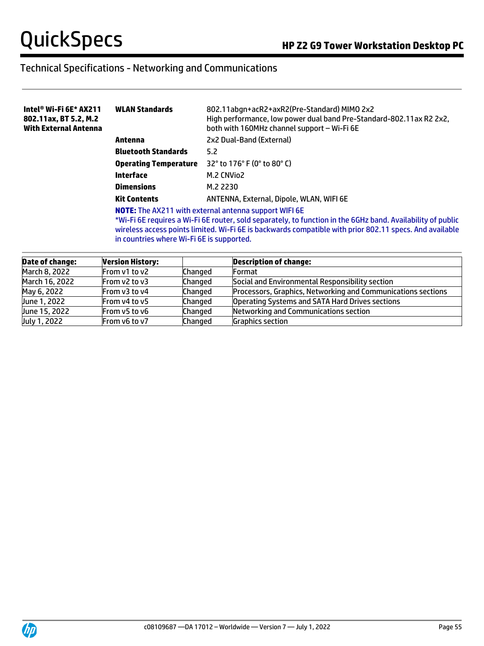| Intel® Wi-Fi 6E* AX211<br>802.11ax, BT 5.2, M.2<br><b>With External Antenna</b> | <b>WLAN Standards</b>                                                                                                                                                                                                                                                                                                               | 802.11abgn+acR2+axR2(Pre-Standard) MIMO 2x2<br>High performance, low power dual band Pre-Standard-802.11ax R2 2x2,<br>both with 160MHz channel support - Wi-Fi 6E |
|---------------------------------------------------------------------------------|-------------------------------------------------------------------------------------------------------------------------------------------------------------------------------------------------------------------------------------------------------------------------------------------------------------------------------------|-------------------------------------------------------------------------------------------------------------------------------------------------------------------|
|                                                                                 | Antenna                                                                                                                                                                                                                                                                                                                             | 2x2 Dual-Band (External)                                                                                                                                          |
|                                                                                 | <b>Bluetooth Standards</b>                                                                                                                                                                                                                                                                                                          | 5.2                                                                                                                                                               |
|                                                                                 | <b>Operating Temperature</b>                                                                                                                                                                                                                                                                                                        | 32 $^{\circ}$ to 176 $^{\circ}$ F (0 $^{\circ}$ to 80 $^{\circ}$ C)                                                                                               |
|                                                                                 | Interface                                                                                                                                                                                                                                                                                                                           | M.2 CNVio2                                                                                                                                                        |
|                                                                                 | <b>Dimensions</b>                                                                                                                                                                                                                                                                                                                   | M.2 2230                                                                                                                                                          |
|                                                                                 | <b>Kit Contents</b>                                                                                                                                                                                                                                                                                                                 | ANTENNA, External, Dipole, WLAN, WIFI 6E                                                                                                                          |
|                                                                                 | <b>NOTE:</b> The AX211 with external antenna support WIFI 6E<br>*Wi-Fi 6E requires a Wi-Fi 6E router, sold separately, to function in the 6GHz band. Availability of public<br>wireless access points limited. Wi-Fi 6E is backwards compatible with prior 802.11 specs. And available<br>in countries where Wi-Fi 6E is supported. |                                                                                                                                                                   |

| <b>Date of change:</b> | <b>Version History:</b> |         | <b>Description of change:</b>                                |
|------------------------|-------------------------|---------|--------------------------------------------------------------|
| March 8, 2022          | From v1 to v2           | Changed | Format                                                       |
| March 16, 2022         | From $v2$ to $v3$       | Changed | Social and Environmental Responsibility section              |
| May 6, 2022            | From v3 to v4           | Changed | Processors, Graphics, Networking and Communications sections |
| June 1, 2022           | From y4 to y5           | Changed | Operating Systems and SATA Hard Drives sections              |
| June 15, 2022          | From v5 to v6           | Changed | Networking and Communications section                        |
| July 1, 2022           | From v6 to v7           | Changed | <b>Graphics section</b>                                      |